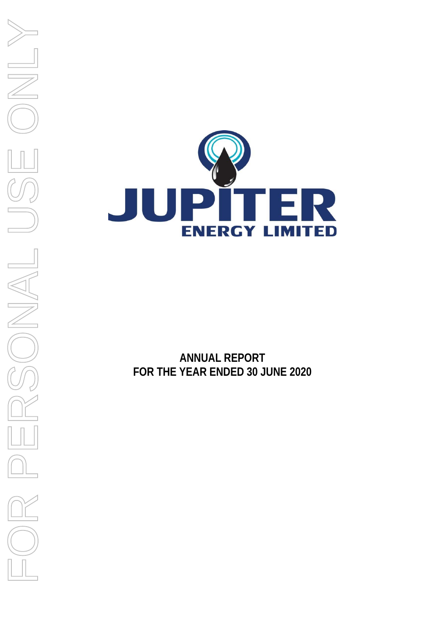

**ANNUAL REPORT FOR THE YEAR ENDED 30 JUNE 2020**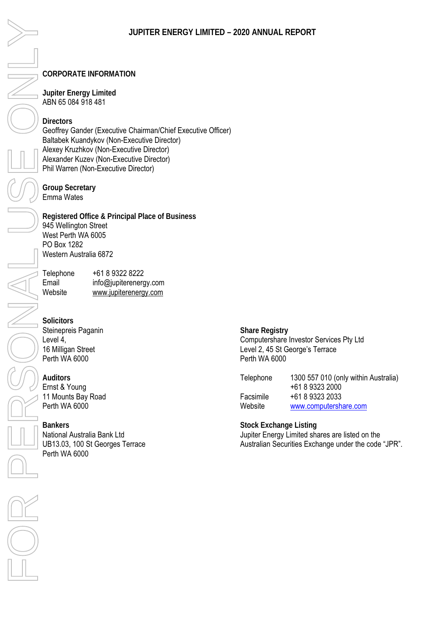### **CORPORATE INFORMATION**

**Jupiter Energy Limited**  ABN 65 084 918 481

**Directors**  Geoffrey Gander (Executive Chairman/Chief Executive Officer) Baltabek Kuandykov (Non-Executive Director) Alexey Kruzhkov (Non-Executive Director) Alexander Kuzev (Non-Executive Director) Phil Warren (Non-Executive Director)

**Group Secretary**  Emma Wates

**Registered Office & Principal Place of Business**  945 Wellington Street West Perth WA 6005 PO Box 1282 Western Australia 6872

Telephone +61 8 9322 8222 Email info@jupiterenergy.com<br>Website www.jupiterenergy.com www.jupiterenergy.com

**Solicitors** Steinepreis Paganin Level 4, 16 Milligan Street Perth WA 6000

**Auditors** Ernst & Young 11 Mounts Bay Road Perth WA 6000

**Bankers**  National Australia Bank Ltd UB13.03, 100 St Georges Terrace Perth WA 6000

**Share Registry**  Computershare Investor Services Pty Ltd Level 2, 45 St George's Terrace Perth WA 6000

| Telephone | 1300 557 010 (only within Australia) |
|-----------|--------------------------------------|
|           | +61 8 9323 2000                      |
| Facsimile | +61 8 9323 2033                      |
| Website   | www.computershare.com                |

**Stock Exchange Listing**  Jupiter Energy Limited shares are listed on the Australian Securities Exchange under the code "JPR".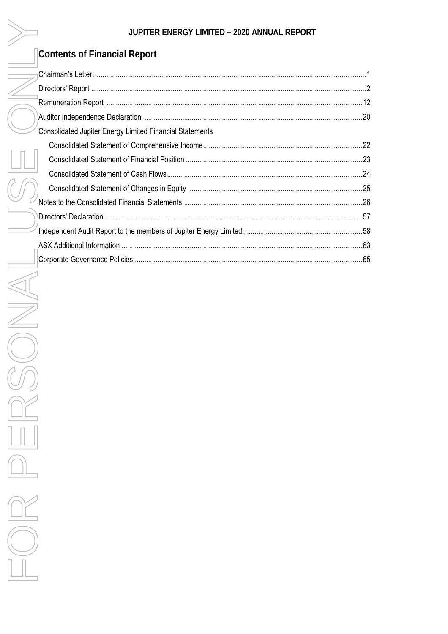### Contents of Financial Report

| <b>Consolidated Jupiter Energy Limited Financial Statements</b> |     |
|-----------------------------------------------------------------|-----|
|                                                                 |     |
|                                                                 |     |
|                                                                 |     |
|                                                                 |     |
|                                                                 |     |
|                                                                 |     |
|                                                                 |     |
|                                                                 | .63 |
|                                                                 |     |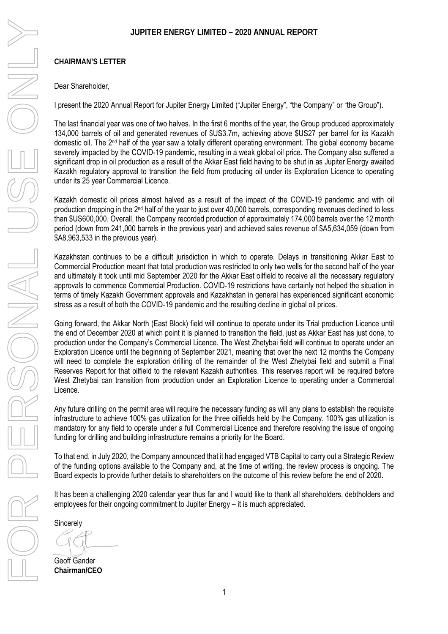### **CHAIRMAN'S LETTER**

### Dear Shareholder,

I present the 2020 Annual Report for Jupiter Energy Limited ("Jupiter Energy", "the Company" or "the Group").

The last financial year was one of two halves. In the first 6 months of the year, the Group produced approximately 134,000 barrels of oil and generated revenues of \$US3.7m, achieving above \$US27 per barrel for its Kazakh domestic oil. The 2nd half of the year saw a totally different operating environment. The global economy became severely impacted by the COVID-19 pandemic, resulting in a weak global oil price. The Company also suffered a significant drop in oil production as a result of the Akkar East field having to be shut in as Jupiter Energy awaited Kazakh regulatory approval to transition the field from producing oil under its Exploration Licence to operating under its 25 year Commercial Licence.

Kazakh domestic oil prices almost halved as a result of the impact of the COVID-19 pandemic and with oil production dropping in the 2<sup>nd</sup> half of the year to just over 40,000 barrels, corresponding revenues declined to less than \$US600,000. Overall, the Company recorded production of approximately 174,000 barrels over the 12 month period (down from 241,000 barrels in the previous year) and achieved sales revenue of \$A5,634,059 (down from \$A8,963,533 in the previous year).

Kazakhstan continues to be a difficult jurisdiction in which to operate. Delays in transitioning Akkar East to Commercial Production meant that total production was restricted to only two wells for the second half of the year and ultimately it took until mid September 2020 for the Akkar East oilfield to receive all the necessary regulatory approvals to commence Commercial Production. COVID-19 restrictions have certainly not helped the situation in terms of timely Kazakh Government approvals and Kazakhstan in general has experienced significant economic stress as a result of both the COVID-19 pandemic and the resulting decline in global oil prices.

Going forward, the Akkar North (East Block) field will continue to operate under its Trial production Licence until the end of December 2020 at which point it is planned to transition the field, just as Akkar East has just done, to production under the Company's Commercial Licence. The West Zhetybai field will continue to operate under an Exploration Licence until the beginning of September 2021, meaning that over the next 12 months the Company will need to complete the exploration drilling of the remainder of the West Zhetybai field and submit a Final Reserves Report for that oilfield to the relevant Kazakh authorities. This reserves report will be required before West Zhetybai can transition from production under an Exploration Licence to operating under a Commercial Licence.

Any future drilling on the permit area will require the necessary funding as will any plans to establish the requisite infrastructure to achieve 100% gas utilization for the three oilfields held by the Company. 100% gas utilization is mandatory for any field to operate under a full Commercial Licence and therefore resolving the issue of ongoing funding for drilling and building infrastructure remains a priority for the Board.

To that end, in July 2020, the Company announced that it had engaged VTB Capital to carry out a Strategic Review of the funding options available to the Company and, at the time of writing, the review process is ongoing. The Board expects to provide further details to shareholders on the outcome of this review before the end of 2020.

It has been a challenging 2020 calendar year thus far and I would like to thank all shareholders, debtholders and employees for their ongoing commitment to Jupiter Energy – it is much appreciated.

Sincerely

Geoff Gander **Chairman/CEO**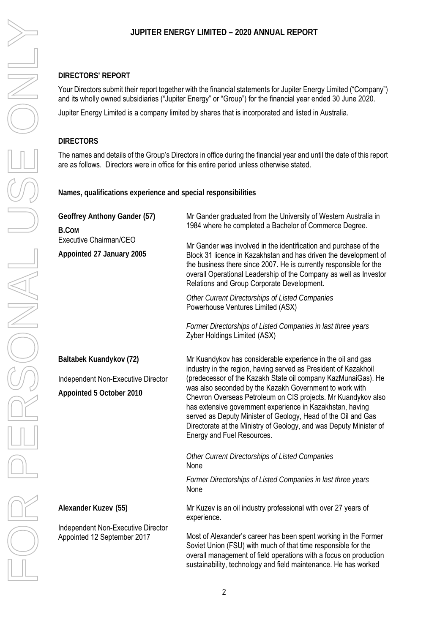### **DIRECTORS' REPORT**

Your Directors submit their report together with the financial statements for Jupiter Energy Limited ("Company") and its wholly owned subsidiaries ("Jupiter Energy" or "Group") for the financial year ended 30 June 2020.

Jupiter Energy Limited is a company limited by shares that is incorporated and listed in Australia.

### **DIRECTORS**

The names and details of the Group's Directors in office during the financial year and until the date of this report are as follows. Directors were in office for this entire period unless otherwise stated.

**Names, qualifications experience and special responsibilities** 

| Geoffrey Anthony Gander (57)<br><b>B.COM</b><br>Executive Chairman/CEO<br>Appointed 27 January 2005 | Mr Gander graduated from the University of Western Australia in<br>1984 where he completed a Bachelor of Commerce Degree.<br>Mr Gander was involved in the identification and purchase of the<br>Block 31 licence in Kazakhstan and has driven the development of<br>the business there since 2007. He is currently responsible for the<br>overall Operational Leadership of the Company as well as Investor<br>Relations and Group Corporate Development.<br>Other Current Directorships of Listed Companies<br>Powerhouse Ventures Limited (ASX)<br>Former Directorships of Listed Companies in last three years<br>Zyber Holdings Limited (ASX)                                               |
|-----------------------------------------------------------------------------------------------------|--------------------------------------------------------------------------------------------------------------------------------------------------------------------------------------------------------------------------------------------------------------------------------------------------------------------------------------------------------------------------------------------------------------------------------------------------------------------------------------------------------------------------------------------------------------------------------------------------------------------------------------------------------------------------------------------------|
| Baltabek Kuandykov (72)<br>Independent Non-Executive Director<br>Appointed 5 October 2010           | Mr Kuandykov has considerable experience in the oil and gas<br>industry in the region, having served as President of Kazakhoil<br>(predecessor of the Kazakh State oil company KazMunaiGas). He<br>was also seconded by the Kazakh Government to work with<br>Chevron Overseas Petroleum on CIS projects. Mr Kuandykov also<br>has extensive government experience in Kazakhstan, having<br>served as Deputy Minister of Geology, Head of the Oil and Gas<br>Directorate at the Ministry of Geology, and was Deputy Minister of<br>Energy and Fuel Resources.<br>Other Current Directorships of Listed Companies<br>None<br>Former Directorships of Listed Companies in last three years<br>None |
| Alexander Kuzev (55)<br>Independent Non-Executive Director<br>Appointed 12 September 2017           | Mr Kuzev is an oil industry professional with over 27 years of<br>experience.<br>Most of Alexander's career has been spent working in the Former<br>Soviet Union (FSU) with much of that time responsible for the<br>overall management of field operations with a focus on production<br>sustainability, technology and field maintenance. He has worked                                                                                                                                                                                                                                                                                                                                        |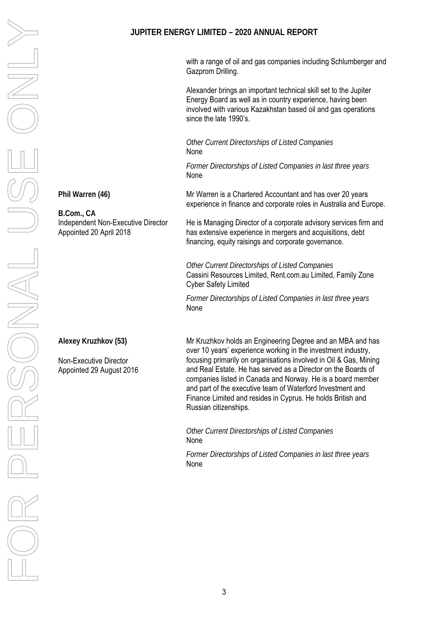with a range of oil and gas companies including Schlumberger and Gazprom Drilling.

Alexander brings an important technical skill set to the Jupiter Energy Board as well as in country experience, having been involved with various Kazakhstan based oil and gas operations since the late 1990's.

*Other Current Directorships of Listed Companies*  None

*Former Directorships of Listed Companies in last three years*  None

**Phil Warren (46)** 

**B.Com., CA**  Independent Non-Executive Director Appointed 20 April 2018

Mr Warren is a Chartered Accountant and has over 20 years experience in finance and corporate roles in Australia and Europe.

He is Managing Director of a corporate advisory services firm and has extensive experience in mergers and acquisitions, debt financing, equity raisings and corporate governance.

*Other Current Directorships of Listed Companies* Cassini Resources Limited, Rent.com.au Limited, Family Zone Cyber Safety Limited

*Former Directorships of Listed Companies in last three years* None

**Alexey Kruzhkov (53)** 

Non-Executive Director Appointed 29 August 2016 Mr Kruzhkov holds an Engineering Degree and an MBA and has over 10 years' experience working in the investment industry, focusing primarily on organisations involved in Oil & Gas, Mining and Real Estate. He has served as a Director on the Boards of companies listed in Canada and Norway. He is a board member and part of the executive team of Waterford Investment and Finance Limited and resides in Cyprus. He holds British and Russian citizenships.

*Other Current Directorships of Listed Companies*  None

*Former Directorships of Listed Companies in last three years*  None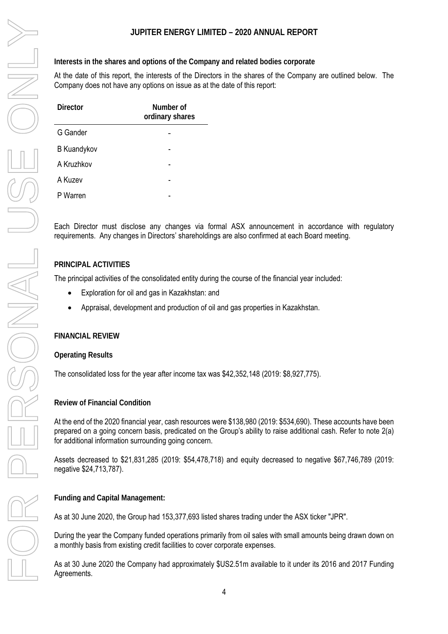**Interests in the shares and options of the Company and related bodies corporate** 

At the date of this report, the interests of the Directors in the shares of the Company are outlined below. The Company does not have any options on issue as at the date of this report:

| Director           | Number of<br>ordinary shares |
|--------------------|------------------------------|
| G Gander           |                              |
| <b>B</b> Kuandykov |                              |
| A Kruzhkov         |                              |
| A Kuzev            |                              |
| P Warren           |                              |

Each Director must disclose any changes via formal ASX announcement in accordance with regulatory requirements. Any changes in Directors' shareholdings are also confirmed at each Board meeting.

### **PRINCIPAL ACTIVITIES**

The principal activities of the consolidated entity during the course of the financial year included:

- $\bullet$ Exploration for oil and gas in Kazakhstan: and
- $\bullet$ Appraisal, development and production of oil and gas properties in Kazakhstan.

### **FINANCIAL REVIEW**

**Operating Results** 

The consolidated loss for the year after income tax was \$42,352,148 (2019: \$8,927,775).

**Review of Financial Condition** 

At the end of the 2020 financial year, cash resources were \$138,980 (2019: \$534,690). These accounts have been prepared on a going concern basis, predicated on the Group's ability to raise additional cash. Refer to note 2(a) for additional information surrounding going concern.

Assets decreased to \$21,831,285 (2019: \$54,478,718) and equity decreased to negative \$67,746,789 (2019: negative \$24,713,787).

**Funding and Capital Management:** 

As at 30 June 2020, the Group had 153,377,693 listed shares trading under the ASX ticker "JPR".

During the year the Company funded operations primarily from oil sales with small amounts being drawn down on a monthly basis from existing credit facilities to cover corporate expenses.

As at 30 June 2020 the Company had approximately \$US2.51m available to it under its 2016 and 2017 Funding Agreements.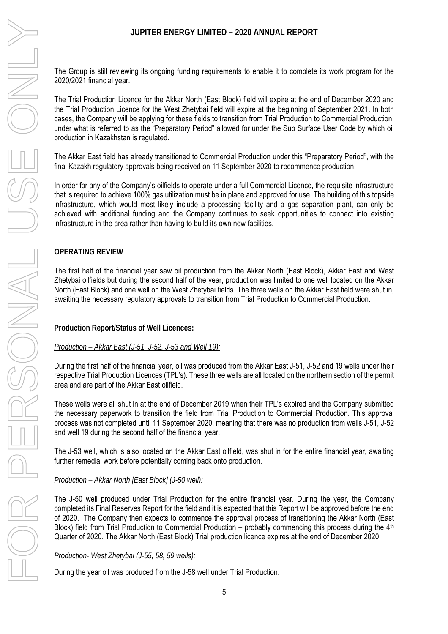# UPFITER ENERGY LIMITED - 2000 ANNUAL<br>The Group is still reviewing its ongoing funding requirements to enable it<br>The Trial Production Licence for the Alkier North (East Block) field will ongoing<br>the Trial Production Licence

The Group is still reviewing its ongoing funding requirements to enable it to complete its work program for the 2020/2021 financial year.

The Trial Production Licence for the Akkar North (East Block) field will expire at the end of December 2020 and the Trial Production Licence for the West Zhetybai field will expire at the beginning of September 2021. In both cases, the Company will be applying for these fields to transition from Trial Production to Commercial Production, under what is referred to as the "Preparatory Period" allowed for under the Sub Surface User Code by which oil production in Kazakhstan is regulated.

The Akkar East field has already transitioned to Commercial Production under this "Preparatory Period", with the final Kazakh regulatory approvals being received on 11 September 2020 to recommence production.

In order for any of the Company's oilfields to operate under a full Commercial Licence, the requisite infrastructure that is required to achieve 100% gas utilization must be in place and approved for use. The building of this topside infrastructure, which would most likely include a processing facility and a gas separation plant, can only be achieved with additional funding and the Company continues to seek opportunities to connect into existing infrastructure in the area rather than having to build its own new facilities.

### **OPERATING REVIEW**

The first half of the financial year saw oil production from the Akkar North (East Block), Akkar East and West Zhetybai oilfields but during the second half of the year, production was limited to one well located on the Akkar North (East Block) and one well on the West Zhetybai fields. The three wells on the Akkar East field were shut in, awaiting the necessary regulatory approvals to transition from Trial Production to Commercial Production.

**Production Report/Status of Well Licences:** 

*Production – Akkar East (J-51, J-52, J-53 and Well 19):* 

During the first half of the financial year, oil was produced from the Akkar East J-51, J-52 and 19 wells under their respective Trial Production Licences (TPL's). These three wells are all located on the northern section of the permit area and are part of the Akkar East oilfield.

These wells were all shut in at the end of December 2019 when their TPL's expired and the Company submitted the necessary paperwork to transition the field from Trial Production to Commercial Production. This approval process was not completed until 11 September 2020, meaning that there was no production from wells J-51, J-52 and well 19 during the second half of the financial year.

The J-53 well, which is also located on the Akkar East oilfield, was shut in for the entire financial year, awaiting further remedial work before potentially coming back onto production.

### *Production – Akkar North [East Block] (J-50 well):*

The J-50 well produced under Trial Production for the entire financial year. During the year, the Company completed its Final Reserves Report for the field and it is expected that this Report will be approved before the end of 2020. The Company then expects to commence the approval process of transitioning the Akkar North (East Block) field from Trial Production to Commercial Production – probably commencing this process during the 4<sup>th</sup> Quarter of 2020. The Akkar North (East Block) Trial production licence expires at the end of December 2020.

### *Production- West Zhetybai (J-55, 58, 59 wells):*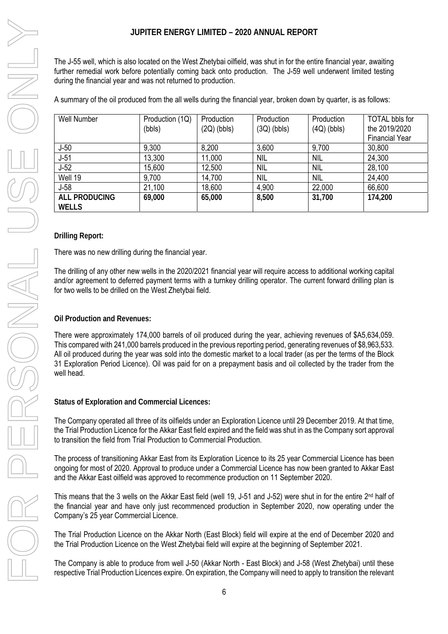| JUPITER ENERGY LIMITED - 2020 ANNUAL REPORT                                                                                                                                                                                                                                                                                                                                                                                                                                                |                                                                                                                    |                             |                             |                             |                                                                 |  |  |  |
|--------------------------------------------------------------------------------------------------------------------------------------------------------------------------------------------------------------------------------------------------------------------------------------------------------------------------------------------------------------------------------------------------------------------------------------------------------------------------------------------|--------------------------------------------------------------------------------------------------------------------|-----------------------------|-----------------------------|-----------------------------|-----------------------------------------------------------------|--|--|--|
| The J-55 well, which is also located on the West Zhetybai oilfield, was shut in for the entire financial year, awaiting<br>further remedial work before potentially coming back onto production. The J-59 well underwent limited testing<br>during the financial year and was not returned to production.                                                                                                                                                                                  |                                                                                                                    |                             |                             |                             |                                                                 |  |  |  |
|                                                                                                                                                                                                                                                                                                                                                                                                                                                                                            | A summary of the oil produced from the all wells during the financial year, broken down by quarter, is as follows: |                             |                             |                             |                                                                 |  |  |  |
| Well Number                                                                                                                                                                                                                                                                                                                                                                                                                                                                                | Production (1Q)<br>(bbls)                                                                                          | Production<br>$(2Q)$ (bbls) | Production<br>$(3Q)$ (bbls) | Production<br>$(4Q)$ (bbls) | <b>TOTAL bbls for</b><br>the 2019/2020<br><b>Financial Year</b> |  |  |  |
| $J-50$                                                                                                                                                                                                                                                                                                                                                                                                                                                                                     | 9,300                                                                                                              | 8,200                       | 3,600                       | 9,700                       | 30,800                                                          |  |  |  |
| $J-51$                                                                                                                                                                                                                                                                                                                                                                                                                                                                                     |                                                                                                                    |                             | <b>NIL</b>                  | <b>NIL</b>                  |                                                                 |  |  |  |
|                                                                                                                                                                                                                                                                                                                                                                                                                                                                                            | 13,300                                                                                                             | 11,000                      |                             |                             | 24,300                                                          |  |  |  |
| $J-52$                                                                                                                                                                                                                                                                                                                                                                                                                                                                                     | 15,600                                                                                                             | 12,500                      | <b>NIL</b>                  | <b>NIL</b>                  | 28,100                                                          |  |  |  |
| Well 19                                                                                                                                                                                                                                                                                                                                                                                                                                                                                    | 9,700                                                                                                              | 14,700                      | <b>NIL</b>                  | <b>NIL</b>                  | 24,400                                                          |  |  |  |
| $J-58$                                                                                                                                                                                                                                                                                                                                                                                                                                                                                     | 21,100                                                                                                             | 18,600                      | 4,900                       | 22,000                      | 66,600                                                          |  |  |  |
| ALL PRODUCING<br><b>WELLS</b>                                                                                                                                                                                                                                                                                                                                                                                                                                                              | 69,000                                                                                                             | 65,000                      | 8,500                       | 31,700                      | 174,200                                                         |  |  |  |
|                                                                                                                                                                                                                                                                                                                                                                                                                                                                                            |                                                                                                                    |                             |                             |                             |                                                                 |  |  |  |
| <b>Drilling Report:</b>                                                                                                                                                                                                                                                                                                                                                                                                                                                                    |                                                                                                                    |                             |                             |                             |                                                                 |  |  |  |
| There was no new drilling during the financial year.                                                                                                                                                                                                                                                                                                                                                                                                                                       |                                                                                                                    |                             |                             |                             |                                                                 |  |  |  |
| The drilling of any other new wells in the 2020/2021 financial year will require access to additional working capital<br>and/or agreement to deferred payment terms with a turnkey drilling operator. The current forward drilling plan is<br>for two wells to be drilled on the West Zhetybai field.                                                                                                                                                                                      |                                                                                                                    |                             |                             |                             |                                                                 |  |  |  |
| Oil Production and Revenues:                                                                                                                                                                                                                                                                                                                                                                                                                                                               |                                                                                                                    |                             |                             |                             |                                                                 |  |  |  |
| There were approximately 174,000 barrels of oil produced during the year, achieving revenues of \$A5,634,059.<br>This compared with 241,000 barrels produced in the previous reporting period, generating revenues of \$8,963,533.<br>All oil produced during the year was sold into the domestic market to a local trader (as per the terms of the Block<br>31 Exploration Period Licence). Oil was paid for on a prepayment basis and oil collected by the trader from the<br>well head. |                                                                                                                    |                             |                             |                             |                                                                 |  |  |  |
| <b>Status of Exploration and Commercial Licences:</b>                                                                                                                                                                                                                                                                                                                                                                                                                                      |                                                                                                                    |                             |                             |                             |                                                                 |  |  |  |
| The Company operated all three of its oilfields under an Exploration Licence until 29 December 2019. At that time,<br>the Trial Production Licence for the Akkar East field expired and the field was shut in as the Company sort approval<br>to transition the field from Trial Production to Commercial Production.                                                                                                                                                                      |                                                                                                                    |                             |                             |                             |                                                                 |  |  |  |
| The process of transitioning Akkar East from its Exploration Licence to its 25 year Commercial Licence has been<br>ongoing for most of 2020. Approval to produce under a Commercial Licence has now been granted to Akkar East<br>and the Akkar East oilfield was approved to recommence production on 11 September 2020.                                                                                                                                                                  |                                                                                                                    |                             |                             |                             |                                                                 |  |  |  |
| This means that the 3 wells on the Akkar East field (well 19, J-51 and J-52) were shut in for the entire 2 <sup>nd</sup> half of<br>the financial year and have only just recommenced production in September 2020, now operating under the<br>Company's 25 year Commercial Licence.                                                                                                                                                                                                       |                                                                                                                    |                             |                             |                             |                                                                 |  |  |  |
| The Trial Production Licence on the Akkar North (East Block) field will expire at the end of December 2020 and<br>the Trial Production Licence on the West Zhetybai field will expire at the beginning of September 2021.                                                                                                                                                                                                                                                                  |                                                                                                                    |                             |                             |                             |                                                                 |  |  |  |
| The Company is able to produce from well J-50 (Akkar North - East Block) and J-58 (West Zhetybai) until these<br>respective Trial Production Licences expire. On expiration, the Company will need to apply to transition the relevant                                                                                                                                                                                                                                                     |                                                                                                                    |                             |                             |                             |                                                                 |  |  |  |

### **Drilling Report:**

### **Oil Production and Revenues:**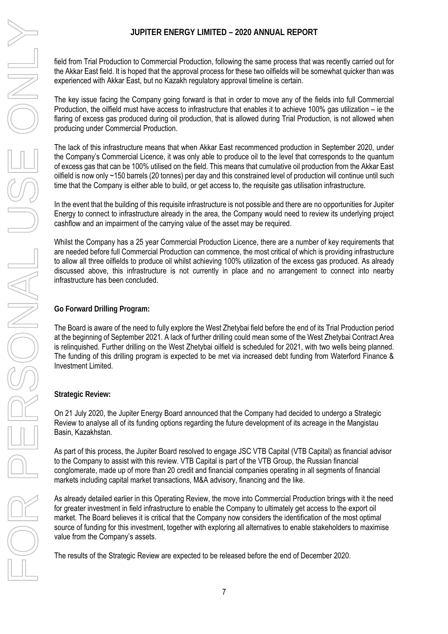field from Trial Production to Commercial Production, following the same process that was recently carried out for the Akkar East field. It is hoped that the approval process for these two oilfields will be somewhat quicker than was experienced with Akkar East, but no Kazakh regulatory approval timeline is certain.

The key issue facing the Company going forward is that in order to move any of the fields into full Commercial Production, the oilfield must have access to infrastructure that enables it to achieve 100% gas utilization – ie the flaring of excess gas produced during oil production, that is allowed during Trial Production, is not allowed when producing under Commercial Production.

The lack of this infrastructure means that when Akkar East recommenced production in September 2020, under the Company's Commercial Licence, it was only able to produce oil to the level that corresponds to the quantum of excess gas that can be 100% utilised on the field. This means that cumulative oil production from the Akkar East oilfield is now only ~150 barrels (20 tonnes) per day and this constrained level of production will continue until such time that the Company is either able to build, or get access to, the requisite gas utilisation infrastructure.

In the event that the building of this requisite infrastructure is not possible and there are no opportunities for Jupiter Energy to connect to infrastructure already in the area, the Company would need to review its underlying project cashflow and an impairment of the carrying value of the asset may be required.

Whilst the Company has a 25 year Commercial Production Licence, there are a number of key requirements that are needed before full Commercial Production can commence, the most critical of which is providing infrastructure to allow all three oilfields to produce oil whilst achieving 100% utilization of the excess gas produced. As already discussed above, this infrastructure is not currently in place and no arrangement to connect into nearby infrastructure has been concluded.

**Go Forward Drilling Program:** 

The Board is aware of the need to fully explore the West Zhetybai field before the end of its Trial Production period at the beginning of September 2021. A lack of further drilling could mean some of the West Zhetybai Contract Area is relinquished. Further drilling on the West Zhetybai oilfield is scheduled for 2021, with two wells being planned. The funding of this drilling program is expected to be met via increased debt funding from Waterford Finance & Investment Limited.

### **Strategic Review:**

On 21 July 2020, the Jupiter Energy Board announced that the Company had decided to undergo a Strategic Review to analyse all of its funding options regarding the future development of its acreage in the Mangistau Basin, Kazakhstan.

As part of this process, the Jupiter Board resolved to engage JSC VTB Capital (VTB Capital) as financial advisor to the Company to assist with this review. VTB Capital is part of the VTB Group, the Russian financial conglomerate, made up of more than 20 credit and financial companies operating in all segments of financial markets including capital market transactions, M&A advisory, financing and the like.

As already detailed earlier in this Operating Review, the move into Commercial Production brings with it the need for greater investment in field infrastructure to enable the Company to ultimately get access to the export oil market. The Board believes it is critical that the Company now considers the identification of the most optimal source of funding for this investment, together with exploring all alternatives to enable stakeholders to maximise value from the Company's assets.

The results of the Strategic Review are expected to be released before the end of December 2020.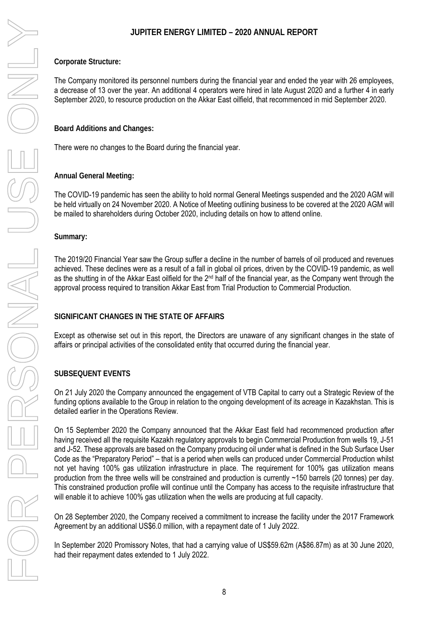### **Corporate Structure:**

The Company monitored its personnel numbers during the financial year and ended the year with 26 employees, a decrease of 13 over the year. An additional 4 operators were hired in late August 2020 and a further 4 in early September 2020, to resource production on the Akkar East oilfield, that recommenced in mid September 2020.

**Board Additions and Changes:** 

There were no changes to the Board during the financial year.

**Annual General Meeting:**

The COVID-19 pandemic has seen the ability to hold normal General Meetings suspended and the 2020 AGM will be held virtually on 24 November 2020. A Notice of Meeting outlining business to be covered at the 2020 AGM will be mailed to shareholders during October 2020, including details on how to attend online.

**Summary:** 

The 2019/20 Financial Year saw the Group suffer a decline in the number of barrels of oil produced and revenues achieved. These declines were as a result of a fall in global oil prices, driven by the COVID-19 pandemic, as well as the shutting in of the Akkar East oilfield for the 2<sup>nd</sup> half of the financial year, as the Company went through the approval process required to transition Akkar East from Trial Production to Commercial Production.

### **SIGNIFICANT CHANGES IN THE STATE OF AFFAIRS**

Except as otherwise set out in this report, the Directors are unaware of any significant changes in the state of affairs or principal activities of the consolidated entity that occurred during the financial year.

### **SUBSEQUENT EVENTS**

On 21 July 2020 the Company announced the engagement of VTB Capital to carry out a Strategic Review of the funding options available to the Group in relation to the ongoing development of its acreage in Kazakhstan. This is detailed earlier in the Operations Review.

On 15 September 2020 the Company announced that the Akkar East field had recommenced production after having received all the requisite Kazakh regulatory approvals to begin Commercial Production from wells 19, J-51 and J-52. These approvals are based on the Company producing oil under what is defined in the Sub Surface User Code as the "Preparatory Period" – that is a period when wells can produced under Commercial Production whilst not yet having 100% gas utilization infrastructure in place. The requirement for 100% gas utilization means production from the three wells will be constrained and production is currently ~150 barrels (20 tonnes) per day. This constrained production profile will continue until the Company has access to the requisite infrastructure that will enable it to achieve 100% gas utilization when the wells are producing at full capacity.

On 28 September 2020, the Company received a commitment to increase the facility under the 2017 Framework Agreement by an additional US\$6.0 million, with a repayment date of 1 July 2022.

In September 2020 Promissory Notes, that had a carrying value of US\$59.62m (A\$86.87m) as at 30 June 2020, had their repayment dates extended to 1 July 2022.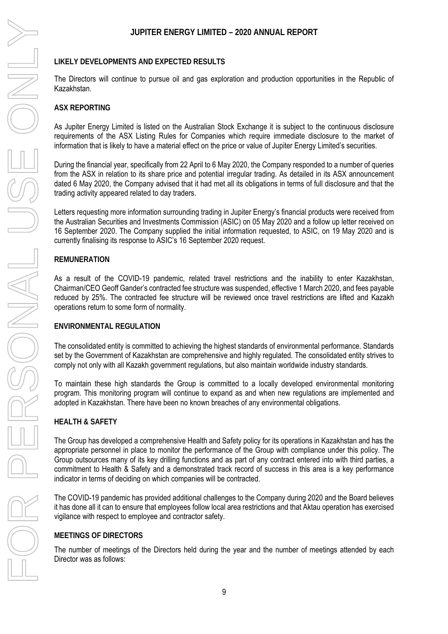### **LIKELY DEVELOPMENTS AND EXPECTED RESULTS**

The Directors will continue to pursue oil and gas exploration and production opportunities in the Republic of Kazakhstan.

### **ASX REPORTING**

As Jupiter Energy Limited is listed on the Australian Stock Exchange it is subject to the continuous disclosure requirements of the ASX Listing Rules for Companies which require immediate disclosure to the market of information that is likely to have a material effect on the price or value of Jupiter Energy Limited's securities.

During the financial year, specifically from 22 April to 6 May 2020, the Company responded to a number of queries from the ASX in relation to its share price and potential irregular trading. As detailed in its ASX announcement dated 6 May 2020, the Company advised that it had met all its obligations in terms of full disclosure and that the trading activity appeared related to day traders.

Letters requesting more information surrounding trading in Jupiter Energy's financial products were received from the Australian Securities and Investments Commission (ASIC) on 05 May 2020 and a follow up letter received on 16 September 2020. The Company supplied the initial information requested, to ASIC, on 19 May 2020 and is currently finalising its response to ASIC's 16 September 2020 request.

### **REMUNERATION**

As a result of the COVID-19 pandemic, related travel restrictions and the inability to enter Kazakhstan, Chairman/CEO Geoff Gander's contracted fee structure was suspended, effective 1 March 2020, and fees payable reduced by 25%. The contracted fee structure will be reviewed once travel restrictions are lifted and Kazakh operations return to some form of normality.

### **ENVIRONMENTAL REGULATION**

The consolidated entity is committed to achieving the highest standards of environmental performance. Standards set by the Government of Kazakhstan are comprehensive and highly regulated. The consolidated entity strives to comply not only with all Kazakh government regulations, but also maintain worldwide industry standards.

To maintain these high standards the Group is committed to a locally developed environmental monitoring program. This monitoring program will continue to expand as and when new regulations are implemented and adopted in Kazakhstan. There have been no known breaches of any environmental obligations.

### **HEALTH & SAFETY**

The Group has developed a comprehensive Health and Safety policy for its operations in Kazakhstan and has the appropriate personnel in place to monitor the performance of the Group with compliance under this policy. The Group outsources many of its key drilling functions and as part of any contract entered into with third parties, a commitment to Health & Safety and a demonstrated track record of success in this area is a key performance indicator in terms of deciding on which companies will be contracted.

The COVID-19 pandemic has provided additional challenges to the Company during 2020 and the Board believes it has done all it can to ensure that employees follow local area restrictions and that Aktau operation has exercised vigilance with respect to employee and contractor safety.

### **MEETINGS OF DIRECTORS**

The number of meetings of the Directors held during the year and the number of meetings attended by each Director was as follows: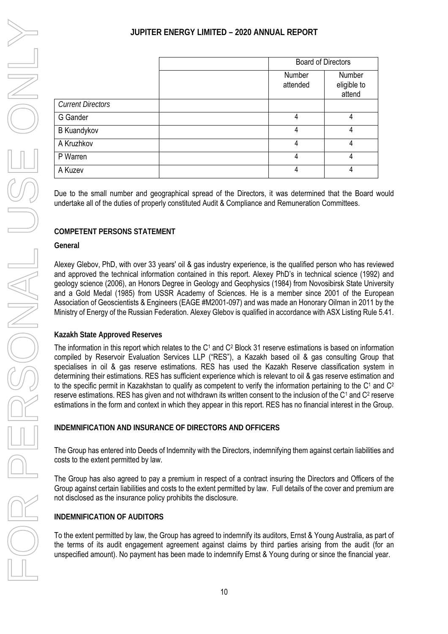|                          | <b>Board of Directors</b> |                                 |  |
|--------------------------|---------------------------|---------------------------------|--|
|                          | Number<br>attended        | Number<br>eligible to<br>attend |  |
| <b>Current Directors</b> |                           |                                 |  |
| G Gander                 | 4                         | 4                               |  |
| <b>B Kuandykov</b>       | 4                         | 4                               |  |
| A Kruzhkov               | 4                         | 4                               |  |
| P Warren                 | 4                         | 4                               |  |
| A Kuzev                  | 4                         | 4                               |  |
|                          |                           |                                 |  |

Due to the small number and geographical spread of the Directors, it was determined that the Board would undertake all of the duties of properly constituted Audit & Compliance and Remuneration Committees.

### **COMPETENT PERSONS STATEMENT**

### **General**

Alexey Glebov, PhD, with over 33 years' oil & gas industry experience, is the qualified person who has reviewed and approved the technical information contained in this report. Alexey PhD's in technical science (1992) and geology science (2006), an Honors Degree in Geology and Geophysics (1984) from Novosibirsk State University and a Gold Medal (1985) from USSR Academy of Sciences. He is a member since 2001 of the European Association of Geoscientists & Engineers (EAGE #M2001-097) and was made an Honorary Oilman in 2011 by the Ministry of Energy of the Russian Federation. Alexey Glebov is qualified in accordance with ASX Listing Rule 5.41.

### **Kazakh State Approved Reserves**

The information in this report which relates to the  $C<sup>1</sup>$  and  $C<sup>2</sup>$  Block 31 reserve estimations is based on information compiled by Reservoir Evaluation Services LLP ("RES"), a Kazakh based oil & gas consulting Group that specialises in oil & gas reserve estimations. RES has used the Kazakh Reserve classification system in determining their estimations. RES has sufficient experience which is relevant to oil & gas reserve estimation and to the specific permit in Kazakhstan to qualify as competent to verify the information pertaining to the C<sup>1</sup> and C<sup>2</sup> reserve estimations. RES has given and not withdrawn its written consent to the inclusion of the  $C^1$  and  $C^2$  reserve estimations in the form and context in which they appear in this report. RES has no financial interest in the Group.

### **INDEMNIFICATION AND INSURANCE OF DIRECTORS AND OFFICERS**

The Group has entered into Deeds of Indemnity with the Directors, indemnifying them against certain liabilities and costs to the extent permitted by law.

The Group has also agreed to pay a premium in respect of a contract insuring the Directors and Officers of the Group against certain liabilities and costs to the extent permitted by law. Full details of the cover and premium are not disclosed as the insurance policy prohibits the disclosure.

### **INDEMNIFICATION OF AUDITORS**

To the extent permitted by law, the Group has agreed to indemnify its auditors, Ernst & Young Australia, as part of the terms of its audit engagement agreement against claims by third parties arising from the audit (for an unspecified amount). No payment has been made to indemnify Ernst & Young during or since the financial year.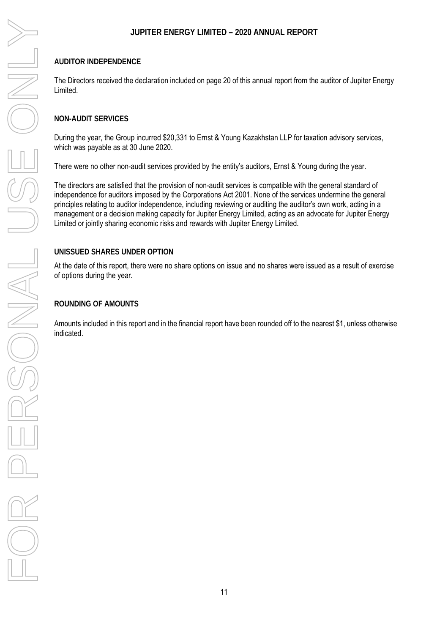### **AUDITOR INDEPENDENCE**

The Directors received the declaration included on page 20 of this annual report from the auditor of Jupiter Energy Limited.

### **NON-AUDIT SERVICES**

During the year, the Group incurred \$20,331 to Ernst & Young Kazakhstan LLP for taxation advisory services, which was payable as at 30 June 2020.

There were no other non-audit services provided by the entity's auditors, Ernst & Young during the year.

The directors are satisfied that the provision of non-audit services is compatible with the general standard of independence for auditors imposed by the Corporations Act 2001. None of the services undermine the general principles relating to auditor independence, including reviewing or auditing the auditor's own work, acting in a management or a decision making capacity for Jupiter Energy Limited, acting as an advocate for Jupiter Energy Limited or jointly sharing economic risks and rewards with Jupiter Energy Limited.

### **UNISSUED SHARES UNDER OPTION**

At the date of this report, there were no share options on issue and no shares were issued as a result of exercise of options during the year.

### **ROUNDING OF AMOUNTS**

Amounts included in this report and in the financial report have been rounded off to the nearest \$1, unless otherwise indicated.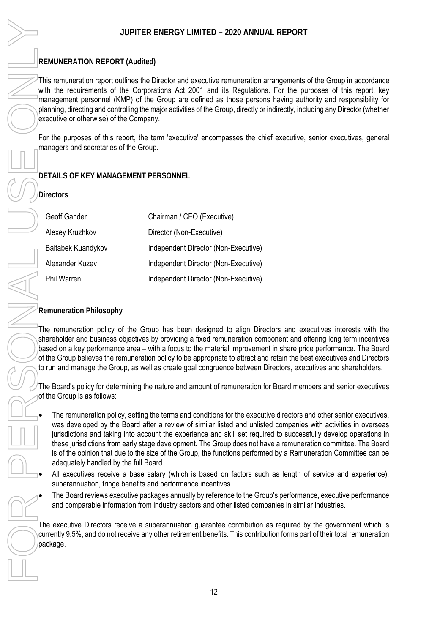### **REMUNERATION REPORT (Audited)**

This remuneration report outlines the Director and executive remuneration arrangements of the Group in accordance with the requirements of the Corporations Act 2001 and its Regulations. For the purposes of this report, key management personnel (KMP) of the Group are defined as those persons having authority and responsibility for planning, directing and controlling the major activities of the Group, directly or indirectly, including any Director (whether executive or otherwise) of the Company.

For the purposes of this report, the term 'executive' encompasses the chief executive, senior executives, general managers and secretaries of the Group.

### **DETAILS OF KEY MANAGEMENT PERSONNEL**

**Directors** 

| Geoff Gander       | Chairman / CEO (Executive)           |
|--------------------|--------------------------------------|
| Alexey Kruzhkov    | Director (Non-Executive)             |
| Baltabek Kuandykov | Independent Director (Non-Executive) |
| Alexander Kuzev    | Independent Director (Non-Executive) |
| Phil Warren        | Independent Director (Non-Executive) |

### **Remuneration Philosophy**

The remuneration policy of the Group has been designed to align Directors and executives interests with the shareholder and business objectives by providing a fixed remuneration component and offering long term incentives based on a key performance area – with a focus to the material improvement in share price performance. The Board of the Group believes the remuneration policy to be appropriate to attract and retain the best executives and Directors to run and manage the Group, as well as create goal congruence between Directors, executives and shareholders.

The Board's policy for determining the nature and amount of remuneration for Board members and senior executives of the Group is as follows:

- The remuneration policy, setting the terms and conditions for the executive directors and other senior executives, was developed by the Board after a review of similar listed and unlisted companies with activities in overseas jurisdictions and taking into account the experience and skill set required to successfully develop operations in these jurisdictions from early stage development. The Group does not have a remuneration committee. The Board is of the opinion that due to the size of the Group, the functions performed by a Remuneration Committee can be adequately handled by the full Board.
- All executives receive a base salary (which is based on factors such as length of service and experience), superannuation, fringe benefits and performance incentives.
- The Board reviews executive packages annually by reference to the Group's performance, executive performance and comparable information from industry sectors and other listed companies in similar industries.

The executive Directors receive a superannuation guarantee contribution as required by the government which is currently 9.5%, and do not receive any other retirement benefits. This contribution forms part of their total remuneration package.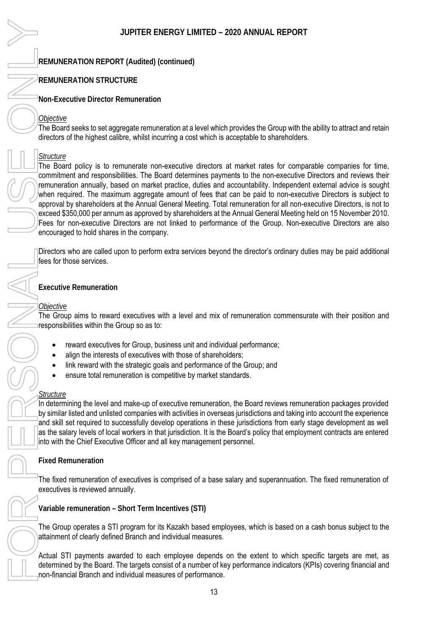### **REMUNERATION REPORT (Audited) (continued)**

### **REMUNERATION STRUCTURE**

**Non-Executive Director Remuneration**

### *Objective*

The Board seeks to set aggregate remuneration at a level which provides the Group with the ability to attract and retain directors of the highest calibre, whilst incurring a cost which is acceptable to shareholders.

### *Structure*

The Board policy is to remunerate non-executive directors at market rates for comparable companies for time, commitment and responsibilities. The Board determines payments to the non-executive Directors and reviews their remuneration annually, based on market practice, duties and accountability. Independent external advice is sought when required. The maximum aggregate amount of fees that can be paid to non-executive Directors is subject to approval by shareholders at the Annual General Meeting. Total remuneration for all non-executive Directors, is not to exceed \$350,000 per annum as approved by shareholders at the Annual General Meeting held on 15 November 2010. Fees for non-executive Directors are not linked to performance of the Group. Non-executive Directors are also encouraged to hold shares in the company. determined by the targets consistent of a number of a number of a number of a number of a number of a number of a number of a number of a number of a number of a number of a number of a number of a number of a number of a

Directors who are called upon to perform extra services beyond the director's ordinary duties may be paid additional fees for those services.

### **Executive Remuneration**

### *Objective*

The Group aims to reward executives with a level and mix of remuneration commensurate with their position and responsibilities within the Group so as to:

- $\bullet$ reward executives for Group, business unit and individual performance;
- $\bullet$ align the interests of executives with those of shareholders;
- link reward with the strategic goals and performance of the Group; and
- $\bullet$ ensure total remuneration is competitive by market standards.

### *Structure*

In determining the level and make-up of executive remuneration, the Board reviews remuneration packages provided by similar listed and unlisted companies with activities in overseas jurisdictions and taking into account the experience and skill set required to successfully develop operations in these jurisdictions from early stage development as well as the salary levels of local workers in that jurisdiction. It is the Board's policy that employment contracts are entered into with the Chief Executive Officer and all key management personnel.

### **Fixed Remuneration**

The fixed remuneration of executives is comprised of a base salary and superannuation. The fixed remuneration of executives is reviewed annually.

**Variable remuneration – Short Term Incentives (STI)** 

The Group operates a STI program for its Kazakh based employees, which is based on a cash bonus subject to the attainment of clearly defined Branch and individual measures.

Actual STI payments awarded to each employee depends on the extent to which specific targets are met, as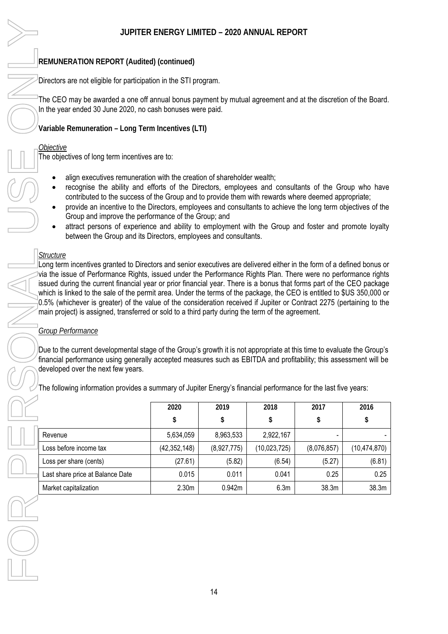### **REMUNERATION REPORT (Audited) (continued)**

Directors are not eligible for participation in the STI program.

The CEO may be awarded a one off annual bonus payment by mutual agreement and at the discretion of the Board. In the year ended 30 June 2020, no cash bonuses were paid.

**Variable Remuneration – Long Term Incentives (LTI)** 

### *Objective*

The objectives of long term incentives are to:

- align executives remuneration with the creation of shareholder wealth;
- $\bullet$  recognise the ability and efforts of the Directors, employees and consultants of the Group who have contributed to the success of the Group and to provide them with rewards where deemed appropriate;
- $\bullet$  provide an incentive to the Directors, employees and consultants to achieve the long term objectives of the Group and improve the performance of the Group; and
- $\bullet$  attract persons of experience and ability to employment with the Group and foster and promote loyalty between the Group and its Directors, employees and consultants.

### *Structure*

Long term incentives granted to Directors and senior executives are delivered either in the form of a defined bonus or via the issue of Performance Rights, issued under the Performance Rights Plan. There were no performance rights issued during the current financial year or prior financial year. There is a bonus that forms part of the CEO package which is linked to the sale of the permit area. Under the terms of the package, the CEO is entitled to \$US 350,000 or 0.5% (whichever is greater) of the value of the consideration received if Jupiter or Contract 2275 (pertaining to the main project) is assigned, transferred or sold to a third party during the term of the agreement.

### *Group Performance*

Due to the current developmental stage of the Group's growth it is not appropriate at this time to evaluate the Group's financial performance using generally accepted measures such as EBITDA and profitability; this assessment will be developed over the next few years.

The following information provides a summary of Jupiter Energy's financial performance for the last five years:

|                                  | 2020              | 2019        | 2018         | 2017                     | 2016           |
|----------------------------------|-------------------|-------------|--------------|--------------------------|----------------|
|                                  | \$                | \$          |              |                          | \$             |
| Revenue                          | 5,634,059         | 8,963,533   | 2,922,167    | $\overline{\phantom{0}}$ |                |
| Loss before income tax           | (42, 352, 148)    | (8,927,775) | (10,023,725) | (8,076,857)              | (10, 474, 870) |
| Loss per share (cents)           | (27.61)           | (5.82)      | (6.54)       | (5.27)                   | (6.81)         |
| Last share price at Balance Date | 0.015             | 0.011       | 0.041        | 0.25                     | 0.25           |
| Market capitalization            | 2.30 <sub>m</sub> | 0.942m      | 6.3m         | 38.3m                    | 38.3m          |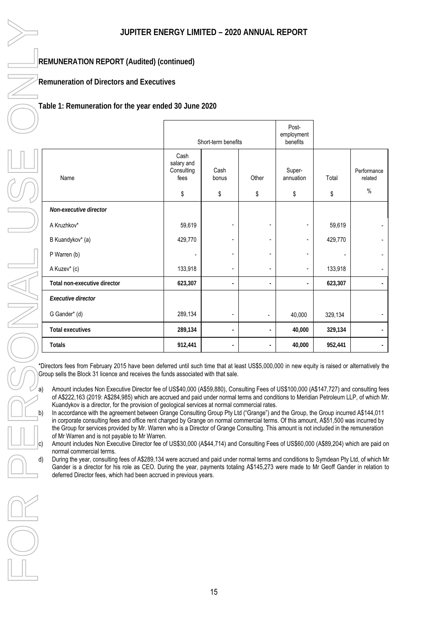### **REMUNERATION REPORT (Audited) (continued)**

**Remuneration of Directors and Executives** 

### **Table 1: Remuneration for the year ended 30 June 2020**

|                              | Short-term benefits                            |                          |                          | Post-<br>employment<br>benefits |             |                                |
|------------------------------|------------------------------------------------|--------------------------|--------------------------|---------------------------------|-------------|--------------------------------|
| Name                         | Cash<br>salary and<br>Consulting<br>fees<br>\$ | Cash<br>bonus<br>\$      | Other<br>\$              | Super-<br>annuation<br>\$       | Total<br>\$ | Performance<br>related<br>$\%$ |
|                              |                                                |                          |                          |                                 |             |                                |
| Non-executive director       |                                                |                          |                          |                                 |             |                                |
| A Kruzhkov*                  | 59,619                                         |                          |                          |                                 | 59,619      |                                |
| B Kuandykov* (a)             | 429,770                                        |                          |                          | ۰                               | 429,770     | ۰                              |
| P Warren (b)                 | $\overline{\phantom{a}}$                       |                          |                          |                                 |             | ٠                              |
| A Kuzev* (c)                 | 133,918                                        | ٠                        |                          |                                 | 133,918     |                                |
| Total non-executive director | 623,307                                        | $\overline{\phantom{a}}$ | ٠                        |                                 | 623,307     |                                |
| Executive director           |                                                |                          |                          |                                 |             |                                |
| G Gander* (d)                | 289,134                                        | $\overline{\phantom{a}}$ | $\overline{\phantom{a}}$ | 40,000                          | 329,134     |                                |
| <b>Total executives</b>      | 289,134                                        | $\blacksquare$           |                          | 40,000                          | 329,134     |                                |
| Totals                       | 912,441                                        | $\blacksquare$           |                          | 40,000                          | 952,441     |                                |

\*Directors fees from February 2015 have been deferred until such time that at least US\$5,000,000 in new equity is raised or alternatively the Group sells the Block 31 licence and receives the funds associated with that sale.

a) Amount includes Non Executive Director fee of US\$40,000 (A\$59,880), Consulting Fees of US\$100,000 (A\$147,727) and consulting fees of A\$222,163 (2019: A\$284,985) which are accrued and paid under normal terms and conditions to Meridian Petroleum LLP, of which Mr. Kuandykov is a director, for the provision of geological services at normal commercial rates.

b) In accordance with the agreement between Grange Consulting Group Pty Ltd ("Grange") and the Group, the Group incurred A\$144,011 in corporate consulting fees and office rent charged by Grange on normal commercial terms. Of this amount, A\$51,500 was incurred by the Group for services provided by Mr. Warren who is a Director of Grange Consulting. This amount is not included in the remuneration of Mr Warren and is not payable to Mr Warren.

c) Amount includes Non Executive Director fee of US\$30,000 (A\$44,714) and Consulting Fees of US\$60,000 (A\$89,204) which are paid on normal commercial terms.

d) During the year, consulting fees of A\$289,134 were accrued and paid under normal terms and conditions to Symdean Pty Ltd, of which Mr Gander is a director for his role as CEO. During the year, payments totaling A\$145,273 were made to Mr Geoff Gander in relation to deferred Director fees, which had been accrued in previous years.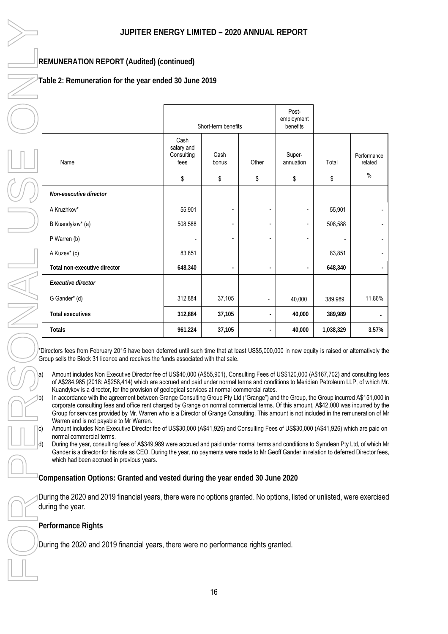### **REMUNERATION REPORT (Audited) (continued)**

**Table 2: Remuneration for the year ended 30 June 2019** 

|                              | Short-term benefits                      |                          |                          | Post-<br>employment<br>benefits |           |                                |
|------------------------------|------------------------------------------|--------------------------|--------------------------|---------------------------------|-----------|--------------------------------|
| Name                         | Cash<br>salary and<br>Consulting<br>fees | Cash<br>bonus            | Other                    | Super-<br>annuation             | Total     | Performance<br>related<br>$\%$ |
|                              | \$                                       | \$                       | \$                       | \$                              | \$        |                                |
| Non-executive director       |                                          |                          |                          |                                 |           |                                |
| A Kruzhkov*                  | 55,901                                   | ٠                        | $\overline{\phantom{a}}$ |                                 | 55,901    | -                              |
| B Kuandykov* (a)             | 508,588                                  | $\overline{\phantom{a}}$ | $\overline{\phantom{a}}$ |                                 | 508,588   |                                |
| P Warren (b)                 | $\blacksquare$                           | $\overline{\phantom{a}}$ | $\overline{\phantom{a}}$ |                                 |           | $\blacksquare$                 |
| A Kuzev* (c)                 | 83,851                                   |                          |                          |                                 | 83,851    |                                |
| Total non-executive director | 648,340                                  | $\overline{\phantom{a}}$ | $\overline{\phantom{a}}$ |                                 | 648,340   |                                |
| Executive director           |                                          |                          |                          |                                 |           |                                |
| G Gander* (d)                | 312,884                                  | 37,105                   | $\blacksquare$           | 40,000                          | 389,989   | 11.86%                         |
| <b>Total executives</b>      | 312,884                                  | 37,105                   | $\overline{a}$           | 40,000                          | 389,989   |                                |
| <b>Totals</b>                | 961,224                                  | 37,105                   | $\overline{\phantom{a}}$ | 40,000                          | 1,038,329 | 3.57%                          |

\*Directors fees from February 2015 have been deferred until such time that at least US\$5,000,000 in new equity is raised or alternatively the Group sells the Block 31 licence and receives the funds associated with that sale.

a) Amount includes Non Executive Director fee of US\$40,000 (A\$55,901), Consulting Fees of US\$120,000 (A\$167,702) and consulting fees of A\$284,985 (2018: A\$258,414) which are accrued and paid under normal terms and conditions to Meridian Petroleum LLP, of which Mr. Kuandykov is a director, for the provision of geological services at normal commercial rates.

In accordance with the agreement between Grange Consulting Group Pty Ltd ("Grange") and the Group, the Group incurred A\$151,000 in corporate consulting fees and office rent charged by Grange on normal commercial terms. Of this amount, A\$42,000 was incurred by the Group for services provided by Mr. Warren who is a Director of Grange Consulting. This amount is not included in the remuneration of Mr Warren and is not payable to Mr Warren.

c) Amount includes Non Executive Director fee of US\$30,000 (A\$41,926) and Consulting Fees of US\$30,000 (A\$41,926) which are paid on normal commercial terms.

During the year, consulting fees of A\$349,989 were accrued and paid under normal terms and conditions to Symdean Pty Ltd, of which Mr Gander is a director for his role as CEO. During the year, no payments were made to Mr Geoff Gander in relation to deferred Director fees, which had been accrued in previous years.

**Compensation Options: Granted and vested during the year ended 30 June 2020** 

During the 2020 and 2019 financial years, there were no options granted. No options, listed or unlisted, were exercised during the year.

**Performance Rights** 

During the 2020 and 2019 financial years, there were no performance rights granted.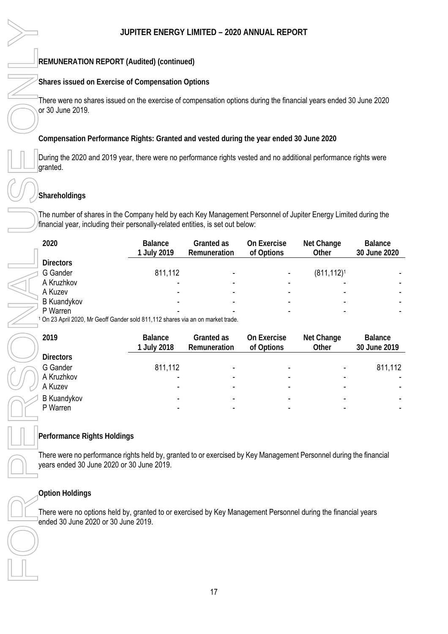### **REMUNERATION REPORT (Audited) (continued)**

### **Shares issued on Exercise of Compensation Options**

There were no shares issued on the exercise of compensation options during the financial years ended 30 June 2020 or 30 June 2019.

**Compensation Performance Rights: Granted and vested during the year ended 30 June 2020**

During the 2020 and 2019 year, there were no performance rights vested and no additional performance rights were granted.

### **Shareholdings**

The number of shares in the Company held by each Key Management Personnel of Jupiter Energy Limited during the financial year, including their personally-related entities, is set out below:

| 2020               | <b>Balance</b><br>1 July 2019 | Granted as<br>Remuneration | On Exercise<br>of Options | Net Change<br>Other | Balance<br>30 June 2020 |
|--------------------|-------------------------------|----------------------------|---------------------------|---------------------|-------------------------|
| <b>Directors</b>   |                               |                            |                           |                     |                         |
| G Gander           | 811,112                       |                            |                           | $(811, 112)^1$      |                         |
| A Kruzhkov         |                               |                            |                           | -                   |                         |
| A Kuzev            |                               | -                          |                           |                     | ۰.                      |
| <b>B</b> Kuandykov |                               |                            |                           | ۰                   |                         |
| P Warren           |                               |                            |                           |                     |                         |

1 On 23 April 2020, Mr Geoff Gander sold 811,112 shares via an on market trade.

| 2019               | <b>Balance</b><br>1 July 2018 | Granted as<br>Remuneration | On Exercise<br>of Options | Net Change<br>Other      | Balance<br>30 June 2019 |
|--------------------|-------------------------------|----------------------------|---------------------------|--------------------------|-------------------------|
| <b>Directors</b>   |                               |                            |                           |                          |                         |
| G Gander           | 811,112                       |                            |                           | $\blacksquare$           | 811,112                 |
| A Kruzhkov         |                               | -                          |                           | ۰                        |                         |
| A Kuzev            |                               | -                          |                           | -                        |                         |
| <b>B Kuandykov</b> |                               |                            |                           | $\overline{\phantom{0}}$ | ۰.                      |
| P Warren           |                               | -                          |                           | ۰                        |                         |

### **Performance Rights Holdings**

There were no performance rights held by, granted to or exercised by Key Management Personnel during the financial years ended 30 June 2020 or 30 June 2019.

### **Option Holdings**

There were no options held by, granted to or exercised by Key Management Personnel during the financial years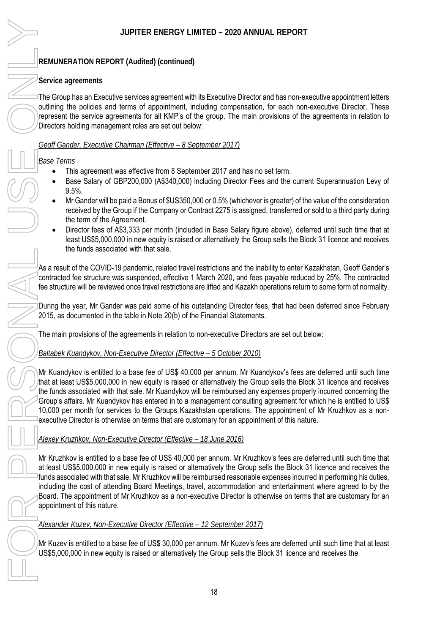### **REMUNERATION REPORT (Audited) (continued)**

### **Service agreements**

The Group has an Executive services agreement with its Executive Director and has non-executive appointment letters outlining the policies and terms of appointment, including compensation, for each non-executive Director. These represent the service agreements for all KMP's of the group. The main provisions of the agreements in relation to Directors holding management roles are set out below:

### *Geoff Gander, Executive Chairman (Effective – 8 September 2017)*

*Base Terms* 

- -This agreement was effective from 8 September 2017 and has no set term.
- - Base Salary of GBP200,000 (A\$340,000) including Director Fees and the current Superannuation Levy of 9.5%.
- $\bullet$  Mr Gander will be paid a Bonus of \$US350,000 or 0.5% (whichever is greater) of the value of the consideration received by the Group if the Company or Contract 2275 is assigned, transferred or sold to a third party during the term of the Agreement.
- $\bullet$  Director fees of A\$3,333 per month (included in Base Salary figure above), deferred until such time that at least US\$5,000,000 in new equity is raised or alternatively the Group sells the Block 31 licence and receives the funds associated with that sale.

As a result of the COVID-19 pandemic, related travel restrictions and the inability to enter Kazakhstan, Geoff Gander's contracted fee structure was suspended, effective 1 March 2020, and fees payable reduced by 25%. The contracted fee structure will be reviewed once travel restrictions are lifted and Kazakh operations return to some form of normality.

During the year, Mr Gander was paid some of his outstanding Director fees, that had been deferred since February 2015, as documented in the table in Note 20(b) of the Financial Statements.

The main provisions of the agreements in relation to non-executive Directors are set out below:

### *Baltabek Kuandykov, Non-Executive Director (Effective – 5 October 2010)*

Mr Kuandykov is entitled to a base fee of US\$ 40,000 per annum. Mr Kuandykov's fees are deferred until such time that at least US\$5,000,000 in new equity is raised or alternatively the Group sells the Block 31 licence and receives the funds associated with that sale. Mr Kuandykov will be reimbursed any expenses properly incurred concerning the Group's affairs. Mr Kuandykov has entered in to a management consulting agreement for which he is entitled to US\$ 10,000 per month for services to the Groups Kazakhstan operations. The appointment of Mr Kruzhkov as a nonexecutive Director is otherwise on terms that are customary for an appointment of this nature.

### *Alexey Kruzhkov, Non-Executive Director (Effective – 18 June 2016)*

Mr Kruzhkov is entitled to a base fee of US\$ 40,000 per annum. Mr Kruzhkov's fees are deferred until such time that at least US\$5,000,000 in new equity is raised or alternatively the Group sells the Block 31 licence and receives the funds associated with that sale. Mr Kruzhkov will be reimbursed reasonable expenses incurred in performing his duties, including the cost of attending Board Meetings, travel, accommodation and entertainment where agreed to by the Board. The appointment of Mr Kruzhkov as a non-executive Director is otherwise on terms that are customary for an appointment of this nature.

### *Alexander Kuzev, Non-Executive Director (Effective – 12 September 2017)*

Mr Kuzev is entitled to a base fee of US\$ 30,000 per annum. Mr Kuzev's fees are deferred until such time that at least US\$5,000,000 in new equity is raised or alternatively the Group sells the Block 31 licence and receives the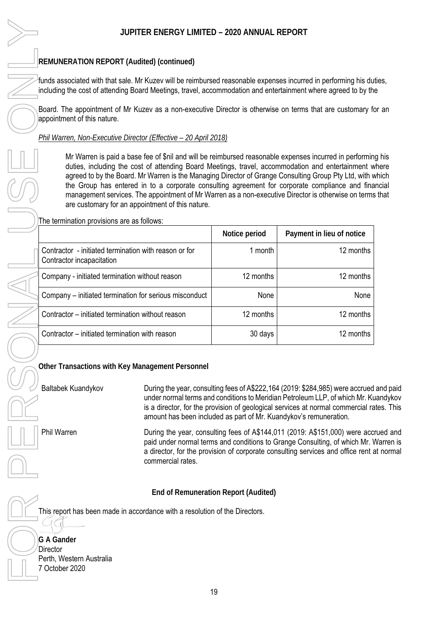### **REMUNERATION REPORT (Audited) (continued)**

Mr Warren is paid a base fee of \$nil and will be reimbursed reasonable expenses incurred in performing his duties, including the cost of attending Board Meetings, travel, accommodation and entertainment where agreed to by the Board. Mr Warren is the Managing Director of Grange Consulting Group Pty Ltd, with which the Group has entered in to a corporate consulting agreement for corporate compliance and financial management services. The appointment of Mr Warren as a non-executive Director is otherwise on terms that are customary for an appointment of this nature.

| JUPITER ENERGY LIMITED - 2020 ANNUAL REPORT                                                                                                                                                                                      |                   |                                      |                                                                                                                                                                                                                                                                                                                                                                                                                                                                                                                               |  |
|----------------------------------------------------------------------------------------------------------------------------------------------------------------------------------------------------------------------------------|-------------------|--------------------------------------|-------------------------------------------------------------------------------------------------------------------------------------------------------------------------------------------------------------------------------------------------------------------------------------------------------------------------------------------------------------------------------------------------------------------------------------------------------------------------------------------------------------------------------|--|
| REMUNERATION REPORT (Audited) (continued)                                                                                                                                                                                        |                   |                                      |                                                                                                                                                                                                                                                                                                                                                                                                                                                                                                                               |  |
| funds associated with that sale. Mr Kuzev will be reimbursed reasonable expenses incurred in performing his du<br>including the cost of attending Board Meetings, travel, accommodation and entertainment where agreed to by the |                   |                                      |                                                                                                                                                                                                                                                                                                                                                                                                                                                                                                                               |  |
| Board. The appointment of Mr Kuzev as a non-executive Director is otherwise on terms that are customary fo<br>appointment of this nature.                                                                                        |                   |                                      |                                                                                                                                                                                                                                                                                                                                                                                                                                                                                                                               |  |
| Phil Warren, Non-Executive Director (Effective - 20 April 2018)                                                                                                                                                                  |                   |                                      |                                                                                                                                                                                                                                                                                                                                                                                                                                                                                                                               |  |
| are customary for an appointment of this nature.                                                                                                                                                                                 |                   |                                      | Mr Warren is paid a base fee of \$nil and will be reimbursed reasonable expenses incurred in performin<br>duties, including the cost of attending Board Meetings, travel, accommodation and entertainment w<br>agreed to by the Board. Mr Warren is the Managing Director of Grange Consulting Group Pty Ltd, with w<br>the Group has entered in to a corporate consulting agreement for corporate compliance and fina<br>management services. The appointment of Mr Warren as a non-executive Director is otherwise on terms |  |
| The termination provisions are as follows:                                                                                                                                                                                       |                   |                                      |                                                                                                                                                                                                                                                                                                                                                                                                                                                                                                                               |  |
|                                                                                                                                                                                                                                  |                   | Notice period                        | Payment in lieu of notice                                                                                                                                                                                                                                                                                                                                                                                                                                                                                                     |  |
| Contractor - initiated termination with reason or for<br>Contractor incapacitation                                                                                                                                               |                   | 1 month                              | 12 months                                                                                                                                                                                                                                                                                                                                                                                                                                                                                                                     |  |
| Company - initiated termination without reason                                                                                                                                                                                   |                   | 12 months                            | 12 months                                                                                                                                                                                                                                                                                                                                                                                                                                                                                                                     |  |
| Company - initiated termination for serious misconduct                                                                                                                                                                           |                   | None                                 | None                                                                                                                                                                                                                                                                                                                                                                                                                                                                                                                          |  |
| Contractor - initiated termination without reason                                                                                                                                                                                |                   | 12 months                            | 12 months                                                                                                                                                                                                                                                                                                                                                                                                                                                                                                                     |  |
| Contractor – initiated termination with reason                                                                                                                                                                                   |                   | 30 days                              | 12 months                                                                                                                                                                                                                                                                                                                                                                                                                                                                                                                     |  |
| Other Transactions with Key Management Personnel                                                                                                                                                                                 |                   |                                      |                                                                                                                                                                                                                                                                                                                                                                                                                                                                                                                               |  |
| Baltabek Kuandykov                                                                                                                                                                                                               |                   |                                      | During the year, consulting fees of A\$222,164 (2019: \$284,985) were accrued<br>under normal terms and conditions to Meridian Petroleum LLP, of which Mr. Ku<br>is a director, for the provision of geological services at normal commercial ra<br>amount has been included as part of Mr. Kuandykov's remuneration.                                                                                                                                                                                                         |  |
| Phil Warren                                                                                                                                                                                                                      | commercial rates. |                                      | During the year, consulting fees of A\$144,011 (2019: A\$151,000) were acco<br>paid under normal terms and conditions to Grange Consulting, of which Mr. V<br>a director, for the provision of corporate consulting services and office rent a                                                                                                                                                                                                                                                                                |  |
|                                                                                                                                                                                                                                  |                   | End of Remuneration Report (Audited) |                                                                                                                                                                                                                                                                                                                                                                                                                                                                                                                               |  |
| This report has been made in accordance with a resolution of the Directors.                                                                                                                                                      |                   |                                      |                                                                                                                                                                                                                                                                                                                                                                                                                                                                                                                               |  |
|                                                                                                                                                                                                                                  |                   |                                      |                                                                                                                                                                                                                                                                                                                                                                                                                                                                                                                               |  |
| G A Gander<br>Director                                                                                                                                                                                                           |                   |                                      |                                                                                                                                                                                                                                                                                                                                                                                                                                                                                                                               |  |
| Perth, Western Australia<br>7 October 2020                                                                                                                                                                                       |                   |                                      |                                                                                                                                                                                                                                                                                                                                                                                                                                                                                                                               |  |

Baltabek Kuandykov During the year, consulting fees of A\$222,164 (2019: \$284,985) were accrued and paid under normal terms and conditions to Meridian Petroleum LLP, of which Mr. Kuandykov is a director, for the provision of geological services at normal commercial rates. This amount has been included as part of Mr. Kuandykov's remuneration.

Phil Warren **During the year, consulting fees of A\$144,011** (2019: A\$151,000) were accrued and paid under normal terms and conditions to Grange Consulting, of which Mr. Warren is a director, for the provision of corporate consulting services and office rent at normal commercial rates.

| G A Gander               |
|--------------------------|
| Director                 |
| Perth, Western Australia |
| 7 October 2020           |
|                          |

19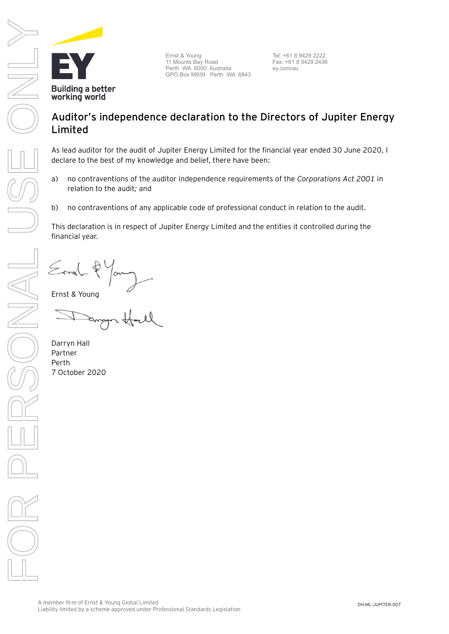

A member firm of Ernst & Young Global Limited Liability limited by a scheme approved under Professional Standards Legislation

DH:ML:JUPITER:007

### Ernst & Young 11 Mounts Bay Road Perth WA 6000 Australia GPO Box M939 Perth WA 6843

Tel: +61 8 9429 2222 Fax: +61 8 9429 2436 ey.com/au

### **Auditor's independence declaration to the Directors of Jupiter Energy Limited**

As lead auditor for the audit of Jupiter Energy Limited for the financial year ended 30 June 2020, I declare to the best of my knowledge and belief, there have been:

- a) no contraventions of the auditor independence requirements of the *Corporations Act 2001* in relation to the audit*;* and
- b) no contraventions of any applicable code of professional conduct in relation to the audit.

This declaration is in respect of Jupiter Energy Limited and the entities it controlled during the financial year.

Ernst & Young

**Building a better** working world

Darryn Hall Partner Perth 7 October 2020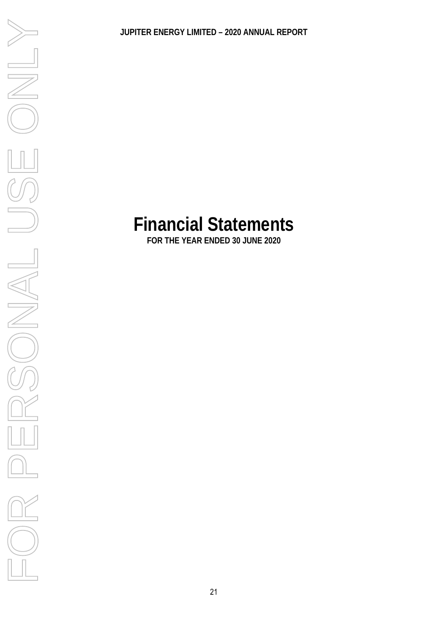## **Financial Statements**

**FOR THE YEAR ENDED 30 JUNE 2020** 

FOR PERSONAL VERSINEY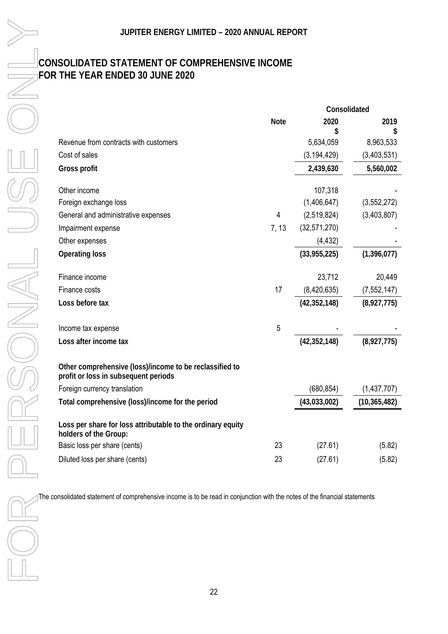### **CONSOLIDATED STATEMENT OF COMPREHENSIVE INCOME FOR THE YEAR ENDED 30 JUNE 2020**

| JUPITER ENERGY LIMITED - 2020 ANNUAL REPORT                                                                                |             |                      |                |  |
|----------------------------------------------------------------------------------------------------------------------------|-------------|----------------------|----------------|--|
| CONSOLIDATED STATEMENT OF COMPREHENSIVE INCOME<br>FOR THE YEAR ENDED 30 JUNE 2020                                          |             |                      |                |  |
|                                                                                                                            |             |                      |                |  |
|                                                                                                                            | <b>Note</b> | Consolidated<br>2020 | 2019           |  |
|                                                                                                                            |             | \$                   | \$             |  |
| Revenue from contracts with customers                                                                                      |             | 5,634,059            | 8,963,533      |  |
| Cost of sales                                                                                                              |             | (3, 194, 429)        | (3,403,531)    |  |
| Gross profit                                                                                                               |             | 2,439,630            | 5,560,002      |  |
| Other income                                                                                                               |             | 107,318              |                |  |
| Foreign exchange loss                                                                                                      |             | (1,406,647)          | (3, 552, 272)  |  |
| General and administrative expenses                                                                                        | 4           | (2,519,824)          | (3,403,807)    |  |
| Impairment expense                                                                                                         | 7, 13       | (32, 571, 270)       |                |  |
| Other expenses                                                                                                             |             | (4, 432)             |                |  |
| <b>Operating loss</b>                                                                                                      |             | (33,955,225)         | (1, 396, 077)  |  |
| Finance income                                                                                                             |             | 23,712               | 20,449         |  |
| Finance costs                                                                                                              | 17          | (8,420,635)          | (7, 552, 147)  |  |
| Loss before tax                                                                                                            |             | (42, 352, 148)       | (8,927,775)    |  |
| Income tax expense                                                                                                         | 5           |                      |                |  |
| Loss after income tax                                                                                                      |             | (42, 352, 148)       | (8,927,775)    |  |
| Other comprehensive (loss)/income to be reclassified to<br>profit or loss in subsequent periods                            |             |                      |                |  |
| Foreign currency translation                                                                                               |             | (680, 854)           | (1,437,707)    |  |
| Total comprehensive (loss)/income for the period                                                                           |             | (43,033,002)         | (10, 365, 482) |  |
| Loss per share for loss attributable to the ordinary equity<br>holders of the Group:                                       |             |                      |                |  |
| Basic loss per share (cents)                                                                                               | 23          | (27.61)              | (5.82)         |  |
| Diluted loss per share (cents)                                                                                             | 23          | (27.61)              | (5.82)         |  |
| The consolidated statement of comprehensive income is to be read in conjunction with the notes of the financial statements |             |                      |                |  |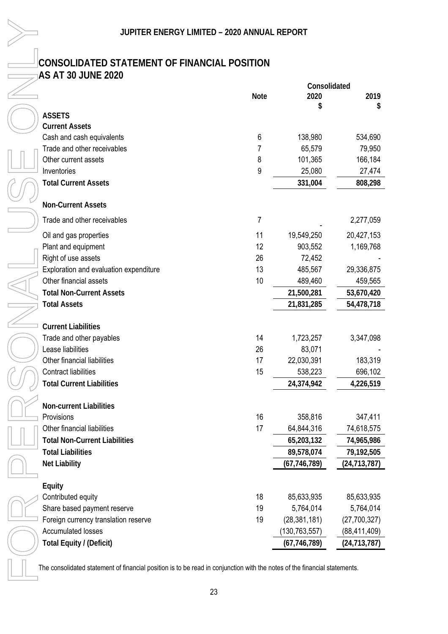### **CONSOLIDATED STATEMENT OF FINANCIAL POSITION AS AT 30 JUNE 2020**

| JUPITER ENERGY LIMITED - 2020 ANNUAL REPORT                                                                               |             |                 |                |
|---------------------------------------------------------------------------------------------------------------------------|-------------|-----------------|----------------|
| CONSOLIDATED STATEMENT OF FINANCIAL POSITION                                                                              |             |                 |                |
| <b>AS AT 30 JUNE 2020</b>                                                                                                 |             |                 |                |
|                                                                                                                           |             | Consolidated    |                |
|                                                                                                                           | <b>Note</b> | 2020            | 2019           |
|                                                                                                                           |             |                 | S              |
| <b>ASSETS</b>                                                                                                             |             |                 |                |
| <b>Current Assets</b>                                                                                                     |             |                 |                |
| Cash and cash equivalents                                                                                                 | 6           | 138,980         | 534,690        |
| Trade and other receivables                                                                                               | 7           | 65,579          | 79,950         |
| Other current assets                                                                                                      | 8           | 101,365         | 166,184        |
| Inventories                                                                                                               | 9           | 25,080          | 27,474         |
| <b>Total Current Assets</b>                                                                                               |             | 331,004         | 808,298        |
| <b>Non-Current Assets</b>                                                                                                 |             |                 |                |
| Trade and other receivables                                                                                               | 7           |                 | 2,277,059      |
| Oil and gas properties                                                                                                    | 11          | 19,549,250      | 20,427,153     |
| Plant and equipment                                                                                                       | 12          | 903,552         | 1,169,768      |
| Right of use assets                                                                                                       | 26          | 72,452          |                |
| Exploration and evaluation expenditure                                                                                    | 13          | 485,567         | 29,336,875     |
| Other financial assets                                                                                                    | 10          | 489,460         | 459,565        |
| <b>Total Non-Current Assets</b>                                                                                           |             | 21,500,281      | 53,670,420     |
| <b>Total Assets</b>                                                                                                       |             | 21,831,285      | 54,478,718     |
|                                                                                                                           |             |                 |                |
| <b>Current Liabilities</b>                                                                                                |             |                 |                |
| Trade and other payables                                                                                                  | 14          | 1,723,257       | 3,347,098      |
| Lease liabilities                                                                                                         | 26          | 83,071          |                |
| Other financial liabilities                                                                                               | 17          | 22,030,391      | 183,319        |
| <b>Contract liabilities</b>                                                                                               | 15          | 538,223         | 696,102        |
| <b>Total Current Liabilities</b>                                                                                          |             | 24,374,942      | 4,226,519      |
| <b>Non-current Liabilities</b>                                                                                            |             |                 |                |
| Provisions                                                                                                                | 16          | 358,816         | 347,411        |
| Other financial liabilities                                                                                               | 17          | 64,844,316      | 74,618,575     |
| <b>Total Non-Current Liabilities</b>                                                                                      |             | 65,203,132      | 74,965,986     |
| <b>Total Liabilities</b>                                                                                                  |             | 89,578,074      | 79,192,505     |
| Net Liability                                                                                                             |             | (67, 746, 789)  | (24, 713, 787) |
|                                                                                                                           |             |                 |                |
| Equity                                                                                                                    |             |                 |                |
| Contributed equity                                                                                                        | 18          | 85,633,935      | 85,633,935     |
| Share based payment reserve                                                                                               | 19          | 5,764,014       | 5,764,014      |
| Foreign currency translation reserve                                                                                      | 19          | (28, 381, 181)  | (27,700,327)   |
| <b>Accumulated losses</b>                                                                                                 |             | (130, 763, 557) | (88, 411, 409) |
| Total Equity / (Deficit)                                                                                                  |             | (67, 746, 789)  | (24, 713, 787) |
| The consolidated statement of financial position is to be read in conjunction with the notes of the financial statements. |             |                 |                |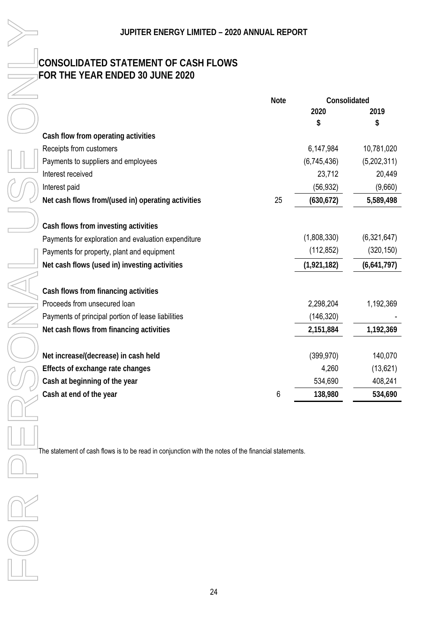### **CONSOLIDATED STATEMENT OF CASH FLOWS FOR THE YEAR ENDED 30 JUNE 2020**

|                                                     | <b>Note</b> | Consolidated |             |
|-----------------------------------------------------|-------------|--------------|-------------|
|                                                     |             | 2020         | 2019        |
|                                                     |             | \$           | \$          |
| Cash flow from operating activities                 |             |              |             |
| Receipts from customers                             |             | 6,147,984    | 10,781,020  |
| Payments to suppliers and employees                 |             | (6,745,436)  | (5,202,311) |
| Interest received                                   |             | 23,712       | 20,449      |
| Interest paid                                       |             | (56, 932)    | (9,660)     |
| Net cash flows from/(used in) operating activities  | 25          | (630, 672)   | 5,589,498   |
|                                                     |             |              |             |
| Cash flows from investing activities                |             |              |             |
| Payments for exploration and evaluation expenditure |             | (1,808,330)  | (6,321,647) |
| Payments for property, plant and equipment          |             | (112, 852)   | (320, 150)  |
| Net cash flows (used in) investing activities       |             | (1,921,182)  | (6,641,797) |
|                                                     |             |              |             |
| Cash flows from financing activities                |             |              |             |
| Proceeds from unsecured loan                        |             | 2,298,204    | 1,192,369   |
| Payments of principal portion of lease liabilities  |             | (146, 320)   |             |
| Net cash flows from financing activities            |             | 2,151,884    | 1,192,369   |
|                                                     |             |              |             |
| Net increase/(decrease) in cash held                |             | (399, 970)   | 140,070     |
| Effects of exchange rate changes                    |             | 4,260        | (13,621)    |
| Cash at beginning of the year                       |             | 534,690      | 408,241     |
| Cash at end of the year                             | 6           | 138,980      | 534,690     |

The statement of cash flows is to be read in conjunction with the notes of the financial statements.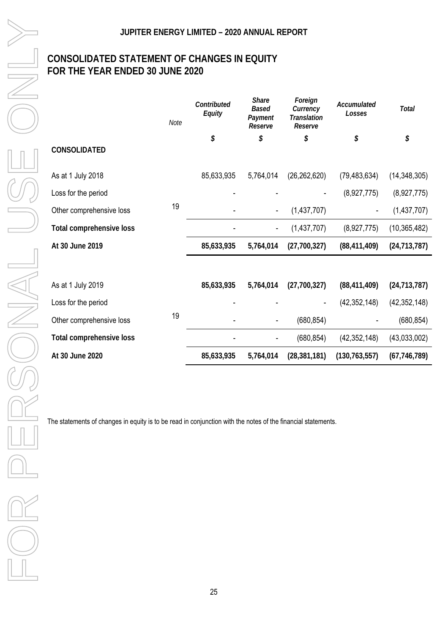### **CONSOLIDATED STATEMENT OF CHANGES IN EQUITY FOR THE YEAR ENDED 30 JUNE 2020**

|                          | Note | Contributed<br>Equity | Share<br><b>Based</b><br>Payment<br>Reserve | Foreign<br>Currency<br>Translation<br>Reserve | Accumulated<br>Losses | Total          |
|--------------------------|------|-----------------------|---------------------------------------------|-----------------------------------------------|-----------------------|----------------|
| CONSOLIDATED             |      | \$                    | \$                                          | \$                                            | \$                    | \$             |
| As at 1 July 2018        |      | 85,633,935            | 5,764,014                                   | (26, 262, 620)                                | (79, 483, 634)        | (14, 348, 305) |
| Loss for the period      |      |                       |                                             |                                               | (8,927,775)           | (8,927,775)    |
| Other comprehensive loss | 19   |                       |                                             | (1,437,707)                                   |                       | (1,437,707)    |
| Total comprehensive loss |      |                       | -                                           | (1,437,707)                                   | (8,927,775)           | (10, 365, 482) |
| At 30 June 2019          |      | 85,633,935            | 5,764,014                                   | (27,700,327)                                  | (88, 411, 409)        | (24, 713, 787) |
|                          |      |                       |                                             |                                               |                       |                |
| As at 1 July 2019        |      | 85,633,935            | 5,764,014                                   | (27,700,327)                                  | (88, 411, 409)        | (24, 713, 787) |
| Loss for the period      |      |                       |                                             |                                               | (42, 352, 148)        | (42, 352, 148) |
| Other comprehensive loss | 19   |                       |                                             | (680, 854)                                    |                       | (680, 854)     |
| Total comprehensive loss |      |                       |                                             | (680, 854)                                    | (42, 352, 148)        | (43,033,002)   |
| At 30 June 2020          |      | 85,633,935            | 5,764,014                                   | (28, 381, 181)                                | (130, 763, 557)       | (67, 746, 789) |

The statements of changes in equity is to be read in conjunction with the notes of the financial statements.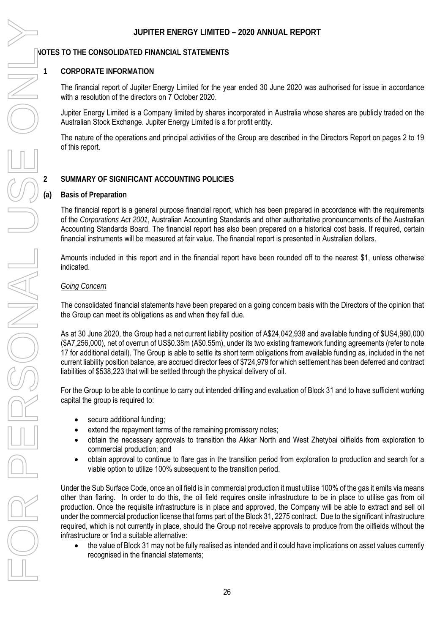### **1 CORPORATE INFORMATION**

The financial report of Jupiter Energy Limited for the year ended 30 June 2020 was authorised for issue in accordance with a resolution of the directors on 7 October 2020.

Jupiter Energy Limited is a Company limited by shares incorporated in Australia whose shares are publicly traded on the Australian Stock Exchange. Jupiter Energy Limited is a for profit entity.

The nature of the operations and principal activities of the Group are described in the Directors Report on pages 2 to 19 of this report.

### **2 SUMMARY OF SIGNIFICANT ACCOUNTING POLICIES**

### **(a) Basis of Preparation**

The financial report is a general purpose financial report, which has been prepared in accordance with the requirements of the *Corporations Act 2001*, Australian Accounting Standards and other authoritative pronouncements of the Australian Accounting Standards Board. The financial report has also been prepared on a historical cost basis. If required, certain financial instruments will be measured at fair value. The financial report is presented in Australian dollars.

Amounts included in this report and in the financial report have been rounded off to the nearest \$1, unless otherwise indicated.

### *Going Concern*

The consolidated financial statements have been prepared on a going concern basis with the Directors of the opinion that the Group can meet its obligations as and when they fall due.

As at 30 June 2020, the Group had a net current liability position of A\$24,042,938 and available funding of \$US4,980,000 (\$A7,256,000), net of overrun of US\$0.38m (A\$0.55m), under its two existing framework funding agreements (refer to note 17 for additional detail). The Group is able to settle its short term obligations from available funding as, included in the net current liability position balance, are accrued director fees of \$724,979 for which settlement has been deferred and contract liabilities of \$538,223 that will be settled through the physical delivery of oil.

For the Group to be able to continue to carry out intended drilling and evaluation of Block 31 and to have sufficient working capital the group is required to:

- secure additional funding;
- $\bullet$ extend the repayment terms of the remaining promissory notes;
- $\bullet$  obtain the necessary approvals to transition the Akkar North and West Zhetybai oilfields from exploration to commercial production; and
- $\bullet$  obtain approval to continue to flare gas in the transition period from exploration to production and search for a viable option to utilize 100% subsequent to the transition period.

Under the Sub Surface Code, once an oil field is in commercial production it must utilise 100% of the gas it emits via means other than flaring. In order to do this, the oil field requires onsite infrastructure to be in place to utilise gas from oil production. Once the requisite infrastructure is in place and approved, the Company will be able to extract and sell oil under the commercial production license that forms part of the Block 31, 2275 contract. Due to the significant infrastructure required, which is not currently in place, should the Group not receive approvals to produce from the oilfields without the infrastructure or find a suitable alternative:

 $\bullet$  the value of Block 31 may not be fully realised as intended and it could have implications on asset values currently recognised in the financial statements;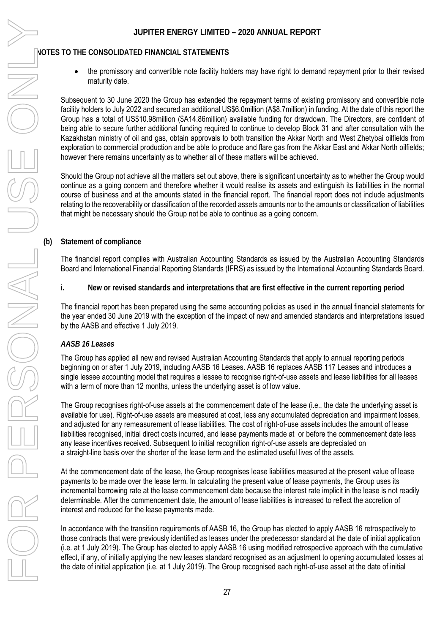$\bullet$  the promissory and convertible note facility holders may have right to demand repayment prior to their revised maturity date.

Subsequent to 30 June 2020 the Group has extended the repayment terms of existing promissory and convertible note facility holders to July 2022 and secured an additional US\$6.0million (A\$8.7million) in funding. At the date of this report the Group has a total of US\$10.98million (\$A14.86million) available funding for drawdown. The Directors, are confident of being able to secure further additional funding required to continue to develop Block 31 and after consultation with the Kazakhstan ministry of oil and gas, obtain approvals to both transition the Akkar North and West Zhetybai oilfields from exploration to commercial production and be able to produce and flare gas from the Akkar East and Akkar North oilfields; however there remains uncertainty as to whether all of these matters will be achieved.

Should the Group not achieve all the matters set out above, there is significant uncertainty as to whether the Group would continue as a going concern and therefore whether it would realise its assets and extinguish its liabilities in the normal course of business and at the amounts stated in the financial report. The financial report does not include adjustments relating to the recoverability or classification of the recorded assets amounts nor to the amounts or classification of liabilities that might be necessary should the Group not be able to continue as a going concern.

**(b) Statement of compliance** 

The financial report complies with Australian Accounting Standards as issued by the Australian Accounting Standards Board and International Financial Reporting Standards (IFRS) as issued by the International Accounting Standards Board.

**i. New or revised standards and interpretations that are first effective in the current reporting period** 

The financial report has been prepared using the same accounting policies as used in the annual financial statements for the year ended 30 June 2019 with the exception of the impact of new and amended standards and interpretations issued by the AASB and effective 1 July 2019.

### *AASB 16 Leases*

The Group has applied all new and revised Australian Accounting Standards that apply to annual reporting periods beginning on or after 1 July 2019, including AASB 16 Leases. AASB 16 replaces AASB 117 Leases and introduces a single lessee accounting model that requires a lessee to recognise right-of-use assets and lease liabilities for all leases with a term of more than 12 months, unless the underlying asset is of low value.

The Group recognises right-of-use assets at the commencement date of the lease (i.e., the date the underlying asset is available for use). Right-of-use assets are measured at cost, less any accumulated depreciation and impairment losses, and adjusted for any remeasurement of lease liabilities. The cost of right-of-use assets includes the amount of lease liabilities recognised, initial direct costs incurred, and lease payments made at or before the commencement date less any lease incentives received. Subsequent to initial recognition right-of-use assets are depreciated on a straight-line basis over the shorter of the lease term and the estimated useful lives of the assets.

At the commencement date of the lease, the Group recognises lease liabilities measured at the present value of lease payments to be made over the lease term. In calculating the present value of lease payments, the Group uses its incremental borrowing rate at the lease commencement date because the interest rate implicit in the lease is not readily determinable. After the commencement date, the amount of lease liabilities is increased to reflect the accretion of interest and reduced for the lease payments made.

In accordance with the transition requirements of AASB 16, the Group has elected to apply AASB 16 retrospectively to those contracts that were previously identified as leases under the predecessor standard at the date of initial application (i.e. at 1 July 2019). The Group has elected to apply AASB 16 using modified retrospective approach with the cumulative effect, if any, of initially applying the new leases standard recognised as an adjustment to opening accumulated losses at the date of initial application (i.e. at 1 July 2019). The Group recognised each right-of-use asset at the date of initial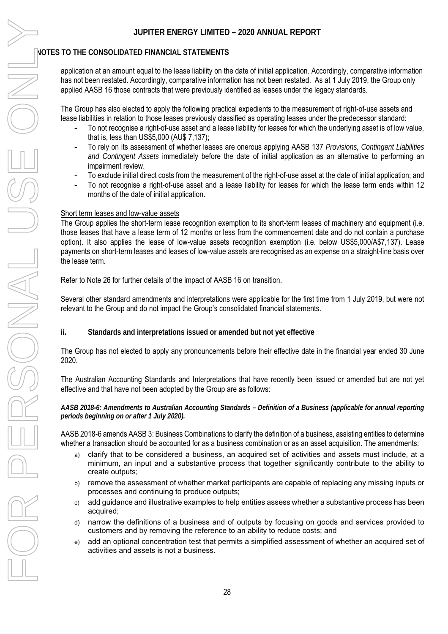application at an amount equal to the lease liability on the date of initial application. Accordingly, comparative information has not been restated. Accordingly, comparative information has not been restated. As at 1 July 2019, the Group only applied AASB 16 those contracts that were previously identified as leases under the legacy standards.

The Group has also elected to apply the following practical expedients to the measurement of right-of-use assets and lease liabilities in relation to those leases previously classified as operating leases under the predecessor standard:

- To not recognise a right-of-use asset and a lease liability for leases for which the underlying asset is of low value, that is, less than US\$5,000 (AU\$ 7,137);
- To rely on its assessment of whether leases are onerous applying AASB 137 *Provisions, Contingent Liabilities and Contingent Assets* immediately before the date of initial application as an alternative to performing an impairment review.
- To exclude initial direct costs from the measurement of the right-of-use asset at the date of initial application; and
- To not recognise a right-of-use asset and a lease liability for leases for which the lease term ends within 12 months of the date of initial application.

### Short term leases and low-value assets

The Group applies the short-term lease recognition exemption to its short-term leases of machinery and equipment (i.e. those leases that have a lease term of 12 months or less from the commencement date and do not contain a purchase option). It also applies the lease of low-value assets recognition exemption (i.e. below US\$5,000/A\$7,137). Lease payments on short-term leases and leases of low-value assets are recognised as an expense on a straight-line basis over the lease term.

Refer to Note 26 for further details of the impact of AASB 16 on transition.

Several other standard amendments and interpretations were applicable for the first time from 1 July 2019, but were not relevant to the Group and do not impact the Group's consolidated financial statements.

**ii. Standards and interpretations issued or amended but not yet effective** 

The Group has not elected to apply any pronouncements before their effective date in the financial year ended 30 June 2020.

The Australian Accounting Standards and Interpretations that have recently been issued or amended but are not yet effective and that have not been adopted by the Group are as follows:

*AASB 2018-6: Amendments to Australian Accounting Standards – Definition of a Business (applicable for annual reporting periods beginning on or after 1 July 2020).* 

AASB 2018-6 amends AASB 3: Business Combinations to clarify the definition of a business, assisting entities to determine whether a transaction should be accounted for as a business combination or as an asset acquisition. The amendments:

- a) clarify that to be considered a business, an acquired set of activities and assets must include, at a minimum, an input and a substantive process that together significantly contribute to the ability to create outputs;
- b) remove the assessment of whether market participants are capable of replacing any missing inputs or processes and continuing to produce outputs;
- c) add guidance and illustrative examples to help entities assess whether a substantive process has been acquired;
- d) narrow the definitions of a business and of outputs by focusing on goods and services provided to customers and by removing the reference to an ability to reduce costs; and
- e) add an optional concentration test that permits a simplified assessment of whether an acquired set of activities and assets is not a business.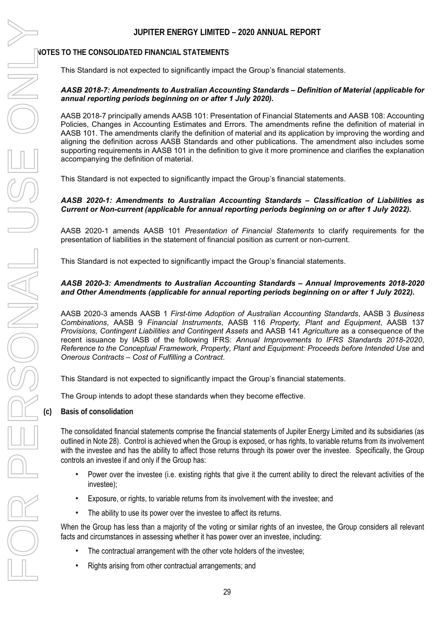This Standard is not expected to significantly impact the Group's financial statements.

### *AASB 2018-7: Amendments to Australian Accounting Standards – Definition of Material (applicable for annual reporting periods beginning on or after 1 July 2020).*

AASB 2018-7 principally amends AASB 101: Presentation of Financial Statements and AASB 108: Accounting Policies, Changes in Accounting Estimates and Errors. The amendments refine the definition of material in AASB 101. The amendments clarify the definition of material and its application by improving the wording and aligning the definition across AASB Standards and other publications. The amendment also includes some supporting requirements in AASB 101 in the definition to give it more prominence and clarifies the explanation accompanying the definition of material.

This Standard is not expected to significantly impact the Group's financial statements.

### *AASB 2020-1: Amendments to Australian Accounting Standards – Classification of Liabilities as Current or Non-current (applicable for annual reporting periods beginning on or after 1 July 2022).*

AASB 2020-1 amends AASB 101 *Presentation of Financial Statements* to clarify requirements for the presentation of liabilities in the statement of financial position as current or non-current.

This Standard is not expected to significantly impact the Group's financial statements.

### *AASB 2020-3: Amendments to Australian Accounting Standards – Annual Improvements 2018-2020 and Other Amendments (applicable for annual reporting periods beginning on or after 1 July 2022).*

AASB 2020-3 amends AASB 1 *First-time Adoption of Australian Accounting Standards*, AASB 3 *Business Combinations*, AASB 9 *Financial Instruments*, AASB 116 *Property, Plant and Equipment*, AASB 137 *Provisions, Contingent Liabilities and Contingent Assets* and AASB 141 *Agriculture* as a consequence of the recent issuance by IASB of the following IFRS: *Annual Improvements to IFRS Standards 2018-2020*, *Reference to the Conceptual Framework*, *Property, Plant and Equipment: Proceeds before Intended Use* and *Onerous Contracts – Cost of Fulfilling a Contract*.

This Standard is not expected to significantly impact the Group's financial statements.

The Group intends to adopt these standards when they become effective.

**(c) Basis of consolidation**

The consolidated financial statements comprise the financial statements of Jupiter Energy Limited and its subsidiaries (as outlined in Note 28). Control is achieved when the Group is exposed, or has rights, to variable returns from its involvement with the investee and has the ability to affect those returns through its power over the investee. Specifically, the Group controls an investee if and only if the Group has:

- Power over the investee (i.e. existing rights that give it the current ability to direct the relevant activities of the investee);
- Exposure, or rights, to variable returns from its involvement with the investee; and
- The ability to use its power over the investee to affect its returns.

When the Group has less than a majority of the voting or similar rights of an investee, the Group considers all relevant facts and circumstances in assessing whether it has power over an investee, including:

- The contractual arrangement with the other vote holders of the investee;
- Rights arising from other contractual arrangements; and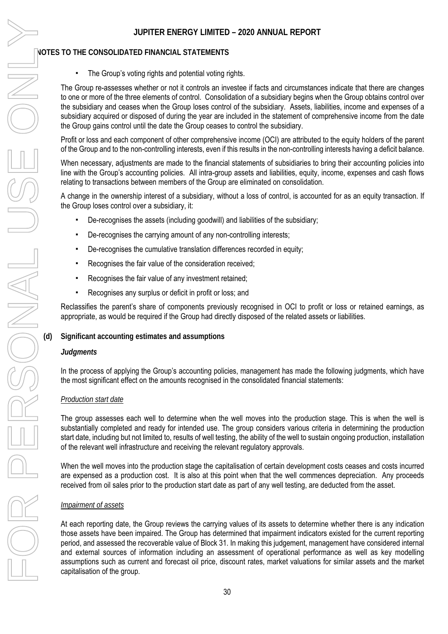### **NOTES TO THE CONSOLIDATED FINANCIAL STATEMENTS**

The Group's voting rights and potential voting rights.

The Group re-assesses whether or not it controls an investee if facts and circumstances indicate that there are changes to one or more of the three elements of control. Consolidation of a subsidiary begins when the Group obtains control over the subsidiary and ceases when the Group loses control of the subsidiary. Assets, liabilities, income and expenses of a subsidiary acquired or disposed of during the year are included in the statement of comprehensive income from the date the Group gains control until the date the Group ceases to control the subsidiary.

Profit or loss and each component of other comprehensive income (OCI) are attributed to the equity holders of the parent of the Group and to the non-controlling interests, even if this results in the non-controlling interests having a deficit balance.

When necessary, adjustments are made to the financial statements of subsidiaries to bring their accounting policies into line with the Group's accounting policies. All intra-group assets and liabilities, equity, income, expenses and cash flows relating to transactions between members of the Group are eliminated on consolidation.

A change in the ownership interest of a subsidiary, without a loss of control, is accounted for as an equity transaction. If the Group loses control over a subsidiary, it:

- De-recognises the assets (including goodwill) and liabilities of the subsidiary;
- De-recognises the carrying amount of any non-controlling interests;
- De-recognises the cumulative translation differences recorded in equity;
- Recognises the fair value of the consideration received:
- Recognises the fair value of any investment retained;
- Recognises any surplus or deficit in profit or loss; and

Reclassifies the parent's share of components previously recognised in OCI to profit or loss or retained earnings, as appropriate, as would be required if the Group had directly disposed of the related assets or liabilities.

### **(d) Significant accounting estimates and assumptions**

### *Judgments*

In the process of applying the Group's accounting policies, management has made the following judgments, which have the most significant effect on the amounts recognised in the consolidated financial statements:

### *Production start date*

The group assesses each well to determine when the well moves into the production stage. This is when the well is substantially completed and ready for intended use. The group considers various criteria in determining the production start date, including but not limited to, results of well testing, the ability of the well to sustain ongoing production, installation of the relevant well infrastructure and receiving the relevant regulatory approvals.

When the well moves into the production stage the capitalisation of certain development costs ceases and costs incurred are expensed as a production cost. It is also at this point when that the well commences depreciation. Any proceeds received from oil sales prior to the production start date as part of any well testing, are deducted from the asset.

### *Impairment of assets*

At each reporting date, the Group reviews the carrying values of its assets to determine whether there is any indication those assets have been impaired. The Group has determined that impairment indicators existed for the current reporting period, and assessed the recoverable value of Block 31. In making this judgement, management have considered internal and external sources of information including an assessment of operational performance as well as key modelling assumptions such as current and forecast oil price, discount rates, market valuations for similar assets and the market capitalisation of the group.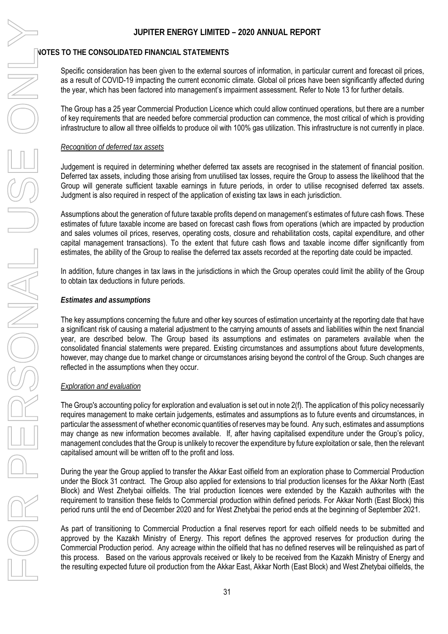### **NOTES TO THE CONSOLIDATED FINANCIAL STATEMENTS**

Specific consideration has been given to the external sources of information, in particular current and forecast oil prices, as a result of COVID-19 impacting the current economic climate. Global oil prices have been significantly affected during the year, which has been factored into management's impairment assessment. Refer to Note 13 for further details.

The Group has a 25 year Commercial Production Licence which could allow continued operations, but there are a number of key requirements that are needed before commercial production can commence, the most critical of which is providing infrastructure to allow all three oilfields to produce oil with 100% gas utilization. This infrastructure is not currently in place.

### *Recognition of deferred tax assets*

Judgement is required in determining whether deferred tax assets are recognised in the statement of financial position. Deferred tax assets, including those arising from unutilised tax losses, require the Group to assess the likelihood that the Group will generate sufficient taxable earnings in future periods, in order to utilise recognised deferred tax assets. Judgment is also required in respect of the application of existing tax laws in each jurisdiction.

Assumptions about the generation of future taxable profits depend on management's estimates of future cash flows. These estimates of future taxable income are based on forecast cash flows from operations (which are impacted by production and sales volumes oil prices, reserves, operating costs, closure and rehabilitation costs, capital expenditure, and other capital management transactions). To the extent that future cash flows and taxable income differ significantly from estimates, the ability of the Group to realise the deferred tax assets recorded at the reporting date could be impacted.

In addition, future changes in tax laws in the jurisdictions in which the Group operates could limit the ability of the Group to obtain tax deductions in future periods.

### *Estimates and assumptions*

The key assumptions concerning the future and other key sources of estimation uncertainty at the reporting date that have a significant risk of causing a material adjustment to the carrying amounts of assets and liabilities within the next financial year, are described below. The Group based its assumptions and estimates on parameters available when the consolidated financial statements were prepared. Existing circumstances and assumptions about future developments, however, may change due to market change or circumstances arising beyond the control of the Group. Such changes are reflected in the assumptions when they occur.

### *Exploration and evaluation*

The Group's accounting policy for exploration and evaluation is set out in note 2(f). The application of this policy necessarily requires management to make certain judgements, estimates and assumptions as to future events and circumstances, in particular the assessment of whether economic quantities of reserves may be found. Any such, estimates and assumptions may change as new information becomes available. If, after having capitalised expenditure under the Group's policy, management concludes that the Group is unlikely to recover the expenditure by future exploitation or sale, then the relevant capitalised amount will be written off to the profit and loss.

During the year the Group applied to transfer the Akkar East oilfield from an exploration phase to Commercial Production under the Block 31 contract. The Group also applied for extensions to trial production licenses for the Akkar North (East Block) and West Zhetybai oilfields. The trial production licences were extended by the Kazakh authorites with the requirement to transition these fields to Commercial production within defined periods. For Akkar North (East Block) this period runs until the end of December 2020 and for West Zhetybai the period ends at the beginning of September 2021.

As part of transitioning to Commercial Production a final reserves report for each oilfield needs to be submitted and approved by the Kazakh Ministry of Energy. This report defines the approved reserves for production during the Commercial Production period. Any acreage within the oilfield that has no defined reserves will be relinquished as part of this process. Based on the various approvals received or likely to be received from the Kazakh Ministry of Energy and the resulting expected future oil production from the Akkar East, Akkar North (East Block) and West Zhetybai oilfields, the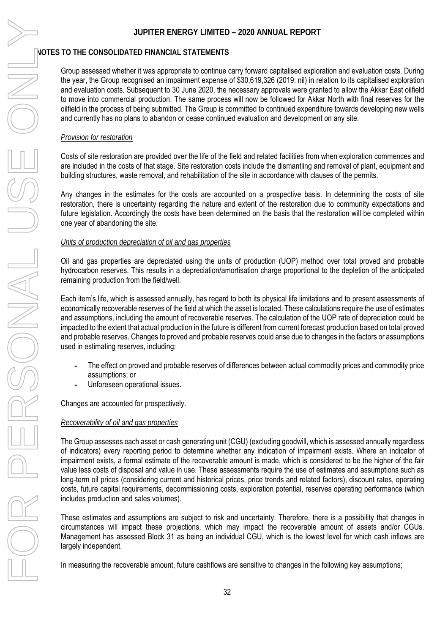### **NOTES TO THE CONSOLIDATED FINANCIAL STATEMENTS**

Group assessed whether it was appropriate to continue carry forward capitalised exploration and evaluation costs. During the year, the Group recognised an impairment expense of \$30,619,326 (2019: nil) in relation to its capitalised exploration and evaluation costs. Subsequent to 30 June 2020, the necessary approvals were granted to allow the Akkar East oilfield to move into commercial production. The same process will now be followed for Akkar North with final reserves for the oilfield in the process of being submitted. The Group is committed to continued expenditure towards developing new wells and currently has no plans to abandon or cease continued evaluation and development on any site.

### *Provision for restoration*

Costs of site restoration are provided over the life of the field and related facilities from when exploration commences and are included in the costs of that stage. Site restoration costs include the dismantling and removal of plant, equipment and building structures, waste removal, and rehabilitation of the site in accordance with clauses of the permits.

Any changes in the estimates for the costs are accounted on a prospective basis. In determining the costs of site restoration, there is uncertainty regarding the nature and extent of the restoration due to community expectations and future legislation. Accordingly the costs have been determined on the basis that the restoration will be completed within one year of abandoning the site.

### *Units of production depreciation of oil and gas properties*

Oil and gas properties are depreciated using the units of production (UOP) method over total proved and probable hydrocarbon reserves. This results in a depreciation/amortisation charge proportional to the depletion of the anticipated remaining production from the field/well.

Each item's life, which is assessed annually, has regard to both its physical life limitations and to present assessments of economically recoverable reserves of the field at which the asset is located. These calculations require the use of estimates and assumptions, including the amount of recoverable reserves. The calculation of the UOP rate of depreciation could be impacted to the extent that actual production in the future is different from current forecast production based on total proved and probable reserves. Changes to proved and probable reserves could arise due to changes in the factors or assumptions used in estimating reserves, including:

- **-** The effect on proved and probable reserves of differences between actual commodity prices and commodity price assumptions; or
- **-** Unforeseen operational issues.

Changes are accounted for prospectively.

### *Recoverability of oil and gas properties*

The Group assesses each asset or cash generating unit (CGU) (excluding goodwill, which is assessed annually regardless of indicators) every reporting period to determine whether any indication of impairment exists. Where an indicator of impairment exists, a formal estimate of the recoverable amount is made, which is considered to be the higher of the fair value less costs of disposal and value in use. These assessments require the use of estimates and assumptions such as long-term oil prices (considering current and historical prices, price trends and related factors), discount rates, operating costs, future capital requirements, decommissioning costs, exploration potential, reserves operating performance (which includes production and sales volumes).

These estimates and assumptions are subject to risk and uncertainty. Therefore, there is a possibility that changes in circumstances will impact these projections, which may impact the recoverable amount of assets and/or CGUs. Management has assessed Block 31 as being an individual CGU, which is the lowest level for which cash inflows are largely independent.

In measuring the recoverable amount, future cashflows are sensitive to changes in the following key assumptions;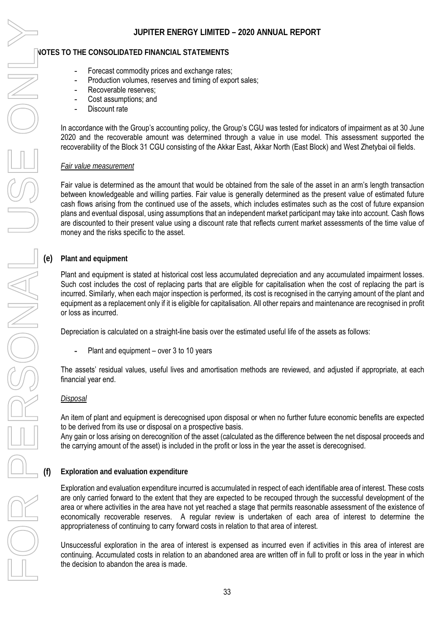- Forecast commodity prices and exchange rates;
- Production volumes, reserves and timing of export sales;
- Recoverable reserves:
- Cost assumptions: and
- Discount rate

In accordance with the Group's accounting policy, the Group's CGU was tested for indicators of impairment as at 30 June 2020 and the recoverable amount was determined through a value in use model. This assessment supported the recoverability of the Block 31 CGU consisting of the Akkar East, Akkar North (East Block) and West Zhetybai oil fields.

### *Fair value measurement*

Fair value is determined as the amount that would be obtained from the sale of the asset in an arm's length transaction between knowledgeable and willing parties. Fair value is generally determined as the present value of estimated future cash flows arising from the continued use of the assets, which includes estimates such as the cost of future expansion plans and eventual disposal, using assumptions that an independent market participant may take into account. Cash flows are discounted to their present value using a discount rate that reflects current market assessments of the time value of money and the risks specific to the asset.

### **(e) Plant and equipment**

Plant and equipment is stated at historical cost less accumulated depreciation and any accumulated impairment losses. Such cost includes the cost of replacing parts that are eligible for capitalisation when the cost of replacing the part is incurred. Similarly, when each major inspection is performed, its cost is recognised in the carrying amount of the plant and equipment as a replacement only if it is eligible for capitalisation. All other repairs and maintenance are recognised in profit or loss as incurred.

Depreciation is calculated on a straight-line basis over the estimated useful life of the assets as follows:

**-** Plant and equipment – over 3 to 10 years

The assets' residual values, useful lives and amortisation methods are reviewed, and adjusted if appropriate, at each financial year end.

### *Disposal*

An item of plant and equipment is derecognised upon disposal or when no further future economic benefits are expected to be derived from its use or disposal on a prospective basis.

Any gain or loss arising on derecognition of the asset (calculated as the difference between the net disposal proceeds and the carrying amount of the asset) is included in the profit or loss in the year the asset is derecognised.

### **(f) Exploration and evaluation expenditure**

Exploration and evaluation expenditure incurred is accumulated in respect of each identifiable area of interest. These costs are only carried forward to the extent that they are expected to be recouped through the successful development of the area or where activities in the area have not yet reached a stage that permits reasonable assessment of the existence of economically recoverable reserves. A regular review is undertaken of each area of interest to determine the appropriateness of continuing to carry forward costs in relation to that area of interest.

Unsuccessful exploration in the area of interest is expensed as incurred even if activities in this area of interest are continuing. Accumulated costs in relation to an abandoned area are written off in full to profit or loss in the year in which the decision to abandon the area is made.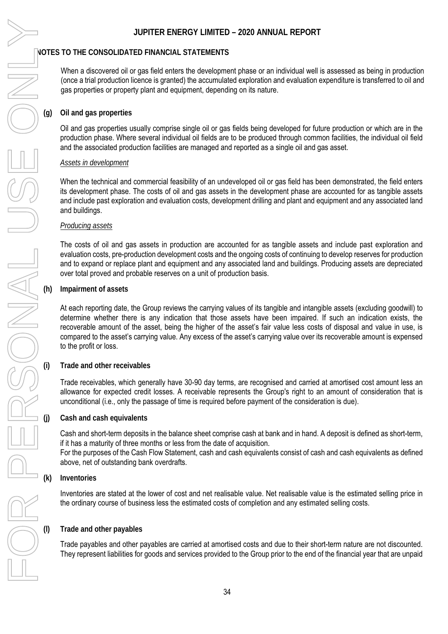When a discovered oil or gas field enters the development phase or an individual well is assessed as being in production (once a trial production licence is granted) the accumulated exploration and evaluation expenditure is transferred to oil and gas properties or property plant and equipment, depending on its nature.

### **(g) Oil and gas properties**

Oil and gas properties usually comprise single oil or gas fields being developed for future production or which are in the production phase. Where several individual oil fields are to be produced through common facilities, the individual oil field and the associated production facilities are managed and reported as a single oil and gas asset.

### *Assets in development*

When the technical and commercial feasibility of an undeveloped oil or gas field has been demonstrated, the field enters its development phase. The costs of oil and gas assets in the development phase are accounted for as tangible assets and include past exploration and evaluation costs, development drilling and plant and equipment and any associated land and buildings.

### *Producing assets*

The costs of oil and gas assets in production are accounted for as tangible assets and include past exploration and evaluation costs, pre-production development costs and the ongoing costs of continuing to develop reserves for production and to expand or replace plant and equipment and any associated land and buildings. Producing assets are depreciated over total proved and probable reserves on a unit of production basis.

### **(h) Impairment of assets**

At each reporting date, the Group reviews the carrying values of its tangible and intangible assets (excluding goodwill) to determine whether there is any indication that those assets have been impaired. If such an indication exists, the recoverable amount of the asset, being the higher of the asset's fair value less costs of disposal and value in use, is compared to the asset's carrying value. Any excess of the asset's carrying value over its recoverable amount is expensed to the profit or loss.

### **(i) Trade and other receivables**

Trade receivables, which generally have 30-90 day terms, are recognised and carried at amortised cost amount less an allowance for expected credit losses. A receivable represents the Group's right to an amount of consideration that is unconditional (i.e., only the passage of time is required before payment of the consideration is due).

### **(j) Cash and cash equivalents**

Cash and short-term deposits in the balance sheet comprise cash at bank and in hand. A deposit is defined as short-term, if it has a maturity of three months or less from the date of acquisition. For the purposes of the Cash Flow Statement, cash and cash equivalents consist of cash and cash equivalents as defined above, net of outstanding bank overdrafts.

### **(k) Inventories**

Inventories are stated at the lower of cost and net realisable value. Net realisable value is the estimated selling price in the ordinary course of business less the estimated costs of completion and any estimated selling costs.

### **(l) Trade and other payables**

Trade payables and other payables are carried at amortised costs and due to their short-term nature are not discounted. They represent liabilities for goods and services provided to the Group prior to the end of the financial year that are unpaid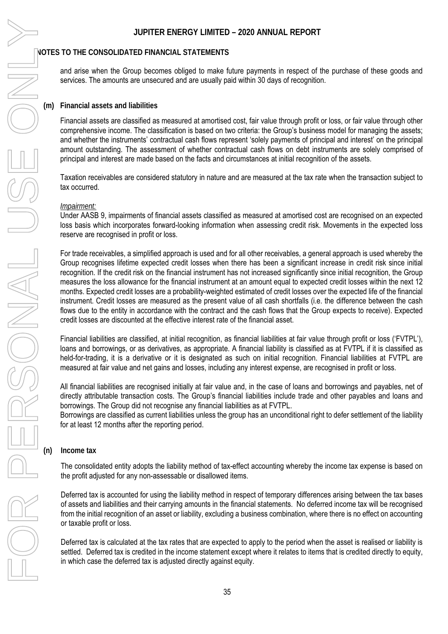and arise when the Group becomes obliged to make future payments in respect of the purchase of these goods and services. The amounts are unsecured and are usually paid within 30 days of recognition.

### **(m) Financial assets and liabilities**

Financial assets are classified as measured at amortised cost, fair value through profit or loss, or fair value through other comprehensive income. The classification is based on two criteria: the Group's business model for managing the assets; and whether the instruments' contractual cash flows represent 'solely payments of principal and interest' on the principal amount outstanding. The assessment of whether contractual cash flows on debt instruments are solely comprised of principal and interest are made based on the facts and circumstances at initial recognition of the assets.

Taxation receivables are considered statutory in nature and are measured at the tax rate when the transaction subject to tax occurred.

### *Impairment:*

Under AASB 9, impairments of financial assets classified as measured at amortised cost are recognised on an expected loss basis which incorporates forward-looking information when assessing credit risk. Movements in the expected loss reserve are recognised in profit or loss.

For trade receivables, a simplified approach is used and for all other receivables, a general approach is used whereby the Group recognises lifetime expected credit losses when there has been a significant increase in credit risk since initial recognition. If the credit risk on the financial instrument has not increased significantly since initial recognition, the Group measures the loss allowance for the financial instrument at an amount equal to expected credit losses within the next 12 months. Expected credit losses are a probability-weighted estimated of credit losses over the expected life of the financial instrument. Credit losses are measured as the present value of all cash shortfalls (i.e. the difference between the cash flows due to the entity in accordance with the contract and the cash flows that the Group expects to receive). Expected credit losses are discounted at the effective interest rate of the financial asset.

Financial liabilities are classified, at initial recognition, as financial liabilities at fair value through profit or loss ('FVTPL'), loans and borrowings, or as derivatives, as appropriate. A financial liability is classified as at FVTPL if it is classified as held-for-trading, it is a derivative or it is designated as such on initial recognition. Financial liabilities at FVTPL are measured at fair value and net gains and losses, including any interest expense, are recognised in profit or loss.

All financial liabilities are recognised initially at fair value and, in the case of loans and borrowings and payables, net of directly attributable transaction costs. The Group's financial liabilities include trade and other payables and loans and borrowings. The Group did not recognise any financial liabilities as at FVTPL.

Borrowings are classified as current liabilities unless the group has an unconditional right to defer settlement of the liability for at least 12 months after the reporting period.

**(n) Income tax**

The consolidated entity adopts the liability method of tax-effect accounting whereby the income tax expense is based on the profit adjusted for any non-assessable or disallowed items.

Deferred tax is accounted for using the liability method in respect of temporary differences arising between the tax bases of assets and liabilities and their carrying amounts in the financial statements. No deferred income tax will be recognised from the initial recognition of an asset or liability, excluding a business combination, where there is no effect on accounting or taxable profit or loss.

Deferred tax is calculated at the tax rates that are expected to apply to the period when the asset is realised or liability is settled. Deferred tax is credited in the income statement except where it relates to items that is credited directly to equity, in which case the deferred tax is adjusted directly against equity.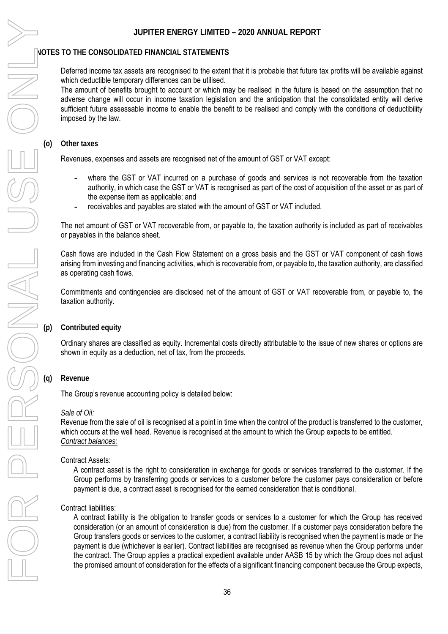### **NOTES TO THE CONSOLIDATED FINANCIAL STATEMENTS**

Deferred income tax assets are recognised to the extent that it is probable that future tax profits will be available against which deductible temporary differences can be utilised.

The amount of benefits brought to account or which may be realised in the future is based on the assumption that no adverse change will occur in income taxation legislation and the anticipation that the consolidated entity will derive sufficient future assessable income to enable the benefit to be realised and comply with the conditions of deductibility imposed by the law.

### **(o) Other taxes**

Revenues, expenses and assets are recognised net of the amount of GST or VAT except:

- **-** where the GST or VAT incurred on a purchase of goods and services is not recoverable from the taxation authority, in which case the GST or VAT is recognised as part of the cost of acquisition of the asset or as part of the expense item as applicable; and
- **-** receivables and payables are stated with the amount of GST or VAT included.

The net amount of GST or VAT recoverable from, or payable to, the taxation authority is included as part of receivables or payables in the balance sheet.

Cash flows are included in the Cash Flow Statement on a gross basis and the GST or VAT component of cash flows arising from investing and financing activities, which is recoverable from, or payable to, the taxation authority, are classified as operating cash flows.

Commitments and contingencies are disclosed net of the amount of GST or VAT recoverable from, or payable to, the taxation authority.

### **(p) Contributed equity**

Ordinary shares are classified as equity. Incremental costs directly attributable to the issue of new shares or options are shown in equity as a deduction, net of tax, from the proceeds.

### **(q) Revenue**

The Group's revenue accounting policy is detailed below:

### *Sale of Oil:*

Revenue from the sale of oil is recognised at a point in time when the control of the product is transferred to the customer, which occurs at the well head. Revenue is recognised at the amount to which the Group expects to be entitled. *Contract balances:* 

### Contract Assets:

A contract asset is the right to consideration in exchange for goods or services transferred to the customer. If the Group performs by transferring goods or services to a customer before the customer pays consideration or before payment is due, a contract asset is recognised for the earned consideration that is conditional.

### Contract liabilities:

A contract liability is the obligation to transfer goods or services to a customer for which the Group has received consideration (or an amount of consideration is due) from the customer. If a customer pays consideration before the Group transfers goods or services to the customer, a contract liability is recognised when the payment is made or the payment is due (whichever is earlier). Contract liabilities are recognised as revenue when the Group performs under the contract. The Group applies a practical expedient available under AASB 15 by which the Group does not adjust the promised amount of consideration for the effects of a significant financing component because the Group expects,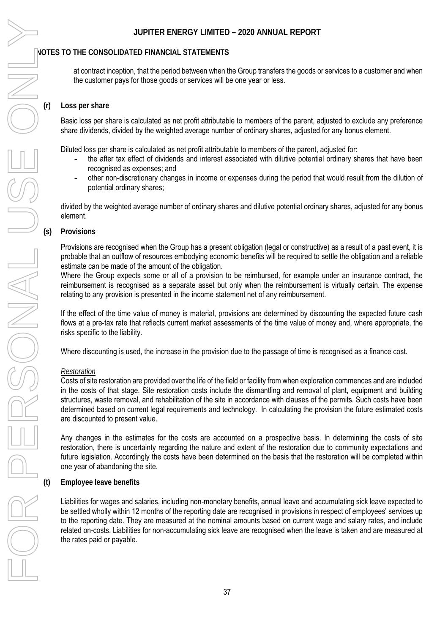at contract inception, that the period between when the Group transfers the goods or services to a customer and when the customer pays for those goods or services will be one year or less.

### **(r) Loss per share**

Basic loss per share is calculated as net profit attributable to members of the parent, adjusted to exclude any preference share dividends, divided by the weighted average number of ordinary shares, adjusted for any bonus element.

Diluted loss per share is calculated as net profit attributable to members of the parent, adjusted for:

- **-** the after tax effect of dividends and interest associated with dilutive potential ordinary shares that have been recognised as expenses; and
- **-** other non-discretionary changes in income or expenses during the period that would result from the dilution of potential ordinary shares;

divided by the weighted average number of ordinary shares and dilutive potential ordinary shares, adjusted for any bonus element.

### **(s) Provisions**

Provisions are recognised when the Group has a present obligation (legal or constructive) as a result of a past event, it is probable that an outflow of resources embodying economic benefits will be required to settle the obligation and a reliable estimate can be made of the amount of the obligation.

Where the Group expects some or all of a provision to be reimbursed, for example under an insurance contract, the reimbursement is recognised as a separate asset but only when the reimbursement is virtually certain. The expense relating to any provision is presented in the income statement net of any reimbursement.

If the effect of the time value of money is material, provisions are determined by discounting the expected future cash flows at a pre-tax rate that reflects current market assessments of the time value of money and, where appropriate, the risks specific to the liability.

Where discounting is used, the increase in the provision due to the passage of time is recognised as a finance cost.

### *Restoration*

Costs of site restoration are provided over the life of the field or facility from when exploration commences and are included in the costs of that stage. Site restoration costs include the dismantling and removal of plant, equipment and building structures, waste removal, and rehabilitation of the site in accordance with clauses of the permits. Such costs have been determined based on current legal requirements and technology. In calculating the provision the future estimated costs are discounted to present value.

Any changes in the estimates for the costs are accounted on a prospective basis. In determining the costs of site restoration, there is uncertainty regarding the nature and extent of the restoration due to community expectations and future legislation. Accordingly the costs have been determined on the basis that the restoration will be completed within one year of abandoning the site.

**(t) Employee leave benefits** 

Liabilities for wages and salaries, including non-monetary benefits, annual leave and accumulating sick leave expected to be settled wholly within 12 months of the reporting date are recognised in provisions in respect of employees' services up to the reporting date. They are measured at the nominal amounts based on current wage and salary rates, and include related on-costs. Liabilities for non-accumulating sick leave are recognised when the leave is taken and are measured at the rates paid or payable.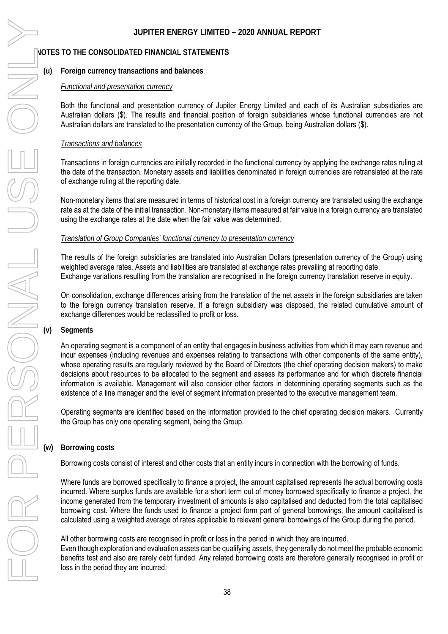### **NOTES TO THE CONSOLIDATED FINANCIAL STATEMENTS**

### **(u) Foreign currency transactions and balances**

### *Functional and presentation currency*

Both the functional and presentation currency of Jupiter Energy Limited and each of its Australian subsidiaries are Australian dollars (\$). The results and financial position of foreign subsidiaries whose functional currencies are not Australian dollars are translated to the presentation currency of the Group, being Australian dollars (\$).

### *Transactions and balances*

Transactions in foreign currencies are initially recorded in the functional currency by applying the exchange rates ruling at the date of the transaction. Monetary assets and liabilities denominated in foreign currencies are retranslated at the rate of exchange ruling at the reporting date.

Non-monetary items that are measured in terms of historical cost in a foreign currency are translated using the exchange rate as at the date of the initial transaction. Non-monetary items measured at fair value in a foreign currency are translated using the exchange rates at the date when the fair value was determined.

### *Translation of Group Companies' functional currency to presentation currency*

The results of the foreign subsidiaries are translated into Australian Dollars (presentation currency of the Group) using weighted average rates. Assets and liabilities are translated at exchange rates prevailing at reporting date. Exchange variations resulting from the translation are recognised in the foreign currency translation reserve in equity.

On consolidation, exchange differences arising from the translation of the net assets in the foreign subsidiaries are taken to the foreign currency translation reserve. If a foreign subsidiary was disposed, the related cumulative amount of exchange differences would be reclassified to profit or loss.

### **(v) Segments**

An operating segment is a component of an entity that engages in business activities from which it may earn revenue and incur expenses (including revenues and expenses relating to transactions with other components of the same entity), whose operating results are regularly reviewed by the Board of Directors (the chief operating decision makers) to make decisions about resources to be allocated to the segment and assess its performance and for which discrete financial information is available. Management will also consider other factors in determining operating segments such as the existence of a line manager and the level of segment information presented to the executive management team.

Operating segments are identified based on the information provided to the chief operating decision makers. Currently the Group has only one operating segment, being the Group.

### **Borrowing costs**

Borrowing costs consist of interest and other costs that an entity incurs in connection with the borrowing of funds.

Where funds are borrowed specifically to finance a project, the amount capitalised represents the actual borrowing costs incurred. Where surplus funds are available for a short term out of money borrowed specifically to finance a project, the income generated from the temporary investment of amounts is also capitalised and deducted from the total capitalised borrowing cost. Where the funds used to finance a project form part of general borrowings, the amount capitalised is calculated using a weighted average of rates applicable to relevant general borrowings of the Group during the period.

All other borrowing costs are recognised in profit or loss in the period in which they are incurred.

Even though exploration and evaluation assets can be qualifying assets, they generally do not meet the probable economic benefits test and also are rarely debt funded. Any related borrowing costs are therefore generally recognised in profit or loss in the period they are incurred.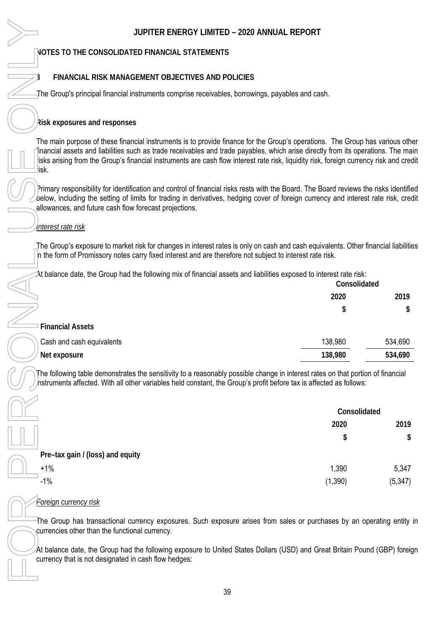### **NOTES TO THE CONSOLIDATED FINANCIAL STATEMENTS**

### **3 FINANCIAL RISK MANAGEMENT OBJECTIVES AND POLICIES**

### **Risk exposures and responses**

### *Interest rate risk*

| __                      | __   | Consolidated |  |
|-------------------------|------|--------------|--|
|                         | 2020 | 2019         |  |
|                         | S.   | \$           |  |
| <b>Financial Assets</b> |      |              |  |

| Cash and cash equivalents | 138,980 | 534,690 |
|---------------------------|---------|---------|
| ' Net exposure            | 138,980 | 534,690 |

| JUPITER ENERGY LIMITED - 2020 ANNUAL REPORT                                                                                                                                                                                                                                                                                                                                                                      |              |
|------------------------------------------------------------------------------------------------------------------------------------------------------------------------------------------------------------------------------------------------------------------------------------------------------------------------------------------------------------------------------------------------------------------|--------------|
| NOTES TO THE CONSOLIDATED FINANCIAL STATEMENTS                                                                                                                                                                                                                                                                                                                                                                   |              |
| FINANCIAL RISK MANAGEMENT OBJECTIVES AND POLICIES                                                                                                                                                                                                                                                                                                                                                                |              |
| The Group's principal financial instruments comprise receivables, borrowings, payables and cash.                                                                                                                                                                                                                                                                                                                 |              |
| Risk exposures and responses                                                                                                                                                                                                                                                                                                                                                                                     |              |
| The main purpose of these financial instruments is to provide finance for the Group's operations. The Group has various othe<br>financial assets and liabilities such as trade receivables and trade payables, which arise directly from its operations. The ma<br>isks arising from the Group's financial instruments are cash flow interest rate risk, liquidity risk, foreign currency risk and cred<br>lisk. |              |
| Primary responsibility for identification and control of financial risks rests with the Board. The Board reviews the risks identifie<br>below, including the setting of limits for trading in derivatives, hedging cover of foreign currency and interest rate risk, crec<br>allowances, and future cash flow forecast projections.                                                                              |              |
| <u>Interest rate risk</u>                                                                                                                                                                                                                                                                                                                                                                                        |              |
| The Group's exposure to market risk for changes in interest rates is only on cash and cash equivalents. Other financial liabilitie<br>In the form of Promissory notes carry fixed interest and are therefore not subject to interest rate risk.                                                                                                                                                                  |              |
| At balance date, the Group had the following mix of financial assets and liabilities exposed to interest rate risk:                                                                                                                                                                                                                                                                                              | Consolidated |
| 2020                                                                                                                                                                                                                                                                                                                                                                                                             | 2019         |
|                                                                                                                                                                                                                                                                                                                                                                                                                  | S<br>\$      |
| <b>Financial Assets</b>                                                                                                                                                                                                                                                                                                                                                                                          |              |
| 138,980<br>Cash and cash equivalents                                                                                                                                                                                                                                                                                                                                                                             | 534,690      |
| 138,980<br>Net exposure                                                                                                                                                                                                                                                                                                                                                                                          | 534,690      |
| The following table demonstrates the sensitivity to a reasonably possible change in interest rates on that portion of financial<br>hstruments affected. With all other variables held constant, the Group's profit before tax is affected as follows:                                                                                                                                                            |              |
|                                                                                                                                                                                                                                                                                                                                                                                                                  | Consolidated |
| 2020                                                                                                                                                                                                                                                                                                                                                                                                             | 2019         |
|                                                                                                                                                                                                                                                                                                                                                                                                                  | \$<br>\$     |
| Pre-tax gain / (loss) and equity                                                                                                                                                                                                                                                                                                                                                                                 |              |
| $+1%$<br>1,390                                                                                                                                                                                                                                                                                                                                                                                                   | 5,347        |
| $-1%$<br>(1,390)                                                                                                                                                                                                                                                                                                                                                                                                 | (5, 347)     |
| <u>Foreign currency risk</u>                                                                                                                                                                                                                                                                                                                                                                                     |              |
| The Group has transactional currency exposures. Such exposure arises from sales or purchases by an operating entity<br>currencies other than the functional currency.                                                                                                                                                                                                                                            |              |
| At balance date, the Group had the following exposure to United States Dollars (USD) and Great Britain Pound (GBP) foreig<br>currency that is not designated in cash flow hedges:                                                                                                                                                                                                                                |              |
|                                                                                                                                                                                                                                                                                                                                                                                                                  |              |

### *Foreign currency risk*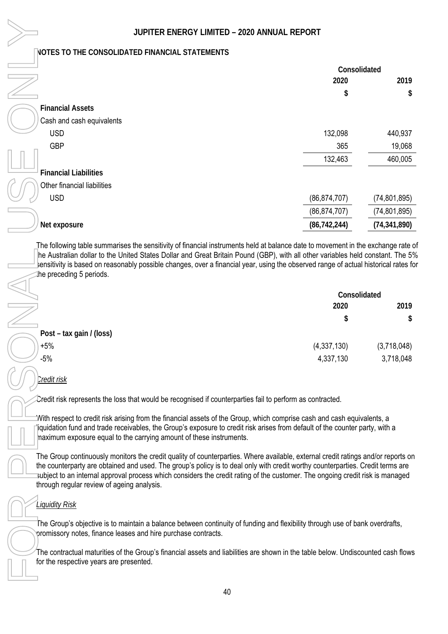| JUPITER ENERGY LIMITED - 2020 ANNUAL REPORT                                                                                                                                                                                                                                                                                                                                                                                                       |                |                |
|---------------------------------------------------------------------------------------------------------------------------------------------------------------------------------------------------------------------------------------------------------------------------------------------------------------------------------------------------------------------------------------------------------------------------------------------------|----------------|----------------|
| NOTES TO THE CONSOLIDATED FINANCIAL STATEMENTS                                                                                                                                                                                                                                                                                                                                                                                                    |                |                |
|                                                                                                                                                                                                                                                                                                                                                                                                                                                   | Consolidated   |                |
|                                                                                                                                                                                                                                                                                                                                                                                                                                                   | 2020           | 2019           |
|                                                                                                                                                                                                                                                                                                                                                                                                                                                   | S              | \$             |
| <b>Financial Assets</b>                                                                                                                                                                                                                                                                                                                                                                                                                           |                |                |
| Cash and cash equivalents                                                                                                                                                                                                                                                                                                                                                                                                                         |                |                |
| <b>USD</b>                                                                                                                                                                                                                                                                                                                                                                                                                                        | 132,098        | 440,937        |
| <b>GBP</b>                                                                                                                                                                                                                                                                                                                                                                                                                                        | 365            | 19,068         |
|                                                                                                                                                                                                                                                                                                                                                                                                                                                   | 132,463        | 460,005        |
| <b>Financial Liabilities</b>                                                                                                                                                                                                                                                                                                                                                                                                                      |                |                |
| Other financial liabilities                                                                                                                                                                                                                                                                                                                                                                                                                       |                |                |
| <b>USD</b>                                                                                                                                                                                                                                                                                                                                                                                                                                        | (86, 874, 707) | (74, 801, 895) |
|                                                                                                                                                                                                                                                                                                                                                                                                                                                   | (86, 874, 707) | (74, 801, 895) |
| Net exposure                                                                                                                                                                                                                                                                                                                                                                                                                                      | (86, 742, 244) | (74, 341, 890) |
| he preceding 5 periods.                                                                                                                                                                                                                                                                                                                                                                                                                           |                |                |
|                                                                                                                                                                                                                                                                                                                                                                                                                                                   | Consolidated   |                |
|                                                                                                                                                                                                                                                                                                                                                                                                                                                   | 2020           | 2019           |
|                                                                                                                                                                                                                                                                                                                                                                                                                                                   | S              | \$.            |
| Post – tax gain / (loss)                                                                                                                                                                                                                                                                                                                                                                                                                          |                |                |
| $+5%$                                                                                                                                                                                                                                                                                                                                                                                                                                             | (4, 337, 130)  | (3,718,048)    |
| $-5%$                                                                                                                                                                                                                                                                                                                                                                                                                                             | 4,337,130      | 3,718,048      |
| <u>Credit risk</u>                                                                                                                                                                                                                                                                                                                                                                                                                                |                |                |
| Credit risk represents the loss that would be recognised if counterparties fail to perform as contracted.                                                                                                                                                                                                                                                                                                                                         |                |                |
| With respect to credit risk arising from the financial assets of the Group, which comprise cash and cash equivalents, a<br>iquidation fund and trade receivables, the Group's exposure to credit risk arises from default of the counter party, with a<br>naximum exposure equal to the carrying amount of these instruments.                                                                                                                     |                |                |
| The Group continuously monitors the credit quality of counterparties. Where available, external credit ratings and/or reports on<br>the counterparty are obtained and used. The group's policy is to deal only with credit worthy counterparties. Credit terms are<br>subject to an internal approval process which considers the credit rating of the customer. The ongoing credit risk is managed<br>through regular review of ageing analysis. |                |                |
| <b>Liquidity Risk</b>                                                                                                                                                                                                                                                                                                                                                                                                                             |                |                |
| The Group's objective is to maintain a balance between continuity of funding and flexibility through use of bank overdrafts,<br>promissory notes, finance leases and hire purchase contracts.                                                                                                                                                                                                                                                     |                |                |
| The contractual maturities of the Group's financial assets and liabilities are shown in the table below. Undiscounted cash flows<br>for the respective years are presented.                                                                                                                                                                                                                                                                       |                |                |
|                                                                                                                                                                                                                                                                                                                                                                                                                                                   |                |                |

|                          | Consolidated |             |
|--------------------------|--------------|-------------|
|                          | 2020         | 2019        |
|                          | \$           | \$          |
| Post – tax gain / (loss) |              |             |
| $+5%$                    | (4,337,130)  | (3,718,048) |
| $-5%$                    | 4,337,130    | 3,718,048   |
|                          |              |             |

### *Credit risk*

### *Liquidity Risk*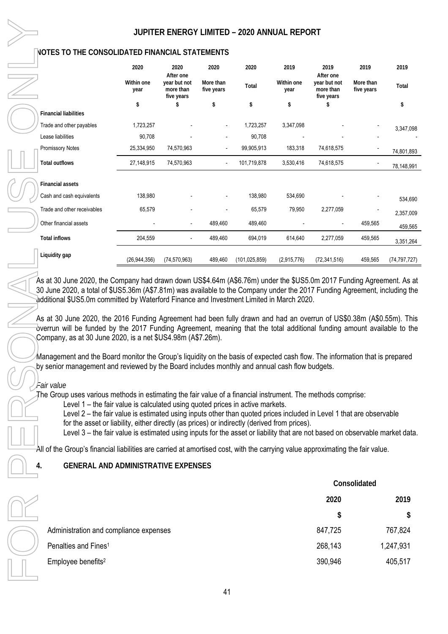|                                                                                                                                                                                                                                                                                                                                                                                                                                                                                                      | <b>JUPITER ENI</b> |                         |
|------------------------------------------------------------------------------------------------------------------------------------------------------------------------------------------------------------------------------------------------------------------------------------------------------------------------------------------------------------------------------------------------------------------------------------------------------------------------------------------------------|--------------------|-------------------------|
| <b>NOTES TO THE CONSOLIDATED FINANCIAL</b>                                                                                                                                                                                                                                                                                                                                                                                                                                                           |                    |                         |
|                                                                                                                                                                                                                                                                                                                                                                                                                                                                                                      | 2020               | 20.                     |
|                                                                                                                                                                                                                                                                                                                                                                                                                                                                                                      | Within one<br>year | After<br>year b<br>more |
|                                                                                                                                                                                                                                                                                                                                                                                                                                                                                                      | \$                 | five y<br>S             |
| <b>Financial liabilities</b>                                                                                                                                                                                                                                                                                                                                                                                                                                                                         |                    |                         |
| Trade and other payables                                                                                                                                                                                                                                                                                                                                                                                                                                                                             | 1,723,257          |                         |
| Lease liabilities                                                                                                                                                                                                                                                                                                                                                                                                                                                                                    | 90,708             |                         |
| <b>Promissory Notes</b>                                                                                                                                                                                                                                                                                                                                                                                                                                                                              | 25,334,950         | 74,5                    |
| <b>Total outflows</b>                                                                                                                                                                                                                                                                                                                                                                                                                                                                                | 27,148,915         | 74,57                   |
| <b>Financial assets</b>                                                                                                                                                                                                                                                                                                                                                                                                                                                                              |                    |                         |
| Cash and cash equivalents                                                                                                                                                                                                                                                                                                                                                                                                                                                                            | 138,980            |                         |
| Trade and other receivables                                                                                                                                                                                                                                                                                                                                                                                                                                                                          | 65,579             |                         |
| Other financial assets                                                                                                                                                                                                                                                                                                                                                                                                                                                                               |                    |                         |
| <b>Total inflows</b>                                                                                                                                                                                                                                                                                                                                                                                                                                                                                 | 204,559            |                         |
| Liquidity gap                                                                                                                                                                                                                                                                                                                                                                                                                                                                                        | (26, 944, 356)     | (74, 57)                |
| additional \$US5.0m committed by Waterford Fir<br>As at 30 June 2020, the 2016 Funding Agreer<br>overrun will be funded by the 2017 Funding<br>Company, as at 30 June 2020, is a net \$US4.9<br>Management and the Board monitor the Group'<br>by senior management and reviewed by the Bo<br>Fair value<br>The Group uses various methods in estimating<br>Level 1 - the fair value is calculated us<br>Level $2$ – the fair value is estimated us<br>for the asset or liability, either directly ( |                    |                         |
| Level 3 - the fair value is estimated us                                                                                                                                                                                                                                                                                                                                                                                                                                                             |                    |                         |
| All of the Group's financial liabilities are carried                                                                                                                                                                                                                                                                                                                                                                                                                                                 |                    |                         |
| <b>GENERAL AND ADMINISTRATIVE E</b><br>4.                                                                                                                                                                                                                                                                                                                                                                                                                                                            |                    |                         |
|                                                                                                                                                                                                                                                                                                                                                                                                                                                                                                      |                    |                         |
| Administration and compliance expenses                                                                                                                                                                                                                                                                                                                                                                                                                                                               |                    |                         |
| Penalties and Fines <sup>1</sup>                                                                                                                                                                                                                                                                                                                                                                                                                                                                     |                    |                         |
| Employee benefits <sup>2</sup>                                                                                                                                                                                                                                                                                                                                                                                                                                                                       |                    |                         |
|                                                                                                                                                                                                                                                                                                                                                                                                                                                                                                      |                    |                         |

|                              | 2020               | 2020<br>After one                       | 2020                     | 2020            | 2019               | 2019<br>After one                       | 2019                    | 2019           |
|------------------------------|--------------------|-----------------------------------------|--------------------------|-----------------|--------------------|-----------------------------------------|-------------------------|----------------|
|                              | Within one<br>year | year but not<br>more than<br>five years | More than<br>five years  | Total           | Within one<br>year | year but not<br>more than<br>five years | More than<br>five years | Total          |
|                              | \$                 | \$                                      | \$                       | \$              | \$                 | S                                       |                         | \$             |
| <b>Financial liabilities</b> |                    |                                         |                          |                 |                    |                                         |                         |                |
| Trade and other payables     | 1,723,257          |                                         | $\overline{\phantom{a}}$ | 1,723,257       | 3,347,098          |                                         |                         | 3,347,098      |
| Lease liabilities            | 90,708             |                                         |                          | 90,708          |                    |                                         |                         |                |
| <b>Promissory Notes</b>      | 25,334,950         | 74,570,963                              | $\overline{\phantom{a}}$ | 99,905,913      | 183,318            | 74,618,575                              |                         | 74,801,893     |
| Total outflows               | 27,148,915         | 74,570,963                              | $\overline{\phantom{a}}$ | 101,719,878     | 3,530,416          | 74,618,575                              |                         | 78,148,991     |
| <b>Financial assets</b>      |                    |                                         |                          |                 |                    |                                         |                         |                |
| Cash and cash equivalents    | 138,980            |                                         |                          | 138,980         | 534,690            |                                         |                         | 534,690        |
| Trade and other receivables  | 65,579             |                                         |                          | 65,579          | 79,950             | 2,277,059                               |                         | 2,357,009      |
| Other financial assets       |                    | $\overline{\phantom{a}}$                | 489,460                  | 489,460         |                    |                                         | 459,565                 | 459,565        |
| Total inflows                | 204,559            | $\overline{\phantom{a}}$                | 489,460                  | 694,019         | 614,640            | 2,277,059                               | 459,565                 | 3,351,264      |
| Liquidity gap                | (26, 944, 356)     | (74, 570, 963)                          | 489,460                  | (101, 025, 859) | (2,915,776)        | (72, 341, 516)                          | 459,565                 | (74, 797, 727) |

lown US\$4.64m (A\$6.76m) under the \$US5.0m 2017 Funding Agreement. As at was available to the Company under the 2017 Funding Agreement, including the nance and Investment Limited in March 2020.

ment had been fully drawn and had an overrun of US\$0.38m (A\$0.55m). This Agreement, meaning that the total additional funding amount available to the 8m (A\$7.26m).

's liquidity on the basis of expected cash flow. The information that is prepared ard includes monthly and annual cash flow budgets.

the fair value of a financial instrument. The methods comprise:

sing quoted prices in active markets.

ing inputs other than quoted prices included in Level 1 that are observable (as prices) or indirectly (derived from prices).

ing inputs for the asset or liability that are not based on observable market data.

at amortised cost, with the carrying value approximating the fair value.

### **XPENSES**

|                                        | Consolidated |           |
|----------------------------------------|--------------|-----------|
|                                        | 2020         |           |
|                                        | \$           | \$        |
| Administration and compliance expenses | 847,725      | 767,824   |
| Penalties and Fines <sup>1</sup>       | 268,143      | 1,247,931 |
| Employee benefits <sup>2</sup>         | 390,946      | 405,517   |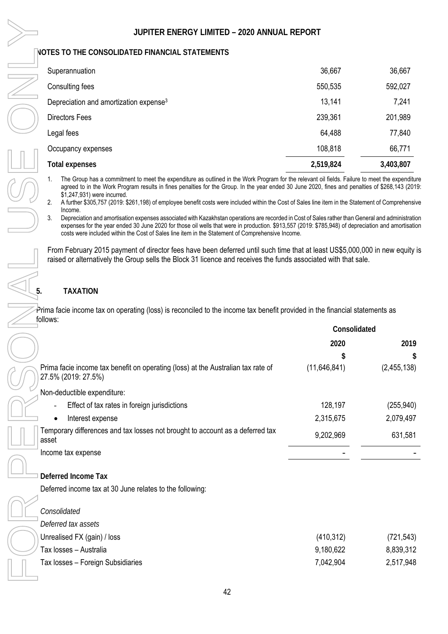| Superannuation                                     | 36,667    | 36,667    |
|----------------------------------------------------|-----------|-----------|
| Consulting fees                                    | 550,535   | 592,027   |
| Depreciation and amortization expense <sup>3</sup> | 13,141    | 7,241     |
| <b>Directors Fees</b>                              | 239,361   | 201,989   |
| Legal fees                                         | 64,488    | 77,840    |
| Occupancy expenses                                 | 108,818   | 66,771    |
| Total expenses                                     | 2,519,824 | 3,403,807 |

1. The Group has a commitment to meet the expenditure as outlined in the Work Program for the relevant oil fields. Failure to meet the expenditure agreed to in the Work Program results in fines penalties for the Group. In the year ended 30 June 2020, fines and penalties of \$268,143 (2019: \$1,247,931) were incurred.

2. A further \$305,757 (2019: \$261,198) of employee benefit costs were included within the Cost of Sales line item in the Statement of Comprehensive Income.

3. Depreciation and amortisation expenses associated with Kazakhstan operations are recorded in Cost of Sales rather than General and administration expenses for the year ended 30 June 2020 for those oil wells that were in production. \$913,557 (2019: \$785,948) of depreciation and amortisation costs were included within the Cost of Sales line item in the Statement of Comprehensive Income.

From February 2015 payment of director fees have been deferred until such time that at least US\$5,000,000 in new equity is raised or alternatively the Group sells the Block 31 licence and receives the funds associated with that sale.

### **5. TAXATION**

Prima facie income tax on operating (loss) is reconciled to the income tax benefit provided in the financial statements as follows:

|                                                                                                         | Consolidated   |             |
|---------------------------------------------------------------------------------------------------------|----------------|-------------|
|                                                                                                         | 2020           | 2019        |
|                                                                                                         |                | S.          |
| Prima facie income tax benefit on operating (loss) at the Australian tax rate of<br>27.5% (2019: 27.5%) | (11, 646, 841) | (2,455,138) |
| Non-deductible expenditure:                                                                             |                |             |
| Effect of tax rates in foreign jurisdictions                                                            | 128,197        | (255, 940)  |
| Interest expense                                                                                        | 2,315,675      | 2,079,497   |
| Temporary differences and tax losses not brought to account as a deferred tax<br>asset                  | 9,202,969      | 631,581     |
| Income tax expense                                                                                      |                |             |
| Deferred Income Tax                                                                                     |                |             |
| Deferred income tax at 30 June relates to the following:                                                |                |             |
| Consolidated                                                                                            |                |             |
| Deferred tax assets                                                                                     |                |             |
| Unrealised FX (gain) / loss                                                                             | (410, 312)     | (721, 543)  |
| Tax losses – Australia                                                                                  | 9,180,622      | 8,839,312   |
| Tax losses - Foreign Subsidiaries                                                                       | 7,042,904      | 2,517,948   |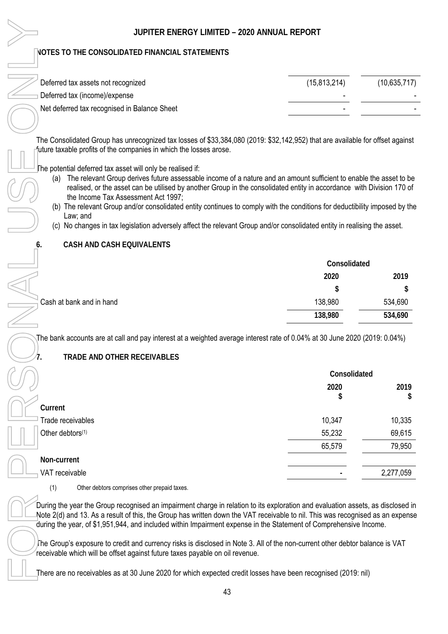### **NOTES TO THE CONSOLIDATED FINANCIAL STATEMENTS**

| Deferred tax assets not recognized           | (15, 813, 214) | (10,635,717) |
|----------------------------------------------|----------------|--------------|
| Deferred tax (income)/expense                |                |              |
| Net deferred tax recognised in Balance Sheet |                |              |

The Consolidated Group has unrecognized tax losses of \$33,384,080 (2019: \$32,142,952) that are available for offset against future taxable profits of the companies in which the losses arose.

The potential deferred tax asset will only be realised if:

- (a) The relevant Group derives future assessable income of a nature and an amount sufficient to enable the asset to be realised, or the asset can be utilised by another Group in the consolidated entity in accordance with Division 170 of the Income Tax Assessment Act 1997;
- (b) The relevant Group and/or consolidated entity continues to comply with the conditions for deductibility imposed by the Law; and
- (c) No changes in tax legislation adversely affect the relevant Group and/or consolidated entity in realising the asset.

### **6. CASH AND CASH EQUIVALENTS**

|                          | Consolidated |         |
|--------------------------|--------------|---------|
|                          | 2020         | 2019    |
|                          | \$           | \$      |
| Cash at bank and in hand | 138,980      | 534,690 |
|                          | 138,980      | 534,690 |

The bank accounts are at call and pay interest at a weighted average interest rate of 0.04% at 30 June 2020 (2019: 0.04%)

### **7. TRADE AND OTHER RECEIVABLES**

|                              | Consolidated |            |
|------------------------------|--------------|------------|
|                              | 2020<br>\$   | 2019<br>\$ |
| Current                      |              |            |
| Trade receivables            | 10,347       | 10,335     |
| Other debtors <sup>(1)</sup> | 55,232       | 69,615     |
|                              | 65,579       | 79,950     |
| Non-current                  |              |            |
| VAT receivable               | -            | 2,277,059  |

(1) Other debtors comprises other prepaid taxes.

During the year the Group recognised an impairment charge in relation to its exploration and evaluation assets, as disclosed in Note 2(d) and 13. As a result of this, the Group has written down the VAT receivable to nil. This was recognised as an expense during the year, of \$1,951,944, and included within Impairment expense in the Statement of Comprehensive Income.

The Group's exposure to credit and currency risks is disclosed in Note 3. All of the non-current other debtor balance is VAT receivable which will be offset against future taxes payable on oil revenue.

There are no receivables as at 30 June 2020 for which expected credit losses have been recognised (2019: nil)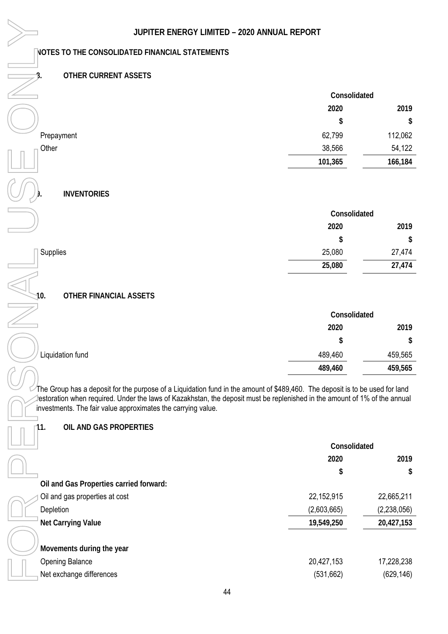### **8. OTHER CURRENT ASSETS**

|            |         | Consolidated |  |
|------------|---------|--------------|--|
|            | 2020    | 2019         |  |
|            | \$      | \$           |  |
| Prepayment | 62,799  | 112,062      |  |
| Other      | 38,566  | 54,122       |  |
|            | 101,365 | 166,184      |  |

### **9. INVENTORIES**

|                 | Consolidated |        |
|-----------------|--------------|--------|
|                 | 2020         | 2019   |
|                 | \$           | \$     |
| <b>Supplies</b> | 25,080       | 27,474 |
|                 | 25,080       | 27,474 |

# **10.** OTHER FINANCIAL ASSETS

|                  | Consolidated |         |  |
|------------------|--------------|---------|--|
|                  | 2020         | 2019    |  |
|                  | \$           | \$      |  |
| Liquidation fund | 489,460      | 459,565 |  |
|                  | 489,460      | 459,565 |  |

### **11. OIL AND GAS PROPERTIES**

| JUPITER ENERGY LIMITED - 2020 ANNUAL REPORT                                                                                                                                                                                                                                                                                                                |              |             |
|------------------------------------------------------------------------------------------------------------------------------------------------------------------------------------------------------------------------------------------------------------------------------------------------------------------------------------------------------------|--------------|-------------|
| <b>NOTES TO THE CONSOLIDATED FINANCIAL STATEMENTS</b>                                                                                                                                                                                                                                                                                                      |              |             |
| <b>OTHER CURRENT ASSETS</b>                                                                                                                                                                                                                                                                                                                                |              |             |
|                                                                                                                                                                                                                                                                                                                                                            | Consolidated |             |
|                                                                                                                                                                                                                                                                                                                                                            | 2020         | 2019        |
|                                                                                                                                                                                                                                                                                                                                                            | \$           | \$          |
| Prepayment                                                                                                                                                                                                                                                                                                                                                 | 62,799       | 112,062     |
| Other                                                                                                                                                                                                                                                                                                                                                      | 38,566       | 54,122      |
|                                                                                                                                                                                                                                                                                                                                                            | 101,365      | 166,184     |
| <b>INVENTORIES</b>                                                                                                                                                                                                                                                                                                                                         |              |             |
|                                                                                                                                                                                                                                                                                                                                                            | Consolidated |             |
|                                                                                                                                                                                                                                                                                                                                                            | 2020         | 2019        |
|                                                                                                                                                                                                                                                                                                                                                            | \$           | \$          |
| Supplies                                                                                                                                                                                                                                                                                                                                                   | 25,080       | 27,474      |
|                                                                                                                                                                                                                                                                                                                                                            | 25,080       | 27,474      |
| 10.<br>OTHER FINANCIAL ASSETS                                                                                                                                                                                                                                                                                                                              | Consolidated |             |
|                                                                                                                                                                                                                                                                                                                                                            | 2020         | 2019        |
|                                                                                                                                                                                                                                                                                                                                                            | \$           | \$          |
| Liquidation fund                                                                                                                                                                                                                                                                                                                                           | 489,460      | 459,565     |
|                                                                                                                                                                                                                                                                                                                                                            | 489,460      | 459,565     |
| The Group has a deposit for the purpose of a Liquidation fund in the amount of \$489,460. The deposit is to be used for land<br>estoration when required. Under the laws of Kazakhstan, the deposit must be replenished in the amount of 1% of the annual<br>investments. The fair value approximates the carrying value.<br>OIL AND GAS PROPERTIES<br>11. |              |             |
|                                                                                                                                                                                                                                                                                                                                                            | Consolidated |             |
|                                                                                                                                                                                                                                                                                                                                                            | 2020         | 2019        |
|                                                                                                                                                                                                                                                                                                                                                            | \$           | \$          |
| Oil and Gas Properties carried forward:                                                                                                                                                                                                                                                                                                                    |              |             |
| Oil and gas properties at cost                                                                                                                                                                                                                                                                                                                             | 22, 152, 915 | 22,665,211  |
| Depletion                                                                                                                                                                                                                                                                                                                                                  | (2,603,665)  | (2,238,056) |
| Net Carrying Value                                                                                                                                                                                                                                                                                                                                         | 19,549,250   | 20,427,153  |
| Movements during the year                                                                                                                                                                                                                                                                                                                                  |              |             |
| <b>Opening Balance</b>                                                                                                                                                                                                                                                                                                                                     | 20,427,153   | 17,228,238  |
| Net exchange differences                                                                                                                                                                                                                                                                                                                                   | (531, 662)   | (629, 146)  |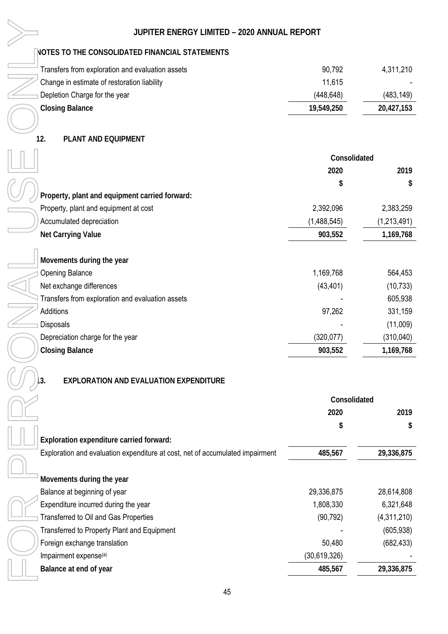### **NOTES TO THE CONSOLIDATED FINANCIAL STATEMENTS**

| Transfers from exploration and evaluation assets | 90,792     | 4,311,210  |
|--------------------------------------------------|------------|------------|
| Change in estimate of restoration liability      | 11.615     |            |
| Depletion Charge for the year                    | (448, 648) | (483, 149) |
| Closing Balance                                  | 19,549,250 | 20,427,153 |

### **12. PLANT AND EQUIPMENT**

|                                                       | JUPITER ENERGY LIMITED - 2020 ANNUAL REPORT                                   |              |             |
|-------------------------------------------------------|-------------------------------------------------------------------------------|--------------|-------------|
| <b>NOTES TO THE CONSOLIDATED FINANCIAL STATEMENTS</b> |                                                                               |              |             |
| Transfers from exploration and evaluation assets      |                                                                               | 90,792       | 4,311,210   |
| Change in estimate of restoration liability           |                                                                               | 11,615       |             |
| Depletion Charge for the year                         |                                                                               | (448, 648)   | (483, 149)  |
| <b>Closing Balance</b>                                |                                                                               | 19,549,250   | 20,427,153  |
|                                                       |                                                                               |              |             |
| 12.<br>PLANT AND EQUIPMENT                            |                                                                               |              |             |
|                                                       |                                                                               | Consolidated |             |
|                                                       |                                                                               | 2020         | 2019        |
|                                                       |                                                                               | \$           | \$          |
| Property, plant and equipment carried forward:        |                                                                               |              |             |
| Property, plant and equipment at cost                 |                                                                               | 2,392,096    | 2,383,259   |
| Accumulated depreciation                              |                                                                               | (1,488,545)  | (1,213,491) |
| Net Carrying Value                                    |                                                                               | 903,552      | 1,169,768   |
|                                                       |                                                                               |              |             |
| Movements during the year                             |                                                                               |              |             |
| <b>Opening Balance</b>                                |                                                                               | 1,169,768    | 564,453     |
| Net exchange differences                              |                                                                               | (43, 401)    | (10, 733)   |
| Transfers from exploration and evaluation assets      |                                                                               |              | 605,938     |
| Additions                                             |                                                                               | 97,262       | 331,159     |
| Disposals                                             |                                                                               |              | (11,009)    |
| Depreciation charge for the year                      |                                                                               | (320, 077)   | (310, 040)  |
| <b>Closing Balance</b>                                |                                                                               | 903,552      | 1,169,768   |
| EXPLORATION AND EVALUATION EXPENDITURE<br>3.          |                                                                               |              |             |
|                                                       |                                                                               | Consolidated |             |
|                                                       |                                                                               | 2020         | 2019        |
|                                                       |                                                                               | \$           | \$          |
| Exploration expenditure carried forward:              |                                                                               |              |             |
|                                                       | Exploration and evaluation expenditure at cost, net of accumulated impairment | 485,567      | 29,336,875  |
| Movements during the year                             |                                                                               |              |             |
| Balance at beginning of year                          |                                                                               | 29,336,875   | 28,614,808  |
| Expenditure incurred during the year                  |                                                                               | 1,808,330    | 6,321,648   |
| Transferred to Oil and Gas Properties                 |                                                                               | (90, 792)    | (4,311,210) |
| Transferred to Property Plant and Equipment           |                                                                               |              | (605, 938)  |
| Foreign exchange translation                          |                                                                               | 50,480       | (682, 433)  |
| Impairment expense <sup>(a)</sup>                     |                                                                               | (30,619,326) |             |
| Balance at end of year                                |                                                                               | 485,567      | 29,336,875  |
|                                                       |                                                                               |              |             |

### **13. EXPLORATION AND EVALUATION EXPENDITURE**

| Consolidated |             |
|--------------|-------------|
| 2020         | 2019        |
| \$           | S           |
|              |             |
| 485,567      | 29,336,875  |
|              |             |
|              |             |
| 29,336,875   | 28,614,808  |
| 1,808,330    | 6,321,648   |
| (90, 792)    | (4,311,210) |
|              | (605, 938)  |
| 50,480       | (682, 433)  |
| (30,619,326) |             |
| 485,567      | 29,336,875  |
|              |             |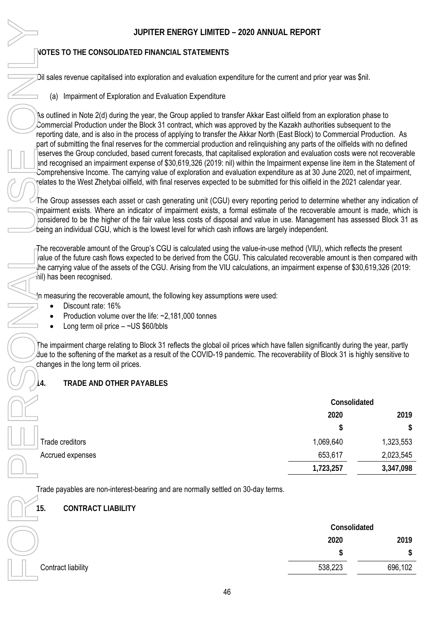### **NOTES TO THE CONSOLIDATED FINANCIAL STATEMENTS**

- -Discount rate: 16%
- $\bullet$ Production volume over the life: ~2,181,000 tonnes
- -Long term oil price – ~US \$60/bbls

### **14. TRADE AND OTHER PAYABLES**

|                  | Consolidated |           |
|------------------|--------------|-----------|
|                  | 2020         | 2019      |
|                  | \$           | \$        |
| Trade creditors  | 1,069,640    | 1,323,553 |
| Accrued expenses | 653,617      | 2,023,545 |
|                  | 1,723,257    | 3,347,098 |

### **15. CONTRACT LIABILITY**

| JUPITER ENERGY LIMITED - 2020 ANNUAL REPORT                                                                                                                                                                                                                                                                                                                                                                                                                                                                                                                                                                                                                                                                                                                                                                                                                                                                                                                                                                                                                                                                                                                                                                                                                                                                                                                                                                                              |                      |           |
|------------------------------------------------------------------------------------------------------------------------------------------------------------------------------------------------------------------------------------------------------------------------------------------------------------------------------------------------------------------------------------------------------------------------------------------------------------------------------------------------------------------------------------------------------------------------------------------------------------------------------------------------------------------------------------------------------------------------------------------------------------------------------------------------------------------------------------------------------------------------------------------------------------------------------------------------------------------------------------------------------------------------------------------------------------------------------------------------------------------------------------------------------------------------------------------------------------------------------------------------------------------------------------------------------------------------------------------------------------------------------------------------------------------------------------------|----------------------|-----------|
| <b>NOTES TO THE CONSOLIDATED FINANCIAL STATEMENTS</b>                                                                                                                                                                                                                                                                                                                                                                                                                                                                                                                                                                                                                                                                                                                                                                                                                                                                                                                                                                                                                                                                                                                                                                                                                                                                                                                                                                                    |                      |           |
| Dil sales revenue capitalised into exploration and evaluation expenditure for the current and prior year was \$nil.                                                                                                                                                                                                                                                                                                                                                                                                                                                                                                                                                                                                                                                                                                                                                                                                                                                                                                                                                                                                                                                                                                                                                                                                                                                                                                                      |                      |           |
| (a) Impairment of Exploration and Evaluation Expenditure                                                                                                                                                                                                                                                                                                                                                                                                                                                                                                                                                                                                                                                                                                                                                                                                                                                                                                                                                                                                                                                                                                                                                                                                                                                                                                                                                                                 |                      |           |
| As outlined in Note 2(d) during the year, the Group applied to transfer Akkar East oilfield from an exploration phase to<br>Commercial Production under the Block 31 contract, which was approved by the Kazakh authorities subsequent to the<br>reporting date, and is also in the process of applying to transfer the Akkar North (East Block) to Commercial Production. As<br>part of submitting the final reserves for the commercial production and relinguishing any parts of the oilfields with no defined<br>eserves the Group concluded, based current forecasts, that capitalised exploration and evaluation costs were not recoverable<br>and recognised an impairment expense of \$30,619,326 (2019: nil) within the Impairment expense line item in the Statement of<br>Comprehensive Income. The carrying value of exploration and evaluation expenditure as at 30 June 2020, net of impairment,<br>relates to the West Zhetybai oilfield, with final reserves expected to be submitted for this oilfield in the 2021 calendar year.<br>The Group assesses each asset or cash generating unit (CGU) every reporting period to determine whether any indication o<br>impairment exists. Where an indicator of impairment exists, a formal estimate of the recoverable amount is made, which is<br>onsidered to be the higher of the fair value less costs of disposal and value in use. Management has assessed Block 31 as |                      |           |
| being an individual CGU, which is the lowest level for which cash inflows are largely independent.<br>The recoverable amount of the Group's CGU is calculated using the value-in-use method (VIU), which reflects the present<br>alue of the future cash flows expected to be derived from the CGU. This calculated recoverable amount is then compared with<br>the carrying value of the assets of the CGU. Arising from the VIU calculations, an impairment expense of \$30,619,326 (2019:<br>hil) has been recognised.<br>In measuring the recoverable amount, the following key assumptions were used:                                                                                                                                                                                                                                                                                                                                                                                                                                                                                                                                                                                                                                                                                                                                                                                                                               |                      |           |
| Discount rate: 16%<br>Production volume over the life: $\approx 2,181,000$ tonnes<br>Long term oil price $-$ ~US \$60/bbls                                                                                                                                                                                                                                                                                                                                                                                                                                                                                                                                                                                                                                                                                                                                                                                                                                                                                                                                                                                                                                                                                                                                                                                                                                                                                                               |                      |           |
| The impairment charge relating to Block 31 reflects the global oil prices which have fallen significantly during the year, partly<br>due to the softening of the market as a result of the COVID-19 pandemic. The recoverability of Block 31 is highly sensitive to<br>changes in the long term oil prices.                                                                                                                                                                                                                                                                                                                                                                                                                                                                                                                                                                                                                                                                                                                                                                                                                                                                                                                                                                                                                                                                                                                              |                      |           |
| TRADE AND OTHER PAYABLES                                                                                                                                                                                                                                                                                                                                                                                                                                                                                                                                                                                                                                                                                                                                                                                                                                                                                                                                                                                                                                                                                                                                                                                                                                                                                                                                                                                                                 |                      |           |
|                                                                                                                                                                                                                                                                                                                                                                                                                                                                                                                                                                                                                                                                                                                                                                                                                                                                                                                                                                                                                                                                                                                                                                                                                                                                                                                                                                                                                                          | Consolidated<br>2020 | 2019      |
|                                                                                                                                                                                                                                                                                                                                                                                                                                                                                                                                                                                                                                                                                                                                                                                                                                                                                                                                                                                                                                                                                                                                                                                                                                                                                                                                                                                                                                          | \$                   | S         |
| Trade creditors                                                                                                                                                                                                                                                                                                                                                                                                                                                                                                                                                                                                                                                                                                                                                                                                                                                                                                                                                                                                                                                                                                                                                                                                                                                                                                                                                                                                                          | 1,069,640            | 1,323,553 |
| Accrued expenses                                                                                                                                                                                                                                                                                                                                                                                                                                                                                                                                                                                                                                                                                                                                                                                                                                                                                                                                                                                                                                                                                                                                                                                                                                                                                                                                                                                                                         | 653,617              | 2,023,545 |
|                                                                                                                                                                                                                                                                                                                                                                                                                                                                                                                                                                                                                                                                                                                                                                                                                                                                                                                                                                                                                                                                                                                                                                                                                                                                                                                                                                                                                                          | 1,723,257            | 3,347,098 |
| Trade payables are non-interest-bearing and are normally settled on 30-day terms.                                                                                                                                                                                                                                                                                                                                                                                                                                                                                                                                                                                                                                                                                                                                                                                                                                                                                                                                                                                                                                                                                                                                                                                                                                                                                                                                                        |                      |           |
| <b>CONTRACT LIABILITY</b><br>15.                                                                                                                                                                                                                                                                                                                                                                                                                                                                                                                                                                                                                                                                                                                                                                                                                                                                                                                                                                                                                                                                                                                                                                                                                                                                                                                                                                                                         |                      |           |
|                                                                                                                                                                                                                                                                                                                                                                                                                                                                                                                                                                                                                                                                                                                                                                                                                                                                                                                                                                                                                                                                                                                                                                                                                                                                                                                                                                                                                                          | Consolidated         |           |
|                                                                                                                                                                                                                                                                                                                                                                                                                                                                                                                                                                                                                                                                                                                                                                                                                                                                                                                                                                                                                                                                                                                                                                                                                                                                                                                                                                                                                                          | 2020                 | 2019      |
|                                                                                                                                                                                                                                                                                                                                                                                                                                                                                                                                                                                                                                                                                                                                                                                                                                                                                                                                                                                                                                                                                                                                                                                                                                                                                                                                                                                                                                          | \$                   | \$        |
| Contract liability                                                                                                                                                                                                                                                                                                                                                                                                                                                                                                                                                                                                                                                                                                                                                                                                                                                                                                                                                                                                                                                                                                                                                                                                                                                                                                                                                                                                                       | 538,223              | 696,102   |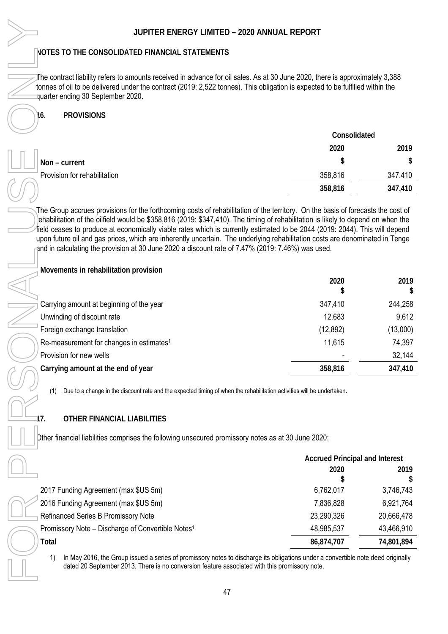### **16. PROVISIONS**

|                              | Consolidated |         |
|------------------------------|--------------|---------|
|                              | 2020         | 2019    |
| Non - current                | \$           |         |
| Provision for rehabilitation | 358,816      | 347,410 |
|                              | 358,816      | 347,410 |

| JUPITER ENERGY LIMITED - 2020 ANNUAL REPORT                                                                                                                                                                                                                                                                                                                                                                                                                                                          |                                       |            |
|------------------------------------------------------------------------------------------------------------------------------------------------------------------------------------------------------------------------------------------------------------------------------------------------------------------------------------------------------------------------------------------------------------------------------------------------------------------------------------------------------|---------------------------------------|------------|
| NOTES TO THE CONSOLIDATED FINANCIAL STATEMENTS                                                                                                                                                                                                                                                                                                                                                                                                                                                       |                                       |            |
| The contract liability refers to amounts received in advance for oil sales. As at 30 June 2020, there is approximately 3,388<br>tonnes of oil to be delivered under the contract (2019: 2,522 tonnes). This obligation is expected to be fulfilled within the<br>quarter ending 30 September 2020.                                                                                                                                                                                                   |                                       |            |
| <b>PROVISIONS</b><br>16.                                                                                                                                                                                                                                                                                                                                                                                                                                                                             |                                       |            |
|                                                                                                                                                                                                                                                                                                                                                                                                                                                                                                      |                                       |            |
|                                                                                                                                                                                                                                                                                                                                                                                                                                                                                                      | Consolidated                          |            |
|                                                                                                                                                                                                                                                                                                                                                                                                                                                                                                      | 2020                                  | 2019       |
| Non - current                                                                                                                                                                                                                                                                                                                                                                                                                                                                                        | \$                                    |            |
| Provision for rehabilitation                                                                                                                                                                                                                                                                                                                                                                                                                                                                         | 358,816                               | 347,410    |
|                                                                                                                                                                                                                                                                                                                                                                                                                                                                                                      | 358,816                               | 347,410    |
| ehabilitation of the oilfield would be \$358,816 (2019: \$347,410). The timing of rehabilitation is likely to depend on when the<br>field ceases to produce at economically viable rates which is currently estimated to be 2044 (2019: 2044). This will depend<br>upon future oil and gas prices, which are inherently uncertain. The underlying rehabilitation costs are denominated in Tenge<br>and in calculating the provision at 30 June 2020 a discount rate of 7.47% (2019: 7.46%) was used. |                                       |            |
| Movements in rehabilitation provision                                                                                                                                                                                                                                                                                                                                                                                                                                                                | 2020                                  | 2019       |
|                                                                                                                                                                                                                                                                                                                                                                                                                                                                                                      | \$                                    |            |
| Carrying amount at beginning of the year                                                                                                                                                                                                                                                                                                                                                                                                                                                             | 347,410                               | 244,258    |
| Unwinding of discount rate                                                                                                                                                                                                                                                                                                                                                                                                                                                                           | 12,683                                | 9,612      |
| Foreign exchange translation                                                                                                                                                                                                                                                                                                                                                                                                                                                                         | (12, 892)                             | (13,000)   |
| Re-measurement for changes in estimates <sup>1</sup>                                                                                                                                                                                                                                                                                                                                                                                                                                                 | 11,615                                | 74,397     |
| Provision for new wells                                                                                                                                                                                                                                                                                                                                                                                                                                                                              |                                       | 32,144     |
| Carrying amount at the end of year                                                                                                                                                                                                                                                                                                                                                                                                                                                                   | 358,816                               | 347,410    |
| Due to a change in the discount rate and the expected timing of when the rehabilitation activities will be undertaken.<br>(1)                                                                                                                                                                                                                                                                                                                                                                        |                                       |            |
| OTHER FINANCIAL LIABILITIES<br>17.                                                                                                                                                                                                                                                                                                                                                                                                                                                                   |                                       |            |
| Dther financial liabilities comprises the following unsecured promissory notes as at 30 June 2020:                                                                                                                                                                                                                                                                                                                                                                                                   |                                       |            |
|                                                                                                                                                                                                                                                                                                                                                                                                                                                                                                      | <b>Accrued Principal and Interest</b> |            |
|                                                                                                                                                                                                                                                                                                                                                                                                                                                                                                      | 2020                                  | 2019       |
|                                                                                                                                                                                                                                                                                                                                                                                                                                                                                                      |                                       |            |
| 2017 Funding Agreement (max \$US 5m)                                                                                                                                                                                                                                                                                                                                                                                                                                                                 | 6,762,017                             | 3,746,743  |
| 2016 Funding Agreement (max \$US 5m)                                                                                                                                                                                                                                                                                                                                                                                                                                                                 | 7,836,828                             | 6,921,764  |
| Refinanced Series B Promissory Note                                                                                                                                                                                                                                                                                                                                                                                                                                                                  | 23,290,326                            | 20,666,478 |
| Promissory Note – Discharge of Convertible Notes <sup>1</sup>                                                                                                                                                                                                                                                                                                                                                                                                                                        | 48,985,537                            | 43,466,910 |
| Total                                                                                                                                                                                                                                                                                                                                                                                                                                                                                                | 86,874,707                            | 74,801,894 |
| In May 2016, the Group issued a series of promissory notes to discharge its obligations under a convertible note deed originally<br>1)<br>dated 20 September 2013. There is no conversion feature associated with this promissory note.                                                                                                                                                                                                                                                              |                                       |            |

### **17. OTHER FINANCIAL LIABILITIES**

|                                                               | <b>Accrued Principal and Interest</b> |            |
|---------------------------------------------------------------|---------------------------------------|------------|
|                                                               | 2020                                  | 2019       |
| 2017 Funding Agreement (max \$US 5m)                          | 6,762,017                             | 3,746,743  |
| 2016 Funding Agreement (max \$US 5m)                          | 7,836,828                             | 6,921,764  |
| <b>Refinanced Series B Promissory Note</b>                    | 23,290,326                            | 20,666,478 |
| Promissory Note - Discharge of Convertible Notes <sup>1</sup> | 48,985,537                            | 43,466,910 |
| Total                                                         | 86,874,707                            | 74,801,894 |
|                                                               |                                       |            |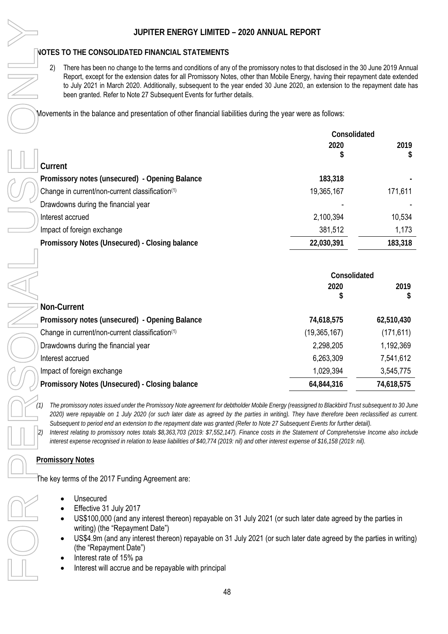2) There has been no change to the terms and conditions of any of the promissory notes to that disclosed in the 30 June 2019 Annual Report, except for the extension dates for all Promissory Notes, other than Mobile Energy, having their repayment date extended to July 2021 in March 2020. Additionally, subsequent to the year ended 30 June 2020, an extension to the repayment date has been granted. Refer to Note 27 Subsequent Events for further details.

Movements in the balance and presentation of other financial liabilities during the year were as follows:

|                                                             | Consolidated |           |
|-------------------------------------------------------------|--------------|-----------|
|                                                             | 2020<br>\$   | 2019<br>S |
| Current                                                     |              |           |
| Promissory notes (unsecured) - Opening Balance              | 183,318      |           |
| Change in current/non-current classification <sup>(1)</sup> | 19,365,167   | 171,611   |
| Drawdowns during the financial year                         |              |           |
| Interest accrued                                            | 2,100,394    | 10,534    |
| Impact of foreign exchange                                  | 381,512      | 1,173     |
| Promissory Notes (Unsecured) - Closing balance              | 22,030,391   | 183,318   |
|                                                             |              |           |

|                                                 | Consolidated   |            |
|-------------------------------------------------|----------------|------------|
|                                                 | 2020<br>\$     | 2019<br>\$ |
| Non-Current                                     |                |            |
| Promissory notes (unsecured) - Opening Balance  | 74,618,575     | 62,510,430 |
| Change in current/non-current classification(1) | (19, 365, 167) | (171, 611) |
| Drawdowns during the financial year             | 2,298,205      | 1,192,369  |
| Interest accrued                                | 6,263,309      | 7,541,612  |
| Impact of foreign exchange                      | 1,029,394      | 3,545,775  |
| Promissory Notes (Unsecured) - Closing balance  | 64,844,316     | 74,618,575 |

*(1) The promissory notes issued under the Promissory Note agreement for debtholder Mobile Energy (reassigned to Blackbird Trust subsequent to 30 June 2020) were repayable on 1 July 2020 (or such later date as agreed by the parties in writing). They have therefore been reclassified as current. Subsequent to period end an extension to the repayment date was granted (Refer to Note 27 Subsequent Events for further detail).*

*(2) Interest relating to promissory notes totals \$8,363,703 (2019: \$7,552,147). Finance costs in the Statement of Comprehensive Income also include interest expense recognised in relation to lease liabilities of \$40,774 (2019: nil) and other interest expense of \$16,158 (2019: nil).* 

### **Promissory Notes**

The key terms of the 2017 Funding Agreement are:

- -Unsecured
- $\bullet$ Effective 31 July 2017
- $\bullet$  US\$100,000 (and any interest thereon) repayable on 31 July 2021 (or such later date agreed by the parties in writing) (the "Repayment Date")
- $\bullet$  US\$4.9m (and any interest thereon) repayable on 31 July 2021 (or such later date agreed by the parties in writing) (the "Repayment Date")
- -Interest rate of 15% pa
- $\bullet$ Interest will accrue and be repayable with principal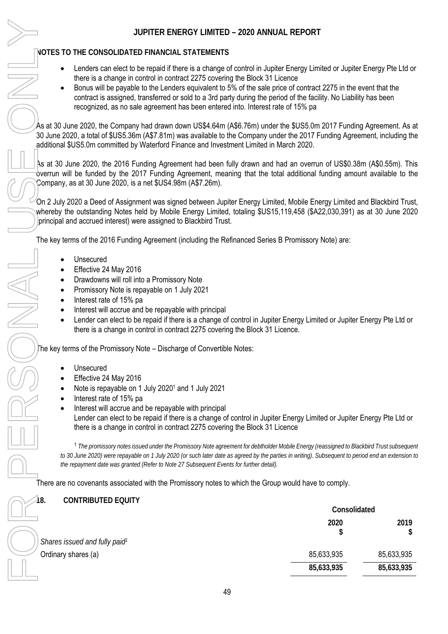### **NOTES TO THE CONSOLIDATED FINANCIAL STATEMENTS**

- $\bullet$  Lenders can elect to be repaid if there is a change of control in Jupiter Energy Limited or Jupiter Energy Pte Ltd or there is a change in control in contract 2275 covering the Block 31 Licence
- $\bullet$  Bonus will be payable to the Lenders equivalent to 5% of the sale price of contract 2275 in the event that the contract is assigned, transferred or sold to a 3rd party during the period of the facility. No Liability has been recognized, as no sale agreement has been entered into. Interest rate of 15% pa

As at 30 June 2020, the Company had drawn down US\$4.64m (A\$6.76m) under the \$US5.0m 2017 Funding Agreement. As at 30 June 2020, a total of \$US5.36m (A\$7.81m) was available to the Company under the 2017 Funding Agreement, including the additional \$US5.0m committed by Waterford Finance and Investment Limited in March 2020.

As at 30 June 2020, the 2016 Funding Agreement had been fully drawn and had an overrun of US\$0.38m (A\$0.55m). This overrun will be funded by the 2017 Funding Agreement, meaning that the total additional funding amount available to the Company, as at 30 June 2020, is a net \$US4.98m (A\$7.26m).

On 2 July 2020 a Deed of Assignment was signed between Jupiter Energy Limited, Mobile Energy Limited and Blackbird Trust, whereby the outstanding Notes held by Mobile Energy Limited, totaling \$US15,119,458 (\$A22,030,391) as at 30 June 2020 (principal and accrued interest) were assigned to Blackbird Trust.

The key terms of the 2016 Funding Agreement (including the Refinanced Series B Promissory Note) are:

- $\bullet$ Unsecured
- $\bullet$ Effective 24 May 2016
- -Drawdowns will roll into a Promissory Note
- $\bullet$ Promissory Note is repayable on 1 July 2021
- -Interest rate of 15% pa
- $\bullet$ Interest will accrue and be repayable with principal
- $\bullet$  Lender can elect to be repaid if there is a change of control in Jupiter Energy Limited or Jupiter Energy Pte Ltd or there is a change in control in contract 2275 covering the Block 31 Licence.

The key terms of the Promissory Note – Discharge of Convertible Notes:

- -Unsecured
- $\bullet$ Effective 24 May 2016
- -Note is repayable on 1 July 2020<sup>1</sup> and 1 July 2021
- $\bullet$ Interest rate of 15% pa
- $\bullet$ Interest will accrue and be repayable with principal

Lender can elect to be repaid if there is a change of control in Jupiter Energy Limited or Jupiter Energy Pte Ltd or there is a change in control in contract 2275 covering the Block 31 Licence

<sup>1</sup> *The promissory notes issued under the Promissory Note agreement for debtholder Mobile Energy (reassigned to Blackbird Trust subsequent*  to 30 June 2020) were repayable on 1 July 2020 (or such later date as agreed by the parties in writing). Subsequent to period end an extension to *the repayment date was granted (Refer to Note 27 Subsequent Events for further detail).* 

There are no covenants associated with the Promissory notes to which the Group would have to comply.

**18. CONTRIBUTED EQUITY Consolidated 2020 \$ 2019 \$** *Shares issued and fully paid1* Ordinary shares (a) 85,633,935 85,633,935 85,633,935 85,633,935 **85,633,935 85,633,935**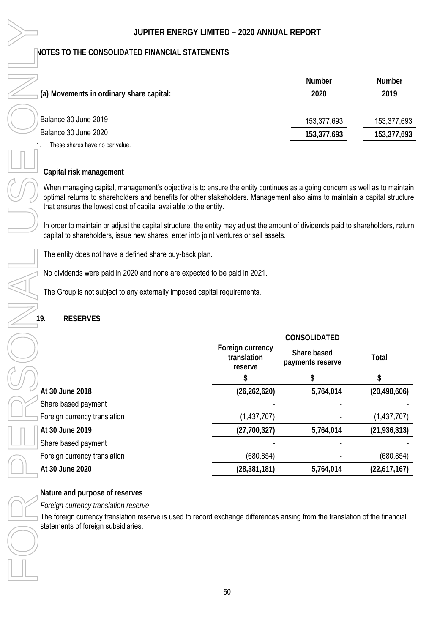|                                                                   | <b>Number</b> | <b>Number</b> |
|-------------------------------------------------------------------|---------------|---------------|
| $\overline{\phantom{a}}$ (a) Movements in ordinary share capital: | 2020          | 2019          |
| Balance 30 June 2019                                              | 153,377,693   | 153,377,693   |
| Balance 30 June 2020                                              | 153,377,693   | 153,377,693   |
| These shares have no par value.                                   |               |               |

### **Capital risk management**

When managing capital, management's objective is to ensure the entity continues as a going concern as well as to maintain optimal returns to shareholders and benefits for other stakeholders. Management also aims to maintain a capital structure that ensures the lowest cost of capital available to the entity.

In order to maintain or adjust the capital structure, the entity may adjust the amount of dividends paid to shareholders, return capital to shareholders, issue new shares, enter into joint ventures or sell assets.

The entity does not have a defined share buy-back plan.

No dividends were paid in 2020 and none are expected to be paid in 2021.

The Group is not subject to any externally imposed capital requirements.

### **19. RESERVES**

|                              |                                            | CONSOLIDATED                    |                |
|------------------------------|--------------------------------------------|---------------------------------|----------------|
|                              | Foreign currency<br>translation<br>reserve | Share based<br>payments reserve | Total          |
|                              | \$                                         | \$                              | \$             |
| At 30 June 2018              | (26, 262, 620)                             | 5,764,014                       | (20, 498, 606) |
| Share based payment          |                                            |                                 |                |
| Foreign currency translation | (1,437,707)                                |                                 | (1,437,707)    |
| At 30 June 2019              | (27,700,327)                               | 5,764,014                       | (21, 936, 313) |
| Share based payment          |                                            |                                 |                |
| Foreign currency translation | (680, 854)                                 |                                 | (680, 854)     |
| At 30 June 2020              | (28, 381, 181)                             | 5,764,014                       | (22,617,167)   |

**Nature and purpose of reserves**

*Foreign currency translation reserve*

The foreign currency translation reserve is used to record exchange differences arising from the translation of the financial statements of foreign subsidiaries.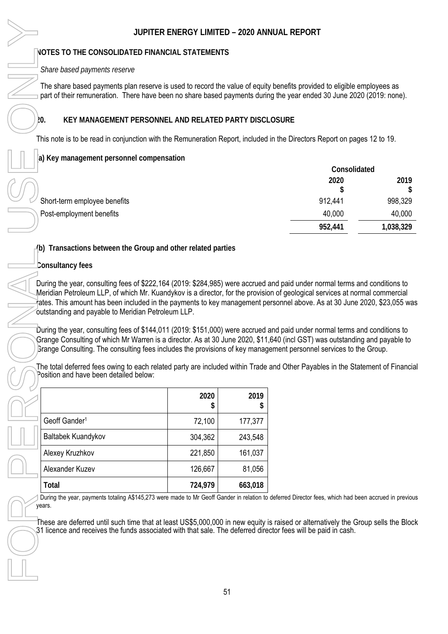### **NOTES TO THE CONSOLIDATED FINANCIAL STATEMENTS**

### *Share based payments reserve*

The share based payments plan reserve is used to record the value of equity benefits provided to eligible employees as part of their remuneration. There have been no share based payments during the year ended 30 June 2020 (2019: none).

### **20. KEY MANAGEMENT PERSONNEL AND RELATED PARTY DISCLOSURE**

This note is to be read in conjunction with the Remuneration Report, included in the Directors Report on pages 12 to 19.

### **(a) Key management personnel compensation**

|                              | Consolidated |           |
|------------------------------|--------------|-----------|
|                              | 2020         | 2019      |
|                              |              |           |
| Short-term employee benefits | 912,441      | 998,329   |
| Post-employment benefits     | 40,000       | 40,000    |
|                              | 952,441      | 1,038,329 |
|                              |              |           |

### **(b) Transactions between the Group and other related parties**

### **Consultancy fees**

During the year, consulting fees of \$222,164 (2019: \$284,985) were accrued and paid under normal terms and conditions to Meridian Petroleum LLP, of which Mr. Kuandykov is a director, for the provision of geological services at normal commercial rates. This amount has been included in the payments to key management personnel above. As at 30 June 2020, \$23,055 was outstanding and payable to Meridian Petroleum LLP.

During the year, consulting fees of \$144,011 (2019: \$151,000) were accrued and paid under normal terms and conditions to Grange Consulting of which Mr Warren is a director. As at 30 June 2020, \$11,640 (incl GST) was outstanding and payable to Grange Consulting. The consulting fees includes the provisions of key management personnel services to the Group.

The total deferred fees owing to each related party are included within Trade and Other Payables in the Statement of Financial Position and have been detailed below:

|                                                                                                                                                                                                                                                                                                                                                                                                                                                                                                   | JUPITER ENERGY LIMITED - 2020 ANNUAL REPORT |           |                                                 |
|---------------------------------------------------------------------------------------------------------------------------------------------------------------------------------------------------------------------------------------------------------------------------------------------------------------------------------------------------------------------------------------------------------------------------------------------------------------------------------------------------|---------------------------------------------|-----------|-------------------------------------------------|
| NOTES TO THE CONSOLIDATED FINANCIAL STATEMENTS                                                                                                                                                                                                                                                                                                                                                                                                                                                    |                                             |           |                                                 |
| Share based payments reserve                                                                                                                                                                                                                                                                                                                                                                                                                                                                      |                                             |           |                                                 |
| The share based payments plan reserve is used to record the value of equity benefits provided to eligible<br>part of their remuneration. There have been no share based payments during the year ended 30 June 20                                                                                                                                                                                                                                                                                 |                                             |           |                                                 |
| ŀО.<br>KEY MANAGEMENT PERSONNEL AND RELATED PARTY DISCLOSURE                                                                                                                                                                                                                                                                                                                                                                                                                                      |                                             |           |                                                 |
| This note is to be read in conjunction with the Remuneration Report, included in the Directors Report on pa                                                                                                                                                                                                                                                                                                                                                                                       |                                             |           |                                                 |
| a) Key management personnel compensation                                                                                                                                                                                                                                                                                                                                                                                                                                                          |                                             |           |                                                 |
| Short-term employee benefits<br>Post-employment benefits                                                                                                                                                                                                                                                                                                                                                                                                                                          |                                             |           | Consoli<br>2020<br>912,441<br>40,000<br>952,441 |
| (b) Transactions between the Group and other related parties                                                                                                                                                                                                                                                                                                                                                                                                                                      |                                             |           |                                                 |
| Consultancy fees                                                                                                                                                                                                                                                                                                                                                                                                                                                                                  |                                             |           |                                                 |
| ates. This amount has been included in the payments to key management personnel above. As at 30 June<br>outstanding and payable to Meridian Petroleum LLP.<br>During the year, consulting fees of \$144,011 (2019: \$151,000) were accrued and paid under normal terms a<br>Grange Consulting of which Mr Warren is a director. As at 30 June 2020, \$11,640 (incl GST) was outstandi<br>Brange Consulting. The consulting fees includes the provisions of key management personnel services to t |                                             |           |                                                 |
| The total deferred fees owing to each related party are included within Trade and Other Payables in the Sta<br>Position and have been detailed below:                                                                                                                                                                                                                                                                                                                                             |                                             |           |                                                 |
|                                                                                                                                                                                                                                                                                                                                                                                                                                                                                                   | 2020<br>\$                                  | 2019<br>S |                                                 |
| Geoff Gander <sup>1</sup>                                                                                                                                                                                                                                                                                                                                                                                                                                                                         | 72,100                                      | 177,377   |                                                 |
| Baltabek Kuandykov                                                                                                                                                                                                                                                                                                                                                                                                                                                                                | 304,362                                     | 243,548   |                                                 |
| Alexey Kruzhkov                                                                                                                                                                                                                                                                                                                                                                                                                                                                                   | 221,850                                     | 161,037   |                                                 |
| Alexander Kuzev                                                                                                                                                                                                                                                                                                                                                                                                                                                                                   | 126,667                                     | 81,056    |                                                 |
| Total                                                                                                                                                                                                                                                                                                                                                                                                                                                                                             | 724,979                                     | 663,018   |                                                 |
| During the year, payments totaling A\$145,273 were made to Mr Geoff Gander in relation to deferred Director fees, which had b<br>years.<br>These are deferred until such time that at least US\$5,000,000 in new equity is raised or alternatively the G<br>31 licence and receives the funds associated with that sale. The deferred director fees will be paid in cash.                                                                                                                         |                                             |           |                                                 |

1 During the year, payments totaling A\$145,273 were made to Mr Geoff Gander in relation to deferred Director fees, which had been accrued in previous years.

⊤hese are deferred until such time that at least US\$5,000,000 in new equity is raised or alternatively the Group sells the Block<br>31 licence and receives the funds associated with that sale. The deferred director fees will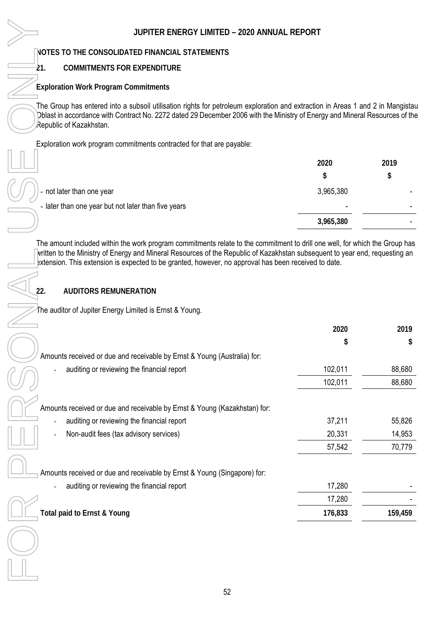### **21. COMMITMENTS FOR EXPENDITURE**

|                                                     | 2020                     | 2019 |
|-----------------------------------------------------|--------------------------|------|
|                                                     | \$.                      | \$   |
| - not later than one year                           | 3,965,380                |      |
| - later than one year but not later than five years | $\overline{\phantom{0}}$ |      |
|                                                     | 3,965,380                |      |
|                                                     |                          |      |

### **22. AUDITORS REMUNERATION**

| JUPITER ENERGY LIMITED - 2020 ANNUAL REPORT                                                                                                            |           |            |
|--------------------------------------------------------------------------------------------------------------------------------------------------------|-----------|------------|
| NOTES TO THE CONSOLIDATED FINANCIAL STATEMENTS                                                                                                         |           |            |
| <b>COMMITMENTS FOR EXPENDITURE</b><br>-21.                                                                                                             |           |            |
| <b>Exploration Work Program Commitments</b>                                                                                                            |           |            |
| The Group has entered into a subsoil utilisation rights for petroleum exploration and extraction in Areas 1 and 2 in Mangistau                         |           |            |
| Dblast in accordance with Contract No. 2272 dated 29 December 2006 with the Ministry of Energy and Mineral Resources of the<br>Republic of Kazakhstan. |           |            |
| Exploration work program commitments contracted for that are payable:                                                                                  |           |            |
|                                                                                                                                                        | 2020      | 2019       |
|                                                                                                                                                        | \$        | \$         |
| - not later than one year                                                                                                                              | 3,965,380 |            |
| - later than one year but not later than five years                                                                                                    |           |            |
|                                                                                                                                                        | 3,965,380 |            |
| 22.<br><b>AUDITORS REMUNERATION</b><br>The auditor of Jupiter Energy Limited is Ernst & Young.                                                         |           |            |
|                                                                                                                                                        |           |            |
|                                                                                                                                                        | 2020      | 2019<br>\$ |
| Amounts received or due and receivable by Ernst & Young (Australia) for:                                                                               |           |            |
| auditing or reviewing the financial report                                                                                                             | 102,011   | 88,680     |
|                                                                                                                                                        | 102,011   | 88,680     |
|                                                                                                                                                        |           |            |
| Amounts received or due and receivable by Ernst & Young (Kazakhstan) for:<br>auditing or reviewing the financial report                                | 37,211    | 55,826     |
| Non-audit fees (tax advisory services)                                                                                                                 | 20,331    | 14,953     |
|                                                                                                                                                        | 57,542    | 70,779     |
|                                                                                                                                                        |           |            |
| Amounts received or due and receivable by Ernst & Young (Singapore) for:                                                                               |           |            |
| auditing or reviewing the financial report                                                                                                             | 17,280    |            |
|                                                                                                                                                        | 17,280    |            |
| Total paid to Ernst & Young                                                                                                                            | 176,833   | 159,459    |
|                                                                                                                                                        |           |            |
|                                                                                                                                                        |           |            |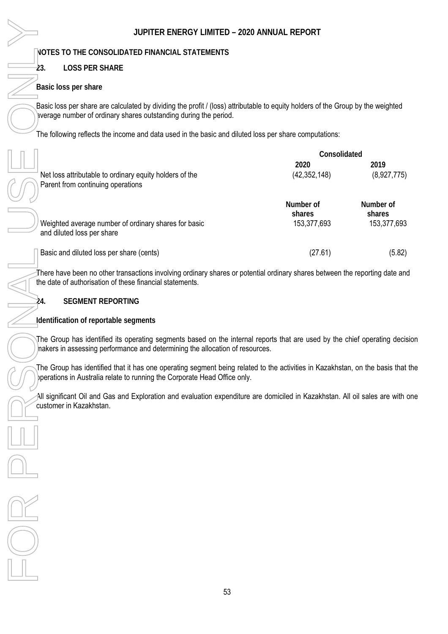**NOTES TO THE CONSOLIDATED FINANCIAL STATEMENTS** 

### **23. LOSS PER SHARE**

### **Basic loss per share**

Basic loss per share are calculated by dividing the profit / (loss) attributable to equity holders of the Group by the weighted average number of ordinary shares outstanding during the period.

The following reflects the income and data used in the basic and diluted loss per share computations:

|                                                                                              | Consolidated                       |                                    |  |
|----------------------------------------------------------------------------------------------|------------------------------------|------------------------------------|--|
| Net loss attributable to ordinary equity holders of the<br>Parent from continuing operations | 2020<br>(42, 352, 148)             | 2019<br>(8,927,775)                |  |
| Weighted average number of ordinary shares for basic<br>and diluted loss per share           | Number of<br>shares<br>153,377,693 | Number of<br>shares<br>153,377,693 |  |
| Basic and diluted loss per share (cents)                                                     | (27.61)                            | (5.82)                             |  |

There have been no other transactions involving ordinary shares or potential ordinary shares between the reporting date and the date of authorisation of these financial statements.

### **24. SEGMENT REPORTING**

**Identification of reportable segments** 

The Group has identified its operating segments based on the internal reports that are used by the chief operating decision makers in assessing performance and determining the allocation of resources.

The Group has identified that it has one operating segment being related to the activities in Kazakhstan, on the basis that the bperations in Australia relate to running the Corporate Head Office only.

All significant Oil and Gas and Exploration and evaluation expenditure are domiciled in Kazakhstan. All oil sales are with one customer in Kazakhstan.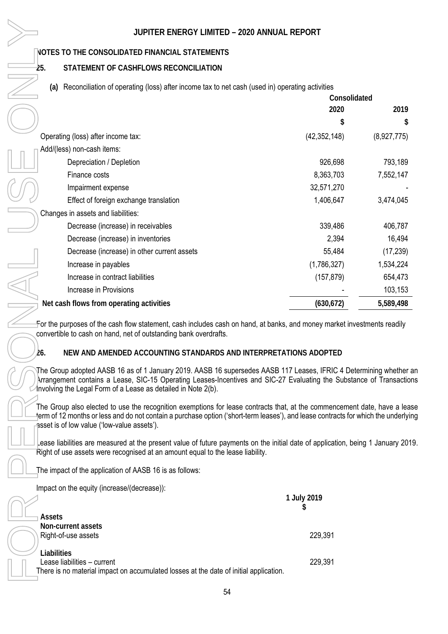# NOTES TO THE CONSOLIDATED FINANCIAL STATEMENTS<br>25. STATEMENT OF CASHFLOWS RECONCILIATION

### **25. STATEMENT OF CASHFLOWS RECONCILIATION**

### **(a)** Reconciliation of operating (loss) after income tax to net cash (used in) operating activities

| JUPITER ENERGY LIMITED - 2020 ANNUAL REPORT                                                                                                                                                                                                                                                                |                  |             |
|------------------------------------------------------------------------------------------------------------------------------------------------------------------------------------------------------------------------------------------------------------------------------------------------------------|------------------|-------------|
| NOTES TO THE CONSOLIDATED FINANCIAL STATEMENTS                                                                                                                                                                                                                                                             |                  |             |
| 25.<br>STATEMENT OF CASHFLOWS RECONCILIATION                                                                                                                                                                                                                                                               |                  |             |
| Reconciliation of operating (loss) after income tax to net cash (used in) operating activities<br>(a)                                                                                                                                                                                                      |                  |             |
|                                                                                                                                                                                                                                                                                                            | Consolidated     |             |
|                                                                                                                                                                                                                                                                                                            | 2020             | 2019        |
|                                                                                                                                                                                                                                                                                                            | \$               | \$          |
| Operating (loss) after income tax:                                                                                                                                                                                                                                                                         | (42, 352, 148)   | (8,927,775) |
| Add/(less) non-cash items:                                                                                                                                                                                                                                                                                 |                  |             |
| Depreciation / Depletion                                                                                                                                                                                                                                                                                   | 926,698          | 793,189     |
| Finance costs                                                                                                                                                                                                                                                                                              | 8,363,703        | 7,552,147   |
| Impairment expense                                                                                                                                                                                                                                                                                         | 32,571,270       |             |
| Effect of foreign exchange translation                                                                                                                                                                                                                                                                     | 1,406,647        | 3,474,045   |
| Changes in assets and liabilities:                                                                                                                                                                                                                                                                         |                  |             |
| Decrease (increase) in receivables                                                                                                                                                                                                                                                                         | 339,486          | 406,787     |
| Decrease (increase) in inventories                                                                                                                                                                                                                                                                         | 2,394            | 16,494      |
| Decrease (increase) in other current assets                                                                                                                                                                                                                                                                | 55,484           | (17, 239)   |
| Increase in payables                                                                                                                                                                                                                                                                                       | (1,786,327)      | 1,534,224   |
| Increase in contract liabilities                                                                                                                                                                                                                                                                           | (157, 879)       | 654,473     |
| Increase in Provisions                                                                                                                                                                                                                                                                                     |                  | 103,153     |
| Net cash flows from operating activities                                                                                                                                                                                                                                                                   | (630, 672)       | 5,589,498   |
| For the purposes of the cash flow statement, cash includes cash on hand, at banks, and money market investments readily<br>convertible to cash on hand, net of outstanding bank overdrafts.<br>NEW AND AMENDED ACCOUNTING STANDARDS AND INTERPRETATIONS ADOPTED<br>26.                                     |                  |             |
| The Group adopted AASB 16 as of 1 January 2019. AASB 16 supersedes AASB 117 Leases, IFRIC 4 Determining whether<br>Arrangement contains a Lease, SIC-15 Operating Leases-Incentives and SIC-27 Evaluating the Substance of Transactio<br>Involving the Legal Form of a Lease as detailed in Note 2(b).     |                  |             |
| The Group also elected to use the recognition exemptions for lease contracts that, at the commencement date, have a lea<br>ferm of 12 months or less and do not contain a purchase option ('short-term leases'), and lease contracts for which the underlyi<br>asset is of low value ('low-value assets'). |                  |             |
| ease liabilities are measured at the present value of future payments on the initial date of application, being 1 January 201<br>Right of use assets were recognised at an amount equal to the lease liability.                                                                                            |                  |             |
| The impact of the application of AASB 16 is as follows:                                                                                                                                                                                                                                                    |                  |             |
| Impact on the equity (increase/(decrease)):                                                                                                                                                                                                                                                                |                  |             |
|                                                                                                                                                                                                                                                                                                            | 1 July 2019<br>7 |             |
| Assets                                                                                                                                                                                                                                                                                                     |                  |             |
| Non-current assets                                                                                                                                                                                                                                                                                         |                  |             |
| Right-of-use assets                                                                                                                                                                                                                                                                                        | 229,391          |             |
| Liabilities                                                                                                                                                                                                                                                                                                |                  |             |
| Lease liabilities - current<br>There is no material impact on accumulated losses at the date of initial application.                                                                                                                                                                                       | 229,391          |             |

### **26. NEW AND AMENDED ACCOUNTING STANDARDS AND INTERPRETATIONS ADOPTED**

|                                                                                       | 1 July 2019 |
|---------------------------------------------------------------------------------------|-------------|
| $\lnot$ Assets                                                                        |             |
| Non-current assets                                                                    |             |
| Right-of-use assets                                                                   | 229,391     |
| Liabilities                                                                           |             |
| Lease liabilities - current                                                           | 229,391     |
| There is no material impact on accumulated losses at the date of initial application. |             |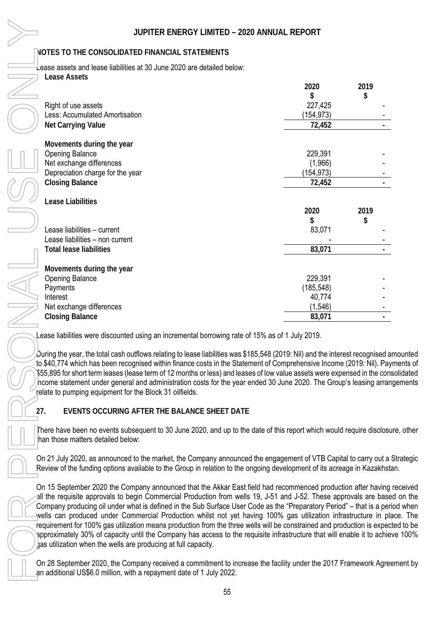|     | JUPITER ENERGY LIMITED - 2020 ANNUAL REPORT                                                                                                                                                                                                                                                                                                                                                                                                                                                                                                                                                                                                                                                                                                                                                          |            |            |
|-----|------------------------------------------------------------------------------------------------------------------------------------------------------------------------------------------------------------------------------------------------------------------------------------------------------------------------------------------------------------------------------------------------------------------------------------------------------------------------------------------------------------------------------------------------------------------------------------------------------------------------------------------------------------------------------------------------------------------------------------------------------------------------------------------------------|------------|------------|
|     | NOTES TO THE CONSOLIDATED FINANCIAL STATEMENTS                                                                                                                                                                                                                                                                                                                                                                                                                                                                                                                                                                                                                                                                                                                                                       |            |            |
|     | Lease assets and lease liabilities at 30 June 2020 are detailed below:                                                                                                                                                                                                                                                                                                                                                                                                                                                                                                                                                                                                                                                                                                                               |            |            |
|     | <b>Lease Assets</b>                                                                                                                                                                                                                                                                                                                                                                                                                                                                                                                                                                                                                                                                                                                                                                                  |            |            |
|     |                                                                                                                                                                                                                                                                                                                                                                                                                                                                                                                                                                                                                                                                                                                                                                                                      | 2020<br>\$ | 2019<br>\$ |
|     | Right of use assets                                                                                                                                                                                                                                                                                                                                                                                                                                                                                                                                                                                                                                                                                                                                                                                  | 227,425    |            |
|     | Less: Accumulated Amortisation                                                                                                                                                                                                                                                                                                                                                                                                                                                                                                                                                                                                                                                                                                                                                                       | (154, 973) |            |
|     | Net Carrying Value                                                                                                                                                                                                                                                                                                                                                                                                                                                                                                                                                                                                                                                                                                                                                                                   | 72,452     |            |
|     | Movements during the year                                                                                                                                                                                                                                                                                                                                                                                                                                                                                                                                                                                                                                                                                                                                                                            |            |            |
|     | <b>Opening Balance</b>                                                                                                                                                                                                                                                                                                                                                                                                                                                                                                                                                                                                                                                                                                                                                                               | 229,391    |            |
|     | Net exchange differences                                                                                                                                                                                                                                                                                                                                                                                                                                                                                                                                                                                                                                                                                                                                                                             | (1,966)    |            |
|     | Depreciation charge for the year                                                                                                                                                                                                                                                                                                                                                                                                                                                                                                                                                                                                                                                                                                                                                                     | (154, 973) |            |
|     | <b>Closing Balance</b>                                                                                                                                                                                                                                                                                                                                                                                                                                                                                                                                                                                                                                                                                                                                                                               | 72,452     |            |
|     | Lease Liabilities                                                                                                                                                                                                                                                                                                                                                                                                                                                                                                                                                                                                                                                                                                                                                                                    |            |            |
|     |                                                                                                                                                                                                                                                                                                                                                                                                                                                                                                                                                                                                                                                                                                                                                                                                      | 2020       | 2019       |
|     |                                                                                                                                                                                                                                                                                                                                                                                                                                                                                                                                                                                                                                                                                                                                                                                                      | \$         | \$         |
|     | Lease liabilities - current                                                                                                                                                                                                                                                                                                                                                                                                                                                                                                                                                                                                                                                                                                                                                                          | 83,071     |            |
|     | Lease liabilities - non current                                                                                                                                                                                                                                                                                                                                                                                                                                                                                                                                                                                                                                                                                                                                                                      |            |            |
|     | <b>Total lease liabilities</b>                                                                                                                                                                                                                                                                                                                                                                                                                                                                                                                                                                                                                                                                                                                                                                       | 83,071     |            |
|     | Movements during the year                                                                                                                                                                                                                                                                                                                                                                                                                                                                                                                                                                                                                                                                                                                                                                            |            |            |
|     | <b>Opening Balance</b>                                                                                                                                                                                                                                                                                                                                                                                                                                                                                                                                                                                                                                                                                                                                                                               | 229,391    |            |
|     | Payments                                                                                                                                                                                                                                                                                                                                                                                                                                                                                                                                                                                                                                                                                                                                                                                             | (185, 548) |            |
|     | Interest                                                                                                                                                                                                                                                                                                                                                                                                                                                                                                                                                                                                                                                                                                                                                                                             | 40,774     |            |
|     | Net exchange differences                                                                                                                                                                                                                                                                                                                                                                                                                                                                                                                                                                                                                                                                                                                                                                             | (1, 546)   |            |
|     | <b>Closing Balance</b>                                                                                                                                                                                                                                                                                                                                                                                                                                                                                                                                                                                                                                                                                                                                                                               | 83,071     |            |
|     | Lease liabilities were discounted using an incremental borrowing rate of 15% as of 1 July 2019.                                                                                                                                                                                                                                                                                                                                                                                                                                                                                                                                                                                                                                                                                                      |            |            |
|     | $D$ uring the year, the total cash outflows relating to lease liabilities was \$185,548 (2019: Nil) and the interest recognised a<br>to \$40,774 which has been recognised within finance costs in the Statement of Comprehensive Income (2019: Nil). Pay<br>\$55,895 for short term leases (lease term of 12 months or less) and leases of low value assets were expensed in the con<br>hcome statement under general and administration costs for the year ended 30 June 2020. The Group's leasing arran<br>relate to pumping equipment for the Block 31 oilfields.                                                                                                                                                                                                                                |            |            |
| 27. | EVENTS OCCURING AFTER THE BALANCE SHEET DATE                                                                                                                                                                                                                                                                                                                                                                                                                                                                                                                                                                                                                                                                                                                                                         |            |            |
|     | There have been no events subsequent to 30 June 2020, and up to the date of this report which would require disclosu<br>han those matters detailed below:                                                                                                                                                                                                                                                                                                                                                                                                                                                                                                                                                                                                                                            |            |            |
|     | On 21 July 2020, as announced to the market, the Company announced the engagement of VTB Capital to carry out a<br>Review of the funding options available to the Group in relation to the ongoing development of its acreage in Kazakhsta                                                                                                                                                                                                                                                                                                                                                                                                                                                                                                                                                           |            |            |
|     | On 15 September 2020 the Company announced that the Akkar East field had recommenced production after having<br>all the requisite approvals to begin Commercial Production from wells 19, J-51 and J-52. These approvals are base<br>Company producing oil under what is defined in the Sub Surface User Code as the "Preparatory Period" – that is a peri<br>wells can produced under Commercial Production whilst not yet having 100% gas utilization infrastructure in pla<br>requirement for 100% gas utilization means production from the three wells will be constrained and production is expec<br>approximately 30% of capacity until the Company has access to the requisite infrastructure that will enable it to achie<br>jas utilization when the wells are producing at full capacity. |            |            |
|     | On 28 September 2020, the Company received a commitment to increase the facility under the 2017 Framework Agree<br>an additional US\$6.0 million, with a repayment date of 1 July 2022.                                                                                                                                                                                                                                                                                                                                                                                                                                                                                                                                                                                                              |            |            |

 $D$ uring the year, the total cash outflows relating to lease liabilities was \$185,548 (2019: Nil) and the interest recognised amounted to \$40,774 which has been recognised within finance costs in the Statement of Comprehensive Income (2019: Nil). Payments of \$55,895 for short term leases (lease term of 12 months or less) and leases of low value assets were expensed in the consolidated hcome statement under general and administration costs for the year ended 30 June 2020. The Group's leasing arrangements relate to pumping equipment for the Block 31 oilfields.

There have been no events subsequent to 30 June 2020, and up to the date of this report which would require disclosure, other han those matters detailed below:

On 21 July 2020, as announced to the market, the Company announced the engagement of VTB Capital to carry out a Strategic Review of the funding options available to the Group in relation to the ongoing development of its acreage in Kazakhstan.

On 15 September 2020 the Company announced that the Akkar East field had recommenced production after having received all the requisite approvals to begin Commercial Production from wells 19, J-51 and J-52. These approvals are based on the Company producing oil under what is defined in the Sub Surface User Code as the "Preparatory Period" – that is a period when wells can produced under Commercial Production whilst not yet having 100% gas utilization infrastructure in place. The requirement for 100% gas utilization means production from the three wells will be constrained and production is expected to be approximately 30% of capacity until the Company has access to the requisite infrastructure that will enable it to achieve 100% as utilization when the wells are producing at full capacity.

On 28 September 2020, the Company received a commitment to increase the facility under the 2017 Framework Agreement by an additional US\$6.0 million, with a repayment date of 1 July 2022.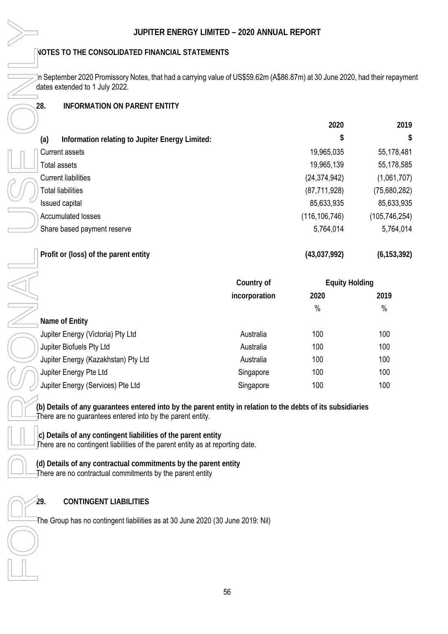### **28. INFORMATION ON PARENT ENTITY**

| JUPITER ENERGY LIMITED - 2020 ANNUAL REPORT                                                                                                                                |               |                       |                 |
|----------------------------------------------------------------------------------------------------------------------------------------------------------------------------|---------------|-----------------------|-----------------|
| NOTES TO THE CONSOLIDATED FINANCIAL STATEMENTS                                                                                                                             |               |                       |                 |
| n September 2020 Promissory Notes, that had a carrying value of US\$59.62m (A\$86.87m) at 30 June 2020, had their repaymer<br>dates extended to 1 July 2022.               |               |                       |                 |
| 28.<br><b>INFORMATION ON PARENT ENTITY</b>                                                                                                                                 |               |                       |                 |
|                                                                                                                                                                            |               |                       |                 |
|                                                                                                                                                                            |               | 2020<br>\$            | 2019<br>S       |
| Information relating to Jupiter Energy Limited:<br>(a)                                                                                                                     |               |                       |                 |
| <b>Current assets</b>                                                                                                                                                      |               | 19,965,035            | 55,178,481      |
| <b>Total assets</b>                                                                                                                                                        |               | 19,965,139            | 55,178,585      |
| <b>Current liabilities</b>                                                                                                                                                 |               | (24, 374, 942)        | (1,061,707)     |
| <b>Total liabilities</b>                                                                                                                                                   |               | (87, 711, 928)        | (75,680,282)    |
| Issued capital                                                                                                                                                             |               | 85,633,935            | 85,633,935      |
| <b>Accumulated losses</b>                                                                                                                                                  |               | (116, 106, 746)       | (105, 746, 254) |
| Share based payment reserve                                                                                                                                                |               | 5,764,014             | 5,764,014       |
| Profit or (loss) of the parent entity                                                                                                                                      |               | (43,037,992)          | (6, 153, 392)   |
|                                                                                                                                                                            | Country of    | <b>Equity Holding</b> |                 |
|                                                                                                                                                                            | incorporation | 2020                  | 2019            |
|                                                                                                                                                                            |               | $\%$                  | $\%$            |
| Name of Entity                                                                                                                                                             |               |                       |                 |
| Jupiter Energy (Victoria) Pty Ltd                                                                                                                                          | Australia     | 100                   | 100             |
| Jupiter Biofuels Pty Ltd                                                                                                                                                   | Australia     | 100                   | 100             |
| Jupiter Energy (Kazakhstan) Pty Ltd                                                                                                                                        | Australia     | 100                   | 100             |
| Jupiter Energy Pte Ltd                                                                                                                                                     | Singapore     | 100                   | 100             |
| Jupiter Energy (Services) Pte Ltd                                                                                                                                          | Singapore     | 100                   | 100             |
| (b) Details of any guarantees entered into by the parent entity in relation to the debts of its subsidiaries<br>There are no guarantees entered into by the parent entity. |               |                       |                 |
| c) Details of any contingent liabilities of the parent entity<br>There are no contingent liabilities of the parent entity as at reporting date.                            |               |                       |                 |
| (d) Details of any contractual commitments by the parent entity<br>There are no contractual commitments by the parent entity                                               |               |                       |                 |
| 29.<br><b>CONTINGENT LIABILITIES</b>                                                                                                                                       |               |                       |                 |
| The Group has no contingent liabilities as at 30 June 2020 (30 June 2019: Nil)                                                                                             |               |                       |                 |
|                                                                                                                                                                            |               |                       |                 |
|                                                                                                                                                                            |               |                       |                 |

|                                     | Country of    |               | <b>Equity Holding</b> |
|-------------------------------------|---------------|---------------|-----------------------|
|                                     | incorporation | 2020          | 2019                  |
|                                     |               | $\frac{0}{0}$ | $\frac{0}{0}$         |
| Name of Entity                      |               |               |                       |
| Jupiter Energy (Victoria) Pty Ltd   | Australia     | 100           | 100                   |
| Jupiter Biofuels Pty Ltd            | Australia     | 100           | 100                   |
| Jupiter Energy (Kazakhstan) Pty Ltd | Australia     | 100           | 100                   |
| Jupiter Energy Pte Ltd              | Singapore     | 100           | 100                   |
| Jupiter Energy (Services) Pte Ltd   | Singapore     | 100           | 100                   |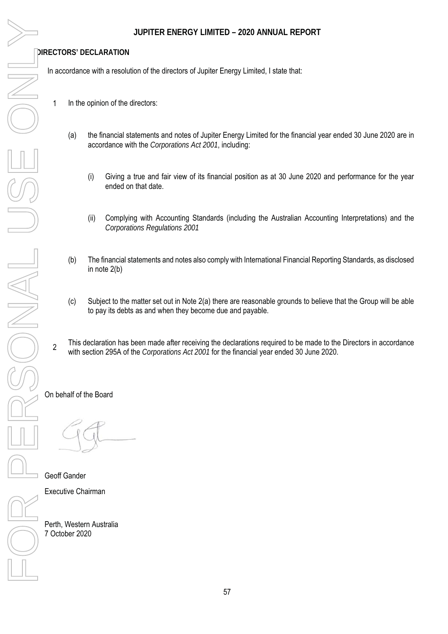**DIRECTORS' DECLARATION** 

In accordance with a resolution of the directors of Jupiter Energy Limited, I state that:

- 1 In the opinion of the directors:
	- (a) the financial statements and notes of Jupiter Energy Limited for the financial year ended 30 June 2020 are in accordance with the *Corporations Act 2001*, including:
		- (i) Giving a true and fair view of its financial position as at 30 June 2020 and performance for the year ended on that date.
		- (ii) Complying with Accounting Standards (including the Australian Accounting Interpretations) and the *Corporations Regulations 2001*
	- (b) The financial statements and notes also comply with International Financial Reporting Standards, as disclosed in note 2(b)
	- (c) Subject to the matter set out in Note 2(a) there are reasonable grounds to believe that the Group will be able to pay its debts as and when they become due and payable.
- 2 This declaration has been made after receiving the declarations required to be made to the Directors in accordance with section 295A of the *Corporations Act 2001* for the financial year ended 30 June 2020.

On behalf of the Board

Geoff Gander Executive Chairman

Perth, Western Australia 7 October 2020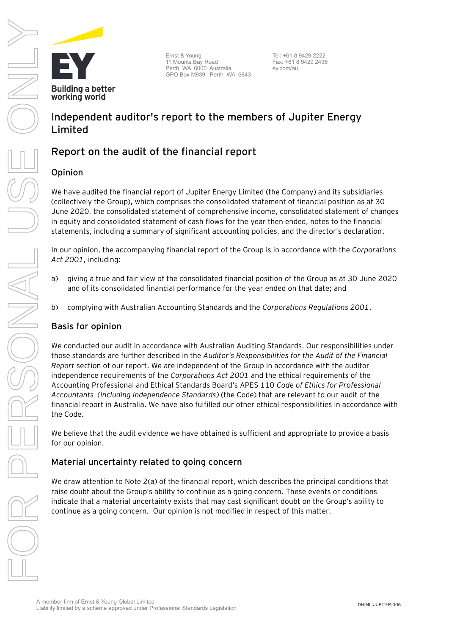**Building a better** working world

Ernst & Young 11 Mounts Bay Road Perth WA 6000 Australia GPO Box M939 Perth WA 6843

Tel: +61 8 9429 2222 Fax: +61 8 9429 2436 ey.com/au

### **Independent auditor's report to the members of Jupiter Energy Limited**

### Report on the audit of the financial report

### Opinion

We have audited the financial report of Jupiter Energy Limited (the Company) and its subsidiaries (collectively the Group), which comprises the consolidated statement of financial position as at 30 June 2020, the consolidated statement of comprehensive income, consolidated statement of changes in equity and consolidated statement of cash flows for the year then ended, notes to the financial statements, including a summary of significant accounting policies, and the director's declaration.

In our opinion, the accompanying financial report of the Group is in accordance with the *Corporations Act 2001*, including:

- a) giving a true and fair view of the consolidated financial position of the Group as at 30 June 2020 and of its consolidated financial performance for the year ended on that date; and
- b) complying with Australian Accounting Standards and the *Corporations Regulations 2001*.

### **Basis for opinion**

We conducted our audit in accordance with Australian Auditing Standards. Our responsibilities under those standards are further described in the *Auditor's Responsibilities for the Audit of the Financial Report* section of our report. We are independent of the Group in accordance with the auditor independence requirements of the *Corporations Act 2001* and the ethical requirements of the Accounting Professional and Ethical Standards Board's APES 110 *Code of Ethics for Professional Accountants (including Independence Standards)* (the Code) that are relevant to our audit of the financial report in Australia. We have also fulfilled our other ethical responsibilities in accordance with the Code.

We believe that the audit evidence we have obtained is sufficient and appropriate to provide a basis for our opinion.

### **Material uncertainty related to going concern**

We draw attention to Note 2(a) of the financial report, which describes the principal conditions that raise doubt about the Group's ability to continue as a going concern. These events or conditions indicate that a material uncertainty exists that may cast significant doubt on the Group's ability to continue as a going concern. Our opinion is not modified in respect of this matter.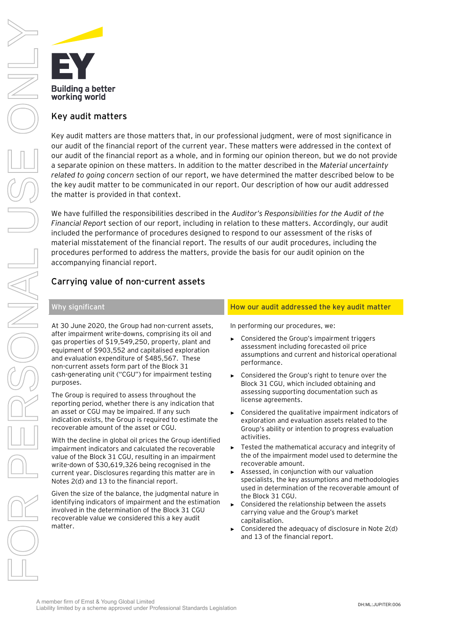

### **Key audit matters**

Key audit matters are those matters that, in our professional judgment, were of most significance in our audit of the financial report of the current year. These matters were addressed in the context of our audit of the financial report as a whole, and in forming our opinion thereon, but we do not provide a separate opinion on these matters. In addition to the matter described in the *Material uncertainty related to going concern* section of our report, we have determined the matter described below to be the key audit matter to be communicated in our report. Our description of how our audit addressed the matter is provided in that context.

We have fulfilled the responsibilities described in the *Auditor's Responsibilities for the Audit of the Financial Repor*t section of our report, including in relation to these matters. Accordingly, our audit included the performance of procedures designed to respond to our assessment of the risks of material misstatement of the financial report. The results of our audit procedures, including the procedures performed to address the matters, provide the basis for our audit opinion on the accompanying financial report.

### **Carrying value of non-current assets**

At 30 June 2020, the Group had non-current assets, after impairment write-downs, comprising its oil and gas properties of \$19,549,250, property, plant and equipment of \$903,552 and capitalised exploration and evaluation expenditure of \$485,567. These non-current assets form part of the Block 31 cash-generating unit ("CGU") for impairment testing purposes.

The Group is required to assess throughout the reporting period, whether there is any indication that an asset or CGU may be impaired. If any such indication exists, the Group is required to estimate the recoverable amount of the asset or CGU.

With the decline in global oil prices the Group identified impairment indicators and calculated the recoverable value of the Block 31 CGU, resulting in an impairment write-down of \$30,619,326 being recognised in the current year. Disclosures regarding this matter are in Notes 2(d) and 13 to the financial report.

Given the size of the balance, the judgmental nature in identifying indicators of impairment and the estimation involved in the determination of the Block 31 CGU recoverable value we considered this a key audit matter.

### **Why significant How our audit addressed the key audit matter**

In performing our procedures, we:

- ► Considered the Group's impairment triggers assessment including forecasted oil price assumptions and current and historical operational performance.
- ► Considered the Group's right to tenure over the Block 31 CGU, which included obtaining and assessing supporting documentation such as license agreements.
- ► Considered the qualitative impairment indicators of exploration and evaluation assets related to the Group's ability or intention to progress evaluation activities.
- Tested the mathematical accuracy and integrity of the of the impairment model used to determine the recoverable amount.
- ► Assessed, in conjunction with our valuation specialists, the key assumptions and methodologies used in determination of the recoverable amount of the Block 31 CGU.
- ► Considered the relationship between the assets carrying value and the Group's market capitalisation.
- ► Considered the adequacy of disclosure in Note 2(d) and 13 of the financial report.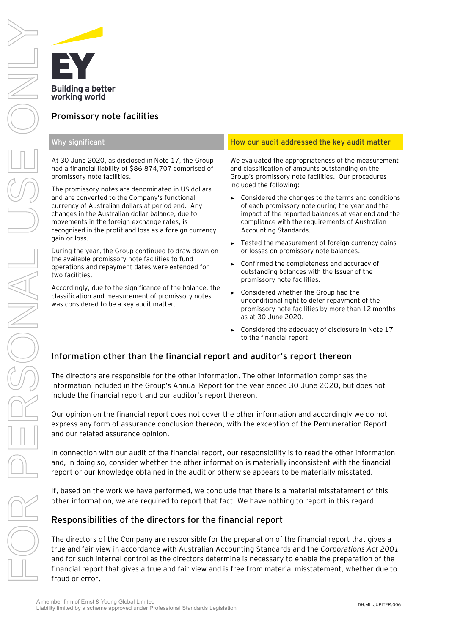

### **Promissory note facilities**

At 30 June 2020, as disclosed in Note 17, the Group had a financial liability of \$86,874,707 comprised of promissory note facilities.

The promissory notes are denominated in US dollars and are converted to the Company's functional currency of Australian dollars at period end. Any changes in the Australian dollar balance, due to movements in the foreign exchange rates, is recognised in the profit and loss as a foreign currency gain or loss.

During the year, the Group continued to draw down on the available promissory note facilities to fund operations and repayment dates were extended for two facilities.

Accordingly, due to the significance of the balance, the classification and measurement of promissory notes was considered to be a key audit matter.

### **Why significant How our audit addressed the key audit matter**

We evaluated the appropriateness of the measurement and classification of amounts outstanding on the Group's promissory note facilities. Our procedures included the following:

- ► Considered the changes to the terms and conditions of each promissory note during the year and the impact of the reported balances at year end and the compliance with the requirements of Australian Accounting Standards.
- ► Tested the measurement of foreign currency gains or losses on promissory note balances.
- ► Confirmed the completeness and accuracy of outstanding balances with the Issuer of the promissory note facilities.
- ► Considered whether the Group had the unconditional right to defer repayment of the promissory note facilities by more than 12 months as at 30 June 2020.
- Considered the adequacy of disclosure in Note 17 to the financial report.

### Information other than the financial report and auditor's report thereon

The directors are responsible for the other information. The other information comprises the information included in the Group's Annual Report for the year ended 30 June 2020, but does not include the financial report and our auditor's report thereon.

Our opinion on the financial report does not cover the other information and accordingly we do not express any form of assurance conclusion thereon, with the exception of the Remuneration Report and our related assurance opinion.

In connection with our audit of the financial report, our responsibility is to read the other information and, in doing so, consider whether the other information is materially inconsistent with the financial report or our knowledge obtained in the audit or otherwise appears to be materially misstated.

If, based on the work we have performed, we conclude that there is a material misstatement of this other information, we are required to report that fact. We have nothing to report in this regard.

### **Responsibilities of the directors for the financial report**

The directors of the Company are responsible for the preparation of the financial report that gives a true and fair view in accordance with Australian Accounting Standards and the *Corporations Act 2001* and for such internal control as the directors determine is necessary to enable the preparation of the financial report that gives a true and fair view and is free from material misstatement, whether due to fraud or error.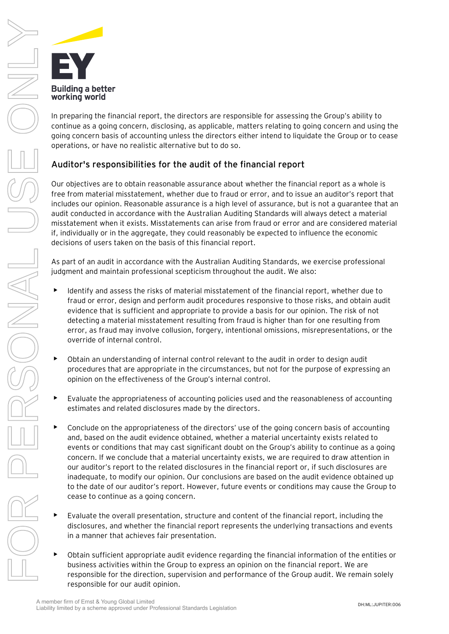

In preparing the financial report, the directors are responsible for assessing the Group's ability to continue as a going concern, disclosing, as applicable, matters relating to going concern and using the going concern basis of accounting unless the directors either intend to liquidate the Group or to cease operations, or have no realistic alternative but to do so.

### **Auditor's responsibilities for the audit of the financial report**

Our objectives are to obtain reasonable assurance about whether the financial report as a whole is free from material misstatement, whether due to fraud or error, and to issue an auditor's report that includes our opinion. Reasonable assurance is a high level of assurance, but is not a guarantee that an audit conducted in accordance with the Australian Auditing Standards will always detect a material misstatement when it exists. Misstatements can arise from fraud or error and are considered material if, individually or in the aggregate, they could reasonably be expected to influence the economic decisions of users taken on the basis of this financial report.

As part of an audit in accordance with the Australian Auditing Standards, we exercise professional judgment and maintain professional scepticism throughout the audit. We also:

- Identify and assess the risks of material misstatement of the financial report, whether due to fraud or error, design and perform audit procedures responsive to those risks, and obtain audit evidence that is sufficient and appropriate to provide a basis for our opinion. The risk of not detecting a material misstatement resulting from fraud is higher than for one resulting from error, as fraud may involve collusion, forgery, intentional omissions, misrepresentations, or the override of internal control.
- Obtain an understanding of internal control relevant to the audit in order to design audit procedures that are appropriate in the circumstances, but not for the purpose of expressing an opinion on the effectiveness of the Group's internal control.
- Evaluate the appropriateness of accounting policies used and the reasonableness of accounting estimates and related disclosures made by the directors.
- Conclude on the appropriateness of the directors' use of the going concern basis of accounting and, based on the audit evidence obtained, whether a material uncertainty exists related to events or conditions that may cast significant doubt on the Group's ability to continue as a going concern. If we conclude that a material uncertainty exists, we are required to draw attention in our auditor's report to the related disclosures in the financial report or, if such disclosures are inadequate, to modify our opinion. Our conclusions are based on the audit evidence obtained up to the date of our auditor's report. However, future events or conditions may cause the Group to cease to continue as a going concern.
- Evaluate the overall presentation, structure and content of the financial report, including the disclosures, and whether the financial report represents the underlying transactions and events in a manner that achieves fair presentation.
- Obtain sufficient appropriate audit evidence regarding the financial information of the entities or business activities within the Group to express an opinion on the financial report. We are responsible for the direction, supervision and performance of the Group audit. We remain solely responsible for our audit opinion.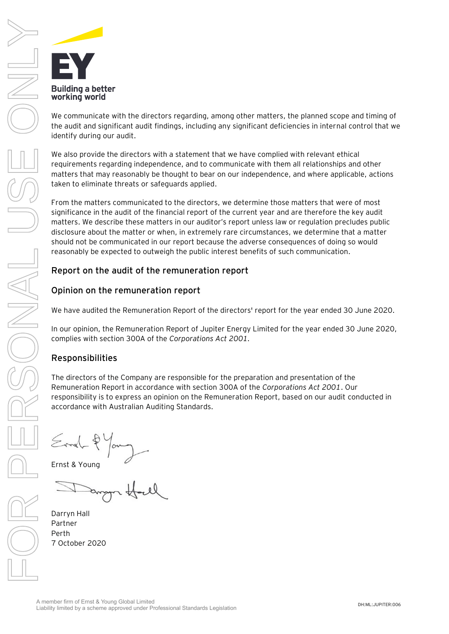

We communicate with the directors regarding, among other matters, the planned scope and timing of the audit and significant audit findings, including any significant deficiencies in internal control that we identify during our audit.

We also provide the directors with a statement that we have complied with relevant ethical requirements regarding independence, and to communicate with them all relationships and other matters that may reasonably be thought to bear on our independence, and where applicable, actions taken to eliminate threats or safeguards applied.

From the matters communicated to the directors, we determine those matters that were of most significance in the audit of the financial report of the current year and are therefore the key audit matters. We describe these matters in our auditor's report unless law or regulation precludes public disclosure about the matter or when, in extremely rare circumstances, we determine that a matter should not be communicated in our report because the adverse consequences of doing so would reasonably be expected to outweigh the public interest benefits of such communication.

### Report on the audit of the remuneration report

### Opinion on the remuneration report

We have audited the Remuneration Report of the directors' report for the year ended 30 June 2020.

In our opinion, the Remuneration Report of Jupiter Energy Limited for the year ended 30 June 2020, complies with section 300A of the *Corporations Act 2001.*

### Responsibilities

The directors of the Company are responsible for the preparation and presentation of the Remuneration Report in accordance with section 300A of the *Corporations Act 2001*. Our responsibility is to express an opinion on the Remuneration Report, based on our audit conducted in accordance with Australian Auditing Standards.

Ernst & Young

Darryn Hall Partner Perth 7 October 2020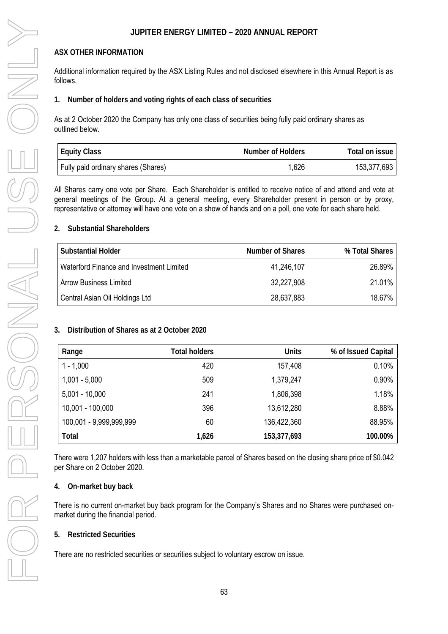### **ASX OTHER INFORMATION**

Additional information required by the ASX Listing Rules and not disclosed elsewhere in this Annual Report is as follows.

**1. Number of holders and voting rights of each class of securities** 

As at 2 October 2020 the Company has only one class of securities being fully paid ordinary shares as outlined below.

| <b>Equity Class</b>                 | Number of Holders | Total on issue I |
|-------------------------------------|-------------------|------------------|
| Fully paid ordinary shares (Shares) | 1,626             | 153,377,693      |

All Shares carry one vote per Share. Each Shareholder is entitled to receive notice of and attend and vote at general meetings of the Group. At a general meeting, every Shareholder present in person or by proxy, representative or attorney will have one vote on a show of hands and on a poll, one vote for each share held.

### **2. Substantial Shareholders**

| <b>Substantial Holder</b>                | Number of Shares | % Total Shares |
|------------------------------------------|------------------|----------------|
| Waterford Finance and Investment Limited | 41,246,107       | 26.89%         |
| <b>Arrow Business Limited</b>            | 32,227,908       | 21.01%         |
| Central Asian Oil Holdings Ltd           | 28,637,883       | 18.67%         |

### **3. Distribution of Shares as at 2 October 2020**

| Range                   | <b>Total holders</b> | <b>Units</b> | % of Issued Capital |
|-------------------------|----------------------|--------------|---------------------|
| $1 - 1,000$             | 420                  | 157,408      | 0.10%               |
| $1,001 - 5,000$         | 509                  | 1,379,247    | 0.90%               |
| $5,001 - 10,000$        | 241                  | 1,806,398    | 1.18%               |
| 10,001 - 100,000        | 396                  | 13,612,280   | 8.88%               |
| 100,001 - 9,999,999,999 | 60                   | 136,422,360  | 88.95%              |
| Total                   | 1,626                | 153,377,693  | 100.00%             |

There were 1,207 holders with less than a marketable parcel of Shares based on the closing share price of \$0.042 per Share on 2 October 2020.

### **4. On-market buy back**

There is no current on-market buy back program for the Company's Shares and no Shares were purchased onmarket during the financial period.

### **5. Restricted Securities**

There are no restricted securities or securities subject to voluntary escrow on issue.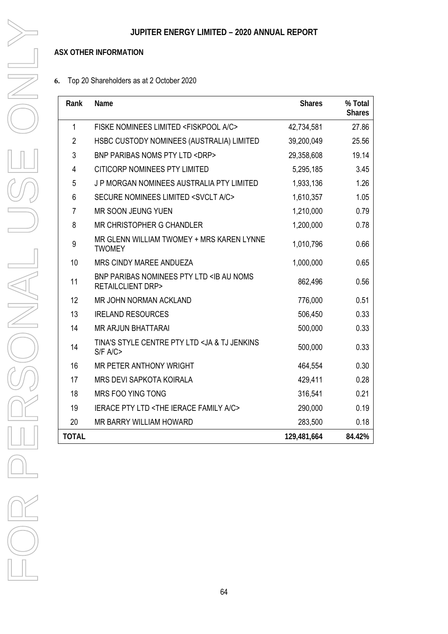### **ASX OTHER INFORMATION**

### **6.** Top 20 Shareholders as at 2 October 2020

| Rank         | Name                                                                               | <b>Shares</b> | % Total<br><b>Shares</b> |
|--------------|------------------------------------------------------------------------------------|---------------|--------------------------|
| 1            | FISKE NOMINEES LIMITED <fiskpool a="" c=""></fiskpool>                             | 42,734,581    | 27.86                    |
| 2            | HSBC CUSTODY NOMINEES (AUSTRALIA) LIMITED                                          | 39,200,049    | 25.56                    |
| 3            | <b>BNP PARIBAS NOMS PTY LTD <drp></drp></b>                                        | 29,358,608    | 19.14                    |
| 4            | <b>CITICORP NOMINEES PTY LIMITED</b>                                               | 5,295,185     | 3.45                     |
| 5            | J P MORGAN NOMINEES AUSTRALIA PTY LIMITED                                          | 1,933,136     | 1.26                     |
| 6            | SECURE NOMINEES LIMITED <svclt a="" c=""></svclt>                                  | 1,610,357     | 1.05                     |
| 7            | MR SOON JEUNG YUEN                                                                 | 1,210,000     | 0.79                     |
| 8            | MR CHRISTOPHER G CHANDLER                                                          | 1,200,000     | 0.78                     |
| 9            | MR GLENN WILLIAM TWOMEY + MRS KAREN LYNNE<br><b>TWOMEY</b>                         | 1,010,796     | 0.66                     |
| 10           | <b>MRS CINDY MAREE ANDUEZA</b>                                                     | 1,000,000     | 0.65                     |
| 11           | BNP PARIBAS NOMINEES PTY LTD <ib au="" noms<br=""><b>RETAILCLIENT DRP&gt;</b></ib> | 862,496       | 0.56                     |
| 12           | MR JOHN NORMAN ACKLAND                                                             | 776,000       | 0.51                     |
| 13           | <b>IRELAND RESOURCES</b>                                                           | 506,450       | 0.33                     |
| 14           | <b>MR ARJUN BHATTARAI</b>                                                          | 500,000       | 0.33                     |
| 14           | TINA'S STYLE CENTRE PTY LTD <ja &="" jenkins<br="" tj="">S/F A/C</ja>              | 500,000       | 0.33                     |
| 16           | MR PETER ANTHONY WRIGHT                                                            | 464,554       | 0.30                     |
| 17           | MRS DEVI SAPKOTA KOIRALA                                                           | 429,411       | 0.28                     |
| 18           | MRS FOO YING TONG                                                                  | 316,541       | 0.21                     |
| 19           | <b>IERACE PTY LTD <the a="" c="" family="" ierace=""></the></b>                    | 290,000       | 0.19                     |
| 20           | MR BARRY WILLIAM HOWARD                                                            | 283,500       | 0.18                     |
| <b>TOTAL</b> |                                                                                    | 129,481,664   | 84.42%                   |